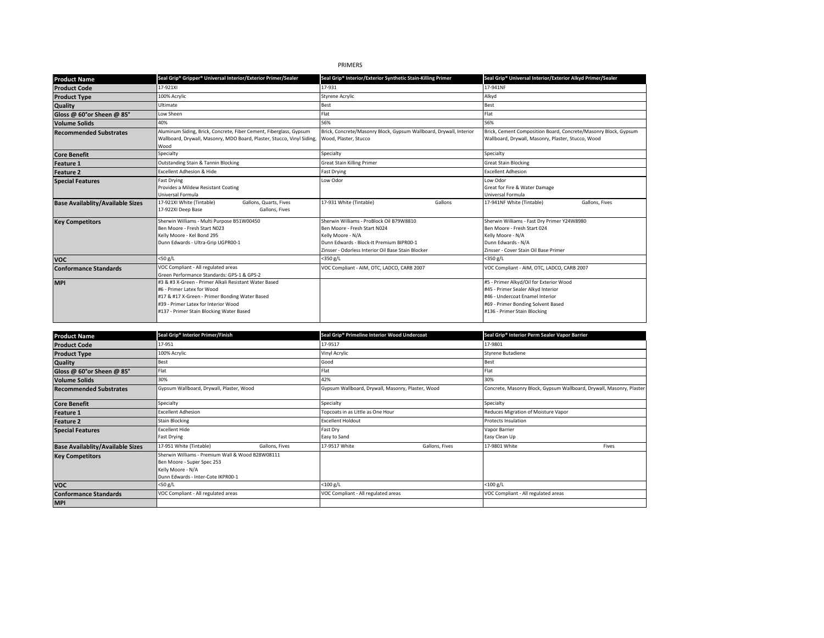# PRIMERS

| <b>Product Name</b>                     | Seal Grip® Gripper® Universal Interior/Exterior Primer/Sealer                                                                                                                                                             | Seal Grip <sup>®</sup> Interior/Exterior Synthetic Stain-Killing Primer                                                                                                                         | Seal Grip® Universal Interior/Exterior Alkyd Primer/Sealer                                                                                                                             |
|-----------------------------------------|---------------------------------------------------------------------------------------------------------------------------------------------------------------------------------------------------------------------------|-------------------------------------------------------------------------------------------------------------------------------------------------------------------------------------------------|----------------------------------------------------------------------------------------------------------------------------------------------------------------------------------------|
| <b>Product Code</b>                     | 17-921XI                                                                                                                                                                                                                  | 17-931                                                                                                                                                                                          | 17-941NF                                                                                                                                                                               |
| <b>Product Type</b>                     | 100% Acrylic                                                                                                                                                                                                              | <b>Styrene Acrylic</b>                                                                                                                                                                          | Alkyd                                                                                                                                                                                  |
| <b>Quality</b>                          | Ultimate                                                                                                                                                                                                                  | <b>Best</b>                                                                                                                                                                                     | <b>Best</b>                                                                                                                                                                            |
| Gloss @ 60°or Sheen @ 85°               | Low Sheen                                                                                                                                                                                                                 | Flat                                                                                                                                                                                            | Flat                                                                                                                                                                                   |
| <b>Volume Solids</b>                    | 40%                                                                                                                                                                                                                       | 56%                                                                                                                                                                                             | 56%                                                                                                                                                                                    |
| <b>Recommended Substrates</b>           | Aluminum Siding, Brick, Concrete, Fiber Cement, Fiberglass, Gypsum<br>Wallboard, Drywall, Masonry, MDO Board, Plaster, Stucco, Vinyl Siding,<br>Wood                                                                      | Brick, Concrete/Masonry Block, Gypsum Wallboard, Drywall, Interior<br>Wood, Plaster, Stucco                                                                                                     | Brick, Cement Composition Board, Concrete/Masonry Block, Gypsum<br>Wallboard, Drywall, Masonry, Plaster, Stucco, Wood                                                                  |
| <b>Core Benefit</b>                     | Specialty                                                                                                                                                                                                                 | Specialty                                                                                                                                                                                       | Specialty                                                                                                                                                                              |
| <b>Feature 1</b>                        | Outstanding Stain & Tannin Blocking                                                                                                                                                                                       | <b>Great Stain Killing Primer</b>                                                                                                                                                               | <b>Great Stain Blocking</b>                                                                                                                                                            |
| <b>Feature 2</b>                        | <b>Excellent Adhesion &amp; Hide</b>                                                                                                                                                                                      | <b>Fast Drying</b>                                                                                                                                                                              | <b>Excellent Adhesion</b>                                                                                                                                                              |
| <b>Special Features</b>                 | <b>Fast Drying</b><br>Provides a Mildew Resistant Coating<br>Universal Formula                                                                                                                                            | Low Odor                                                                                                                                                                                        | Low Odor<br>Great for Fire & Water Damage<br>Universal Formula                                                                                                                         |
| <b>Base Availablity/Available Sizes</b> | 17-921XI White (Tintable)<br>Gallons, Quarts, Fives<br>17-922XI Deep Base<br>Gallons, Fives                                                                                                                               | 17-931 White (Tintable)<br>Gallons                                                                                                                                                              | 17-941NF White (Tintable)<br>Gallons, Fives                                                                                                                                            |
| <b>Key Competitors</b>                  | Sherwin Williams - Multi Purpose B51W00450<br>Ben Moore - Fresh Start N023<br>Kelly Moore - Kel Bond 295<br>Dunn Edwards - Ultra-Grip UGPR00-1                                                                            | Sherwin Williams - ProBlock Oil B79W8810<br>Ben Moore - Fresh Start N024<br>Kelly Moore - N/A<br>Dunn Edwards - Block-It Premium BIPR00-1<br>Zinsser - Odorless Interior Oil Base Stain Blocker | Sherwin Williams - Fast Dry Primer Y24W8980<br>Ben Moore - Fresh Start 024<br>Kelly Moore - N/A<br>Dunn Edwards - N/A<br>Zinsser - Cover Stain Oil Base Primer                         |
| <b>VOC</b>                              | $<$ 50 g/L                                                                                                                                                                                                                | <350 g/L                                                                                                                                                                                        | <350 g/L                                                                                                                                                                               |
| <b>Conformance Standards</b>            | VOC Compliant - All regulated areas<br>Green Performance Standards: GPS-1 & GPS-2                                                                                                                                         | VOC Compliant - AIM, OTC, LADCO, CARB 2007                                                                                                                                                      | VOC Compliant - AIM, OTC, LADCO, CARB 2007                                                                                                                                             |
| <b>MPI</b>                              | #3 & #3 X-Green - Primer Alkali Resistant Water Based<br>#6 - Primer Latex for Wood<br>#17 & #17 X-Green - Primer Bonding Water Based<br>#39 - Primer Latex for Interior Wood<br>#137 - Primer Stain Blocking Water Based |                                                                                                                                                                                                 | #5 - Primer Alkyd/Oil for Exterior Wood<br>#45 - Primer Sealer Alkyd Interior<br>#46 - Undercoat Fnamel Interior<br>#69 - Primer Bonding Solvent Based<br>#136 - Primer Stain Blocking |

| <b>Product Name</b>                     | Seal Grip <sup>®</sup> Interior Primer/Finish                                                                                             |                | Seal Grip <sup>®</sup> Primeline Interior Wood Undercoat |                | Seal Grip <sup>®</sup> Interior Perm Sealer Vapor Barrier            |       |
|-----------------------------------------|-------------------------------------------------------------------------------------------------------------------------------------------|----------------|----------------------------------------------------------|----------------|----------------------------------------------------------------------|-------|
| <b>Product Code</b>                     | 17-951                                                                                                                                    |                | 17-9517                                                  |                | 17-9801                                                              |       |
| <b>Product Type</b>                     | 100% Acrylic                                                                                                                              |                | Vinyl Acrylic                                            |                | Styrene Butadiene                                                    |       |
| Quality                                 | <b>Best</b>                                                                                                                               |                | Good                                                     |                | <b>Best</b>                                                          |       |
| Gloss @ 60°or Sheen @ 85°               | Flat                                                                                                                                      |                | Flat                                                     |                | Flat                                                                 |       |
| <b>Volume Solids</b>                    | 30%                                                                                                                                       |                | 42%                                                      |                | 30%                                                                  |       |
| <b>Recommended Substrates</b>           | Gypsum Wallboard, Drywall, Plaster, Wood                                                                                                  |                | Gypsum Wallboard, Drywall, Masonry, Plaster, Wood        |                | Concrete, Masonry Block, Gypsum Wallboard, Drywall, Masonry, Plaster |       |
| <b>Core Benefit</b>                     | Specialty                                                                                                                                 |                | Specialty                                                |                | Specialty                                                            |       |
| <b>Feature 1</b>                        | <b>Excellent Adhesion</b>                                                                                                                 |                | Topcoats in as Little as One Hour                        |                | Reduces Migration of Moisture Vapor                                  |       |
| <b>Feature 2</b>                        | <b>Stain Blocking</b>                                                                                                                     |                | <b>Excellent Holdout</b>                                 |                | <b>Protects Insulation</b>                                           |       |
| <b>Special Features</b>                 | <b>Excellent Hide</b><br>Fast Drying                                                                                                      |                | Fast Dry<br>Easy to Sand                                 |                | Vapor Barrier<br>Easy Clean Up                                       |       |
| <b>Base Availablity/Available Sizes</b> | 17-951 White (Tintable)                                                                                                                   | Gallons, Fives | 17-9517 White                                            | Gallons, Fives | 17-9801 White                                                        | Fives |
| <b>Key Competitors</b>                  | Sherwin Williams - Premium Wall & Wood B28W08111<br>Ben Moore - Super Spec 253<br>Kelly Moore - N/A<br>Dunn Edwards - Inter-Cote IKPR00-1 |                |                                                          |                |                                                                      |       |
| <b>VOC</b>                              | $<$ 50 g/L                                                                                                                                |                | $<$ 100 g/L                                              |                | $<$ 100 $g/L$                                                        |       |
| <b>Conformance Standards</b>            | VOC Compliant - All regulated areas                                                                                                       |                | VOC Compliant - All regulated areas                      |                | VOC Compliant - All regulated areas                                  |       |
| <b>MPI</b>                              |                                                                                                                                           |                |                                                          |                |                                                                      |       |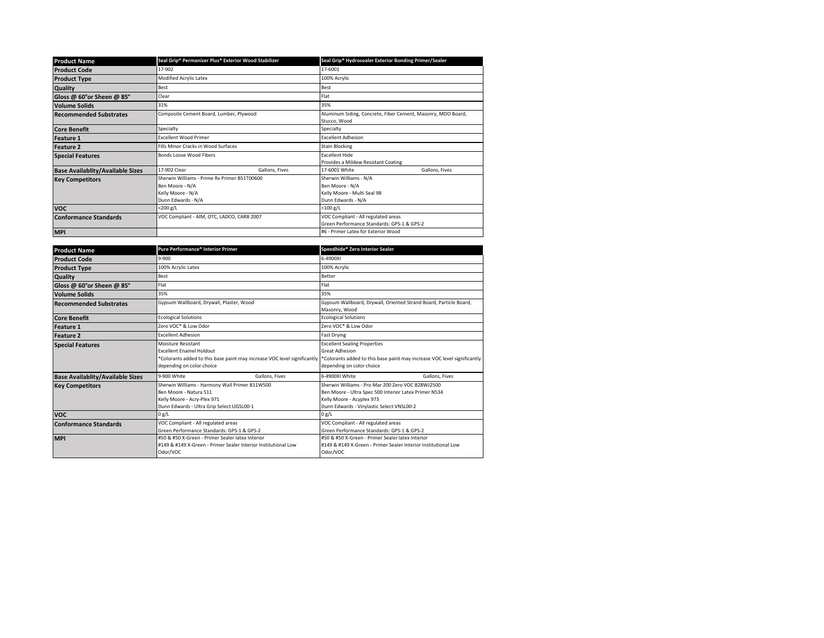| <b>Product Name</b>                     | Seal Grip® Permanizer Plus® Exterior Wood Stabilizer |                                     | Seal Grip <sup>®</sup> Hydrosealer Exterior Bonding Primer/Sealer |                |  |
|-----------------------------------------|------------------------------------------------------|-------------------------------------|-------------------------------------------------------------------|----------------|--|
| <b>Product Code</b>                     | 17-902                                               |                                     | 17-6001                                                           |                |  |
| <b>Product Type</b>                     | Modified Acrylic Latex                               |                                     | 100% Acrylic                                                      |                |  |
| <b>Quality</b>                          | Best                                                 |                                     | Best                                                              |                |  |
| Gloss @ 60°or Sheen @ 85°               | Clear                                                |                                     | Flat                                                              |                |  |
| <b>Volume Solids</b>                    | 31%                                                  |                                     | 35%                                                               |                |  |
| <b>Recommended Substrates</b>           | Composite Cement Board, Lumber, Plywood              |                                     | Aluminum Siding, Concrete, Fiber Cement, Masonry, MDO Board,      |                |  |
|                                         |                                                      |                                     | Stucco, Wood                                                      |                |  |
| <b>Core Benefit</b>                     | Specialty                                            |                                     | Specialty                                                         |                |  |
| <b>Feature 1</b>                        | <b>Excellent Wood Primer</b>                         |                                     | <b>Fxcellent Adhesion</b>                                         |                |  |
| <b>Feature 2</b>                        | Fills Minor Cracks in Wood Surfaces                  |                                     | <b>Stain Blocking</b>                                             |                |  |
| <b>Special Features</b>                 | Bonds Loose Wood Fibers                              |                                     | <b>Excellent Hide</b>                                             |                |  |
|                                         |                                                      |                                     | Provides a Mildew Resistant Coating                               |                |  |
| <b>Base Availablity/Available Sizes</b> | 17-902 Clear                                         | Gallons, Fives                      | 17-6001 White                                                     | Gallons, Fives |  |
| <b>Key Competitors</b>                  | Sherwin Williams - Prime Rx Primer B51T00600         |                                     | Sherwin Williams - N/A                                            |                |  |
|                                         | Ben Moore - N/A                                      |                                     | Ben Moore - N/A                                                   |                |  |
|                                         | Kelly Moore - N/A                                    |                                     | Kelly Moore - Multi Seal 98                                       |                |  |
|                                         | Dunn Edwards - N/A                                   |                                     | Dunn Edwards - N/A                                                |                |  |
| <b>VOC</b>                              | $<$ 200 g/L                                          |                                     | $<$ 100 g/L                                                       |                |  |
| <b>Conformance Standards</b>            | VOC Compliant - AIM, OTC, LADCO, CARB 2007           | VOC Compliant - All regulated areas |                                                                   |                |  |
|                                         |                                                      |                                     | Green Performance Standards: GPS-1 & GPS-2                        |                |  |
| <b>MPI</b>                              |                                                      |                                     | #6 - Primer Latex for Exterior Wood                               |                |  |

| <b>Product Name</b>                     | Pure Performance® Interior Primer                                                                                                                              | Speedhide® Zero Interior Sealer                                                                                                                                                      |  |
|-----------------------------------------|----------------------------------------------------------------------------------------------------------------------------------------------------------------|--------------------------------------------------------------------------------------------------------------------------------------------------------------------------------------|--|
| <b>Product Code</b>                     | 9-900                                                                                                                                                          | 6-4900XI                                                                                                                                                                             |  |
| <b>Product Type</b>                     | 100% Acrylic Latex                                                                                                                                             | 100% Acrylic                                                                                                                                                                         |  |
| <b>Quality</b>                          | Best                                                                                                                                                           | Better                                                                                                                                                                               |  |
| Gloss @ 60°or Sheen @ 85°               | Flat                                                                                                                                                           | Flat                                                                                                                                                                                 |  |
| <b>Volume Solids</b>                    | 35%                                                                                                                                                            | 35%                                                                                                                                                                                  |  |
| <b>Recommended Substrates</b>           | Gypsum Wallboard, Drywall, Plaster, Wood                                                                                                                       | Gypsum Wallboard, Drywall, Oriented Strand Board, Particle Board,<br>Masonry, Wood                                                                                                   |  |
| <b>Core Benefit</b>                     | <b>Ecological Solutions</b>                                                                                                                                    | <b>Ecological Solutions</b>                                                                                                                                                          |  |
| <b>Feature 1</b>                        | Zero VOC* & Low Odor                                                                                                                                           | Zero VOC* & Low Odor                                                                                                                                                                 |  |
| <b>Feature 2</b>                        | <b>Excellent Adhesion</b>                                                                                                                                      | <b>Fast Drying</b>                                                                                                                                                                   |  |
| <b>Special Features</b>                 | Moisture Resistant<br><b>Excellent Fnamel Holdout</b><br>*Colorants added to this base paint may increase VOC level significantly<br>depending on color choice | <b>Excellent Sealing Properties</b><br><b>Great Adhesion</b><br>*Colorants added to this base paint may increase VOC level significantly<br>depending on color choice                |  |
| <b>Base Availablity/Available Sizes</b> | 9-900 White<br>Gallons, Fives                                                                                                                                  | 6-4900XI White<br>Gallons, Fives                                                                                                                                                     |  |
| <b>Key Competitors</b>                  | Sherwin Williams - Harmony Wall Primer B11W500<br>Ben Moore - Natura 511<br>Kelly Moore - Acry-Plex 971<br>Dunn Edwards - Ultra Grip Select UGSL00-1           | Sherwin Williams - Pro Mar 200 Zero VOC B28W12500<br>Ben Moore - Ultra Spec 500 Interior Latex Primer N534<br>Kelly Moore - Acyplex 973<br>Dunn Edwards - Vinylastic Select VNSL00-2 |  |
| <b>VOC</b>                              | 0 g/L                                                                                                                                                          | 0 g/L                                                                                                                                                                                |  |
| <b>Conformance Standards</b>            | VOC Compliant - All regulated areas<br>Green Performance Standards: GPS-1 & GPS-2                                                                              | VOC Compliant - All regulated areas<br>Green Performance Standards: GPS-1 & GPS-2                                                                                                    |  |
| <b>MPI</b>                              | #50 & #50 X-Green - Primer Sealer latex Interior<br>#149 & #149 X-Green - Primer Sealer Interior Institutional Low<br>Odor/VOC                                 | #50 & #50 X-Green - Primer Sealer latex Interior<br>#149 & #149 X-Green - Primer Sealer Interior Institutional Low<br>Odor/VOC                                                       |  |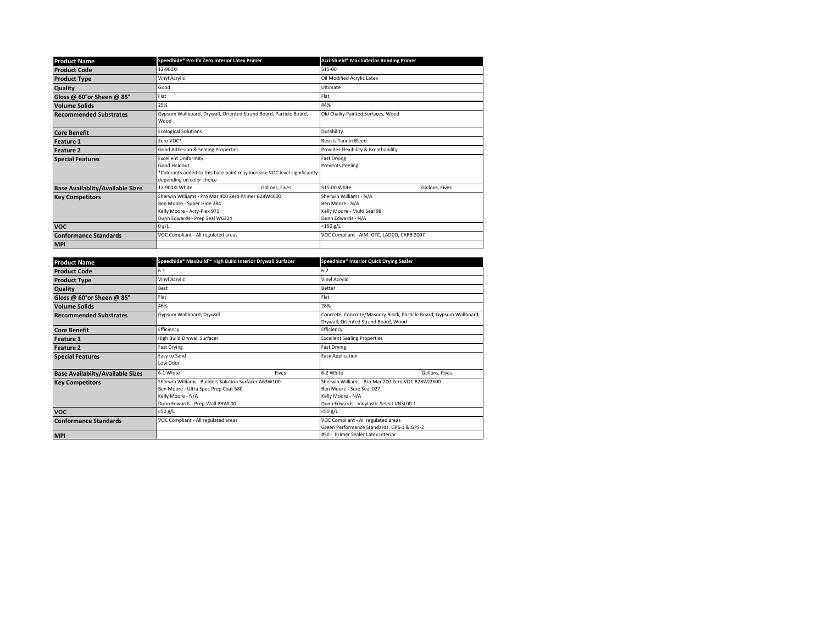| <b>Product Name</b>                     | Speedhide® Pro-EV Zero Interior Latex Primer                                                                                                         | Acri-Shield <sup>®</sup> Max Exterior Bonding Primer                                           |
|-----------------------------------------|------------------------------------------------------------------------------------------------------------------------------------------------------|------------------------------------------------------------------------------------------------|
| <b>Product Code</b>                     | 12-900XI                                                                                                                                             | 515-00                                                                                         |
| <b>Product Type</b>                     | Vinyl Acrylic                                                                                                                                        | Oil Modified Acrylic Latex                                                                     |
| <b>Quality</b>                          | Good                                                                                                                                                 | Ultimate                                                                                       |
| Gloss @ 60°or Sheen @ 85°               | Flat                                                                                                                                                 | Flat                                                                                           |
| <b>Volume Solids</b>                    | 25%                                                                                                                                                  | 44%                                                                                            |
| <b>Recommended Substrates</b>           | Gypsum Wallboard, Drywall, Oriented Strand Board, Particle Board,<br>Wood                                                                            | Old Chalky Painted Surfaces, Wood                                                              |
| <b>Core Benefit</b>                     | <b>Ecological Solutions</b>                                                                                                                          | Durability                                                                                     |
| <b>Feature 1</b>                        | Zero VOC*                                                                                                                                            | <b>Resists Tannin Bleed</b>                                                                    |
| <b>Feature 2</b>                        | Good Adhesion & Sealing Properties                                                                                                                   | Provides Flexibility & Breathability                                                           |
| <b>Special Features</b>                 | <b>Excellent Uniformity</b><br>Good Holdout<br>*Colorants added to this base paint may increase VOC level significantly<br>depending on color choice | <b>Fast Drying</b><br><b>Prevents Peeling</b>                                                  |
| <b>Base Availablity/Available Sizes</b> | 12-900XI White<br>Gallons, Fives                                                                                                                     | 515-00 White<br>Gallons, Fives                                                                 |
| <b>Key Competitors</b>                  | Sherwin Williams - Pro Mar 400 Zero Primer B28W4600<br>Ben Moore - Super Hide 284<br>Kelly Moore - Acry-Plex 971<br>Dunn Edwards - Prep Seal W6324   | Sherwin Williams - N/A<br>Ben Moore - N/A<br>Kelly Moore - Multi Seal 98<br>Dunn Edwards - N/A |
| <b>VOC</b>                              | 0 g/L                                                                                                                                                | $<$ 150 g/L                                                                                    |
| <b>Conformance Standards</b>            | VOC Compliant - All regulated areas                                                                                                                  | VOC Compliant - AIM, OTC, LADCO, CARB 2007                                                     |
| <b>MPI</b>                              |                                                                                                                                                      |                                                                                                |

| <b>Product Name</b>                     | Speedhide® MaxBuild™ High Build Interior Drywall Surfacer                                                                                             |       | Speedhide® Interior Quick Drying Sealer                                                                                                          |                |  |
|-----------------------------------------|-------------------------------------------------------------------------------------------------------------------------------------------------------|-------|--------------------------------------------------------------------------------------------------------------------------------------------------|----------------|--|
| <b>Product Code</b>                     | $6 - 1$                                                                                                                                               |       | 6-2                                                                                                                                              |                |  |
| <b>Product Type</b>                     | Vinyl Acrylic                                                                                                                                         |       | Vinyl Acrylic                                                                                                                                    |                |  |
| <b>Quality</b>                          | Best                                                                                                                                                  |       | Better                                                                                                                                           |                |  |
| Gloss @ 60°or Sheen @ 85°               | Flat                                                                                                                                                  |       | Flat                                                                                                                                             |                |  |
| <b>Volume Solids</b>                    | 46%                                                                                                                                                   |       | 28%                                                                                                                                              |                |  |
| <b>Recommended Substrates</b>           | Gypsum Wallboard, Drywall                                                                                                                             |       | Concrete, Concrete/Masonry Block, Particle Board, Gypsum Wallboard,<br>Drywall, Oriented Strand Board, Wood                                      |                |  |
| <b>Core Benefit</b>                     | Efficiency                                                                                                                                            |       | Efficiency                                                                                                                                       |                |  |
| <b>Feature 1</b>                        | High Build Drywall Surfacer                                                                                                                           |       | <b>Excellent Sealing Properties</b>                                                                                                              |                |  |
| <b>Feature 2</b>                        | Fast Drying                                                                                                                                           |       | Fast Drying                                                                                                                                      |                |  |
| <b>Special Features</b>                 | Easy to Sand<br>Low Odor                                                                                                                              |       | Easy Application                                                                                                                                 |                |  |
| <b>Base Availablity/Available Sizes</b> | 6-1 White                                                                                                                                             | Fives | 6-2 White                                                                                                                                        | Gallons, Fives |  |
| <b>Key Competitors</b>                  | Sherwin Williams - Builders Solution Surfacer A63W100<br>Ben Moore - Ultra Spec Prep Coat 580<br>Kelly Moore - N/A<br>Dunn Edwards - Prep-Wall PRWL00 |       | Sherwin Williams - Pro Mar 200 Zero VOC B28W12500<br>Ben Moore - Sure Seal 027<br>Kelly Moore - N/A<br>Dunn Edwards - Vinylastic Select VNSL00-1 |                |  |
| <b>VOC</b>                              | <50 g/L                                                                                                                                               |       | <50 g/L                                                                                                                                          |                |  |
| <b>Conformance Standards</b>            | VOC Compliant - All regulated areas                                                                                                                   |       | VOC Compliant - All regulated areas<br>Green Performance Standards: GPS-1 & GPS-2                                                                |                |  |
| <b>MPI</b>                              |                                                                                                                                                       |       | #50 - Primer Sealer Latex Interior                                                                                                               |                |  |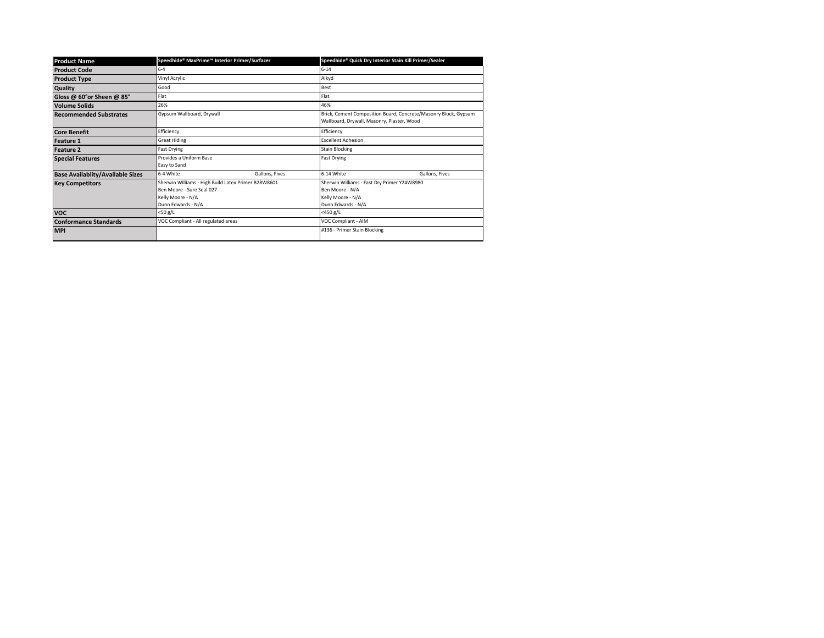| <b>Product Name</b>                     | Speedhide® MaxPrime™ Interior Primer/Surfacer                                                                               |                | Speedhide® Quick Dry Interior Stain Kill Primer/Sealer                                                        |                |
|-----------------------------------------|-----------------------------------------------------------------------------------------------------------------------------|----------------|---------------------------------------------------------------------------------------------------------------|----------------|
| <b>Product Code</b>                     | $6 - 4$                                                                                                                     |                | $6 - 14$                                                                                                      |                |
| <b>Product Type</b>                     | Vinyl Acrylic                                                                                                               |                | Alkyd                                                                                                         |                |
| <b>Quality</b>                          | Good                                                                                                                        |                | Best                                                                                                          |                |
| Gloss @ 60°or Sheen @ 85°               | Flat                                                                                                                        |                | Flat                                                                                                          |                |
| <b>Volume Solids</b>                    | 26%                                                                                                                         |                | 46%                                                                                                           |                |
| <b>Recommended Substrates</b>           | Gypsum Wallboard, Drywall                                                                                                   |                | Brick, Cement Composition Board, Concrete/Masonry Block, Gypsum<br>Wallboard, Drywall, Masonry, Plaster, Wood |                |
| <b>Core Benefit</b>                     | Efficiency                                                                                                                  |                | Efficiency                                                                                                    |                |
| <b>Feature 1</b>                        | <b>Great Hiding</b>                                                                                                         |                | <b>Excellent Adhesion</b>                                                                                     |                |
| <b>Feature 2</b>                        | Fast Drying                                                                                                                 |                | <b>Stain Blocking</b>                                                                                         |                |
| <b>Special Features</b>                 | Provides a Uniform Base<br>Easy to Sand                                                                                     |                | <b>Fast Drying</b>                                                                                            |                |
| <b>Base Availablity/Available Sizes</b> | 6-4 White                                                                                                                   | Gallons, Fives | 6-14 White                                                                                                    | Gallons, Fives |
| <b>Key Competitors</b>                  | Sherwin Williams - High Build Latex Primer B28W8601<br>Ben Moore - Sure Seal 027<br>Kelly Moore - N/A<br>Dunn Edwards - N/A |                | Sherwin Williams - Fast Dry Primer Y24W8980<br>Ben Moore - N/A<br>Kelly Moore - N/A<br>Dunn Edwards - N/A     |                |
| <b>VOC</b>                              | <50 g/L                                                                                                                     |                | <450 g/L                                                                                                      |                |
| <b>Conformance Standards</b>            | VOC Compliant - All regulated areas                                                                                         |                | VOC Compliant - AIM                                                                                           |                |
| <b>MPI</b>                              |                                                                                                                             |                | #136 - Primer Stain Blocking                                                                                  |                |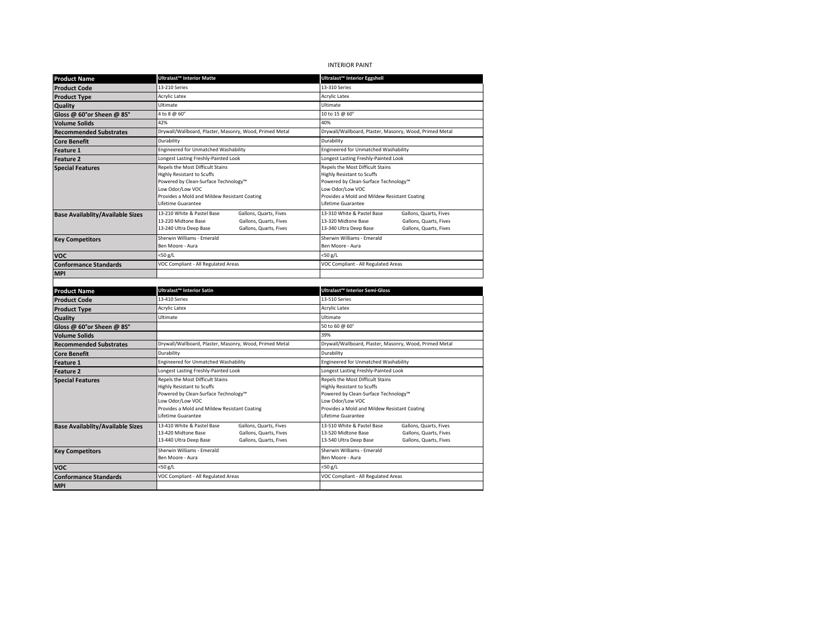# INTERIOR PAINT

| <b>Product Name</b>                         | <b>Ultralast™ Interior Matte</b>                                                                                                                                                                                                                                                                                                                                                                                   | Ultralast™ Interior Eggshell                                                                                                                                                                                                             |  |
|---------------------------------------------|--------------------------------------------------------------------------------------------------------------------------------------------------------------------------------------------------------------------------------------------------------------------------------------------------------------------------------------------------------------------------------------------------------------------|------------------------------------------------------------------------------------------------------------------------------------------------------------------------------------------------------------------------------------------|--|
| <b>Product Code</b>                         | 13-210 Series                                                                                                                                                                                                                                                                                                                                                                                                      | 13-310 Series                                                                                                                                                                                                                            |  |
| <b>Product Type</b>                         | Acrylic Latex                                                                                                                                                                                                                                                                                                                                                                                                      | <b>Acrylic Latex</b>                                                                                                                                                                                                                     |  |
| Quality                                     | Ultimate                                                                                                                                                                                                                                                                                                                                                                                                           | Ultimate                                                                                                                                                                                                                                 |  |
| Gloss @ 60°or Sheen @ 85°                   | 4 to 8 @ 60°                                                                                                                                                                                                                                                                                                                                                                                                       | 10 to 15 @ 60°                                                                                                                                                                                                                           |  |
| <b>Volume Solids</b>                        | 42%                                                                                                                                                                                                                                                                                                                                                                                                                | 40%                                                                                                                                                                                                                                      |  |
| <b>Recommended Substrates</b>               | Drywall/Wallboard, Plaster, Masonry, Wood, Primed Metal                                                                                                                                                                                                                                                                                                                                                            | Drywall/Wallboard, Plaster, Masonry, Wood, Primed Metal                                                                                                                                                                                  |  |
| <b>Core Benefit</b>                         | Durability                                                                                                                                                                                                                                                                                                                                                                                                         | Durability                                                                                                                                                                                                                               |  |
| <b>Feature 1</b>                            | Engineered for Unmatched Washability                                                                                                                                                                                                                                                                                                                                                                               | Engineered for Unmatched Washability                                                                                                                                                                                                     |  |
| Feature 2                                   | Longest Lasting Freshly-Painted Look                                                                                                                                                                                                                                                                                                                                                                               | Longest Lasting Freshly-Painted Look                                                                                                                                                                                                     |  |
| <b>Special Features</b>                     | Repels the Most Difficult Stains<br>Repels the Most Difficult Stains<br><b>Highly Resistant to Scuffs</b><br><b>Highly Resistant to Scuffs</b><br>Powered by Clean-Surface Technology™<br>Powered by Clean-Surface Technology™<br>Low Odor/Low VOC<br>Low Odor/Low VOC<br>Provides a Mold and Mildew Resistant Coating<br>Provides a Mold and Mildew Resistant Coating<br>Lifetime Guarantee<br>Lifetime Guarantee |                                                                                                                                                                                                                                          |  |
| <b>Base Availablity/Available Sizes</b>     | 13-210 White & Pastel Base<br>Gallons, Quarts, Fives<br>Gallons, Quarts, Fives<br>13-220 Midtone Base<br>13-240 Ultra Deep Base<br>Gallons, Quarts, Fives                                                                                                                                                                                                                                                          | 13-310 White & Pastel Base<br>Gallons, Quarts, Fives<br>13-320 Midtone Base<br>Gallons, Quarts, Fives<br>13-340 Ultra Deep Base<br>Gallons, Quarts, Fives                                                                                |  |
| <b>Key Competitors</b>                      | Sherwin Williams - Emerald<br>Ben Moore - Aura                                                                                                                                                                                                                                                                                                                                                                     | Sherwin Williams - Emerald<br>Ben Moore - Aura                                                                                                                                                                                           |  |
| <b>VOC</b>                                  | <50 g/L                                                                                                                                                                                                                                                                                                                                                                                                            | <50 g/L                                                                                                                                                                                                                                  |  |
| <b>Conformance Standards</b>                | VOC Compliant - All Regulated Areas                                                                                                                                                                                                                                                                                                                                                                                | VOC Compliant - All Regulated Areas                                                                                                                                                                                                      |  |
| <b>MPI</b>                                  |                                                                                                                                                                                                                                                                                                                                                                                                                    |                                                                                                                                                                                                                                          |  |
|                                             |                                                                                                                                                                                                                                                                                                                                                                                                                    |                                                                                                                                                                                                                                          |  |
|                                             |                                                                                                                                                                                                                                                                                                                                                                                                                    |                                                                                                                                                                                                                                          |  |
| <b>Product Name</b>                         | Ultralast™ Interior Satin                                                                                                                                                                                                                                                                                                                                                                                          | Ultralast™ Interior Semi-Gloss                                                                                                                                                                                                           |  |
| <b>Product Code</b>                         | 13-410 Series                                                                                                                                                                                                                                                                                                                                                                                                      | 13-510 Series                                                                                                                                                                                                                            |  |
| <b>Product Type</b>                         | Acrylic Latex                                                                                                                                                                                                                                                                                                                                                                                                      | <b>Acrylic Latex</b>                                                                                                                                                                                                                     |  |
| Quality                                     | Ultimate                                                                                                                                                                                                                                                                                                                                                                                                           | Ultimate                                                                                                                                                                                                                                 |  |
| Gloss @ 60°or Sheen @ 85°                   |                                                                                                                                                                                                                                                                                                                                                                                                                    | 50 to 60 @ 60°                                                                                                                                                                                                                           |  |
| <b>Volume Solids</b>                        |                                                                                                                                                                                                                                                                                                                                                                                                                    | 39%                                                                                                                                                                                                                                      |  |
| <b>Recommended Substrates</b>               | Drywall/Wallboard, Plaster, Masonry, Wood, Primed Metal                                                                                                                                                                                                                                                                                                                                                            | Drywall/Wallboard, Plaster, Masonry, Wood, Primed Metal                                                                                                                                                                                  |  |
| <b>Core Benefit</b>                         | Durability                                                                                                                                                                                                                                                                                                                                                                                                         | Durability                                                                                                                                                                                                                               |  |
| <b>Feature 1</b>                            | Engineered for Unmatched Washability                                                                                                                                                                                                                                                                                                                                                                               | Engineered for Unmatched Washability                                                                                                                                                                                                     |  |
| <b>Feature 2</b><br><b>Special Features</b> | Longest Lasting Freshly-Painted Look<br>Repels the Most Difficult Stains<br><b>Highly Resistant to Scuffs</b><br>Powered by Clean-Surface Technology™<br>Low Odor/Low VOC<br>Provides a Mold and Mildew Resistant Coating<br>Lifetime Guarantee                                                                                                                                                                    | Longest Lasting Freshly-Painted Look<br>Repels the Most Difficult Stains<br>Highly Resistant to Scuffs<br>Powered by Clean-Surface Technology™<br>Low Odor/Low VOC<br>Provides a Mold and Mildew Resistant Coating<br>Lifetime Guarantee |  |
| <b>Base Availablity/Available Sizes</b>     | 13-410 White & Pastel Base<br>Gallons, Quarts, Fives<br>13-420 Midtone Base<br>Gallons, Quarts, Fives<br>13-440 Ultra Deep Base<br>Gallons, Quarts, Fives                                                                                                                                                                                                                                                          | 13-510 White & Pastel Base<br>Gallons, Quarts, Fives<br>13-520 Midtone Base<br>Gallons, Quarts, Fives<br>13-540 Ultra Deep Base<br>Gallons, Quarts, Fives                                                                                |  |
| <b>Key Competitors</b>                      | Sherwin Williams - Emerald<br>Ben Moore - Aura                                                                                                                                                                                                                                                                                                                                                                     | Sherwin Williams - Emerald<br>Ben Moore - Aura                                                                                                                                                                                           |  |
| voc                                         | <50 g/L                                                                                                                                                                                                                                                                                                                                                                                                            | <50 g/L                                                                                                                                                                                                                                  |  |
| <b>Conformance Standards</b>                | VOC Compliant - All Regulated Areas                                                                                                                                                                                                                                                                                                                                                                                | VOC Compliant - All Regulated Areas                                                                                                                                                                                                      |  |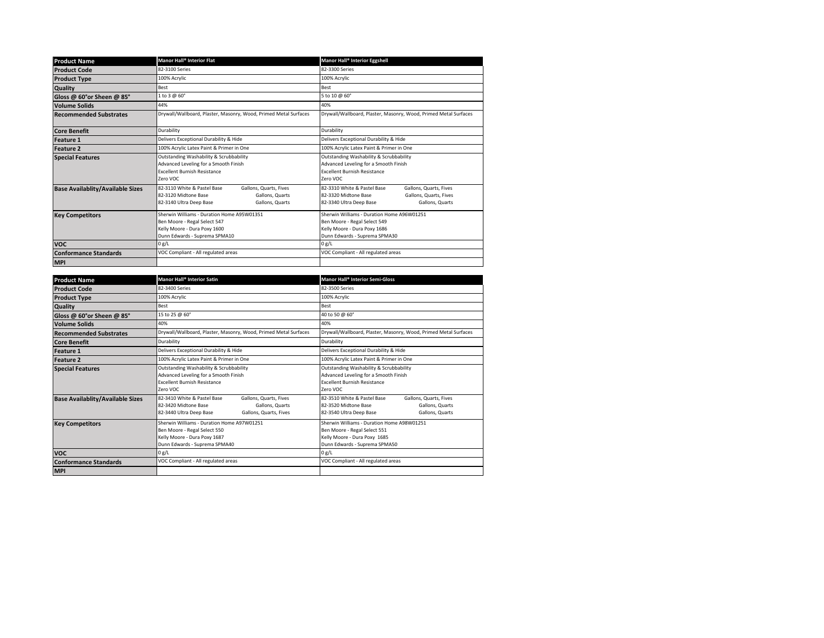| <b>Product Name</b>                     | Manor Hall <sup>®</sup> Interior Flat                                                                                                          | Manor Hall <sup>®</sup> Interior Eggshell                                                                                                             |  |
|-----------------------------------------|------------------------------------------------------------------------------------------------------------------------------------------------|-------------------------------------------------------------------------------------------------------------------------------------------------------|--|
| <b>Product Code</b>                     | 82-3100 Series                                                                                                                                 | 82-3300 Series                                                                                                                                        |  |
| <b>Product Type</b>                     | 100% Acrylic                                                                                                                                   | 100% Acrylic                                                                                                                                          |  |
| Quality                                 | Best                                                                                                                                           | Best                                                                                                                                                  |  |
| Gloss @ 60°or Sheen @ 85°               | 1 to 3 @ 60°                                                                                                                                   | 5 to 10 @ 60°                                                                                                                                         |  |
| <b>Volume Solids</b>                    | 44%                                                                                                                                            | 40%                                                                                                                                                   |  |
| <b>Recommended Substrates</b>           | Drywall/Wallboard, Plaster, Masonry, Wood, Primed Metal Surfaces                                                                               | Drywall/Wallboard, Plaster, Masonry, Wood, Primed Metal Surfaces                                                                                      |  |
| <b>Core Benefit</b>                     | Durability                                                                                                                                     | Durability                                                                                                                                            |  |
| <b>Feature 1</b>                        | Delivers Exceptional Durability & Hide                                                                                                         | Delivers Exceptional Durability & Hide                                                                                                                |  |
| <b>Feature 2</b>                        | 100% Acrylic Latex Paint & Primer in One                                                                                                       | 100% Acrylic Latex Paint & Primer in One                                                                                                              |  |
| <b>Special Features</b>                 | Outstanding Washability & Scrubbability<br>Advanced Leveling for a Smooth Finish<br><b>Excellent Burnish Resistance</b><br>Zero VOC            | Outstanding Washability & Scrubbability<br>Advanced Leveling for a Smooth Finish<br><b>Excellent Burnish Resistance</b><br>Zero VOC                   |  |
| <b>Base Availablity/Available Sizes</b> | 82-3110 White & Pastel Base<br>Gallons, Quarts, Fives<br>82-3120 Midtone Base<br>Gallons, Quarts<br>82-3140 Ultra Deep Base<br>Gallons, Quarts | 82-3310 White & Pastel Base<br>Gallons, Quarts, Fives<br>Gallons, Quarts, Fives<br>82-3320 Midtone Base<br>82-3340 Ultra Deep Base<br>Gallons, Quarts |  |
| <b>Key Competitors</b>                  | Sherwin Williams - Duration Home A95W01351<br>Ben Moore - Regal Select 547<br>Kelly Moore - Dura Poxy 1600<br>Dunn Edwards - Suprema SPMA10    | Sherwin Williams - Duration Home A96W01251<br>Ben Moore - Regal Select 549<br>Kelly Moore - Dura Poxy 1686<br>Dunn Edwards - Suprema SPMA30           |  |
| <b>VOC</b>                              | 0 g/L                                                                                                                                          | 0 g/L                                                                                                                                                 |  |
| <b>Conformance Standards</b>            | VOC Compliant - All regulated areas                                                                                                            | VOC Compliant - All regulated areas                                                                                                                   |  |
| <b>MPI</b>                              |                                                                                                                                                |                                                                                                                                                       |  |

| <b>Product Name</b>                     | Manor Hall <sup>®</sup> Interior Satin                                                                                                                | Manor Hall <sup>®</sup> Interior Semi-Gloss                                                                                                    |  |
|-----------------------------------------|-------------------------------------------------------------------------------------------------------------------------------------------------------|------------------------------------------------------------------------------------------------------------------------------------------------|--|
| <b>Product Code</b>                     | 82-3400 Series                                                                                                                                        | 82-3500 Series                                                                                                                                 |  |
| <b>Product Type</b>                     | 100% Acrylic                                                                                                                                          | 100% Acrylic                                                                                                                                   |  |
| <b>Quality</b>                          | Best                                                                                                                                                  | <b>Best</b>                                                                                                                                    |  |
| Gloss @ 60°or Sheen @ 85°               | 15 to 25 @ 60°                                                                                                                                        | 40 to 50 @ 60°                                                                                                                                 |  |
| <b>Volume Solids</b>                    | 40%                                                                                                                                                   | 40%                                                                                                                                            |  |
| <b>Recommended Substrates</b>           | Drywall/Wallboard, Plaster, Masonry, Wood, Primed Metal Surfaces                                                                                      | Drywall/Wallboard, Plaster, Masonry, Wood, Primed Metal Surfaces                                                                               |  |
| <b>Core Benefit</b>                     | Durability                                                                                                                                            | Durability                                                                                                                                     |  |
| <b>Feature 1</b>                        | Delivers Exceptional Durability & Hide                                                                                                                | Delivers Exceptional Durability & Hide                                                                                                         |  |
| <b>Feature 2</b>                        | 100% Acrylic Latex Paint & Primer in One                                                                                                              | 100% Acrylic Latex Paint & Primer in One                                                                                                       |  |
| <b>Special Features</b>                 | Outstanding Washability & Scrubbability<br>Advanced Leveling for a Smooth Finish<br><b>Excellent Burnish Resistance</b><br>Zero VOC                   | Outstanding Washability & Scrubbability<br>Advanced Leveling for a Smooth Finish<br><b>Excellent Burnish Resistance</b><br>Zero VOC            |  |
| <b>Base Availablity/Available Sizes</b> | 82-3410 White & Pastel Base<br>Gallons, Quarts, Fives<br>82-3420 Midtone Base<br>Gallons, Quarts<br>82-3440 Ultra Deep Base<br>Gallons, Quarts, Fives | 82-3510 White & Pastel Base<br>Gallons, Quarts, Fives<br>82-3520 Midtone Base<br>Gallons, Quarts<br>82-3540 Ultra Deep Base<br>Gallons, Quarts |  |
| <b>Key Competitors</b>                  | Sherwin Williams - Duration Home A97W01251<br>Ben Moore - Regal Select 550<br>Kelly Moore - Dura Poxy 1687<br>Dunn Edwards - Suprema SPMA40           | Sherwin Williams - Duration Home A98W01251<br>Ben Moore - Regal Select 551<br>Kelly Moore - Dura Poxy 1685<br>Dunn Edwards - Suprema SPMA50    |  |
| <b>VOC</b>                              | 0 g/L                                                                                                                                                 | 0 g/L                                                                                                                                          |  |
| <b>Conformance Standards</b>            | VOC Compliant - All regulated areas                                                                                                                   | VOC Compliant - All regulated areas                                                                                                            |  |
| <b>MPI</b>                              |                                                                                                                                                       |                                                                                                                                                |  |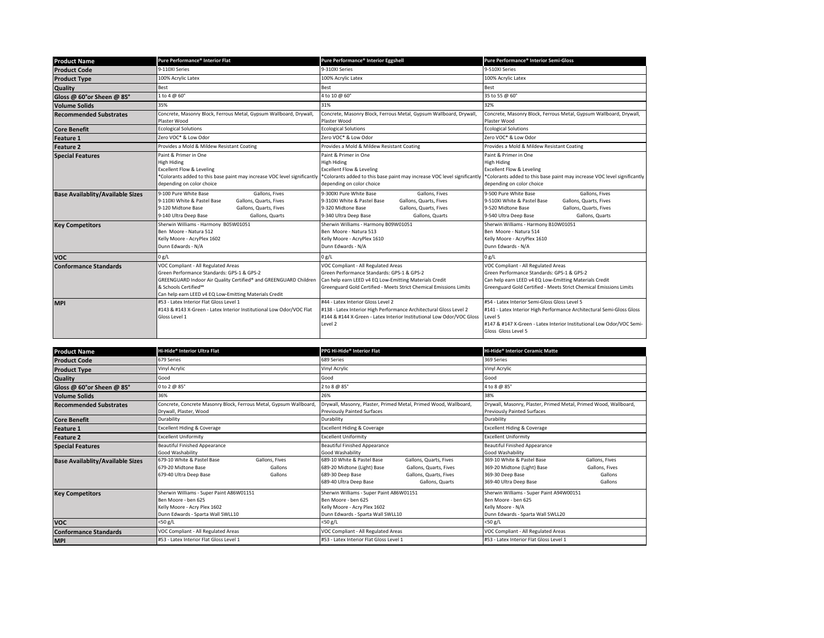| <b>Product Name</b>                     | Pure Performance® Interior Flat                                                                                                                                                                                                                      | Pure Performance® Interior Eggshell                                                                                                                                                                                                                                   | Pure Performance® Interior Semi-Gloss                                                                                                                                                                                             |  |
|-----------------------------------------|------------------------------------------------------------------------------------------------------------------------------------------------------------------------------------------------------------------------------------------------------|-----------------------------------------------------------------------------------------------------------------------------------------------------------------------------------------------------------------------------------------------------------------------|-----------------------------------------------------------------------------------------------------------------------------------------------------------------------------------------------------------------------------------|--|
| <b>Product Code</b>                     | 9-110XI Series                                                                                                                                                                                                                                       | 9-310XI Series                                                                                                                                                                                                                                                        | 9-510XI Series                                                                                                                                                                                                                    |  |
| <b>Product Type</b>                     | 100% Acrylic Latex                                                                                                                                                                                                                                   | 100% Acrylic Latex                                                                                                                                                                                                                                                    | 100% Acrylic Latex                                                                                                                                                                                                                |  |
| Quality                                 | Best                                                                                                                                                                                                                                                 | Best                                                                                                                                                                                                                                                                  | Best                                                                                                                                                                                                                              |  |
| Gloss @ 60°or Sheen @ 85°               | 1 to 4 @ 60°                                                                                                                                                                                                                                         | 4 to 10 @ 60°                                                                                                                                                                                                                                                         | 35 to 55 @ 60°                                                                                                                                                                                                                    |  |
| <b>Volume Solids</b>                    | 35%                                                                                                                                                                                                                                                  | 31%                                                                                                                                                                                                                                                                   | 32%                                                                                                                                                                                                                               |  |
| <b>Recommended Substrates</b>           | Concrete, Masonry Block, Ferrous Metal, Gypsum Wallboard, Drywall,<br>Plaster Wood                                                                                                                                                                   | Concrete, Masonry Block, Ferrous Metal, Gypsum Wallboard, Drywall,<br>Plaster Wood                                                                                                                                                                                    | Concrete, Masonry Block, Ferrous Metal, Gypsum Wallboard, Drywall,<br>Plaster Wood                                                                                                                                                |  |
| <b>Core Benefit</b>                     | <b>Ecological Solutions</b>                                                                                                                                                                                                                          | <b>Ecological Solutions</b>                                                                                                                                                                                                                                           | <b>Ecological Solutions</b>                                                                                                                                                                                                       |  |
| <b>Feature 1</b>                        | Zero VOC* & Low Odor                                                                                                                                                                                                                                 | Zero VOC* & Low Odor                                                                                                                                                                                                                                                  | Zero VOC* & Low Odor                                                                                                                                                                                                              |  |
| Feature 2                               | Provides a Mold & Mildew Resistant Coating                                                                                                                                                                                                           | Provides a Mold & Mildew Resistant Coating                                                                                                                                                                                                                            | Provides a Mold & Mildew Resistant Coating                                                                                                                                                                                        |  |
| <b>Special Features</b>                 | Paint & Primer in One<br><b>High Hiding</b><br>Excellent Flow & Leveling<br>depending on color choice                                                                                                                                                | Paint & Primer in One<br><b>High Hiding</b><br><b>Excellent Flow &amp; Leveling</b><br>*Colorants added to this base paint may increase VOC level significantly *Colorants added to this base paint may increase VOC level significantly<br>depending on color choice | Paint & Primer in One<br><b>High Hiding</b><br><b>Excellent Flow &amp; Leveling</b><br>*Colorants added to this base paint may increase VOC level significantly<br>depending on color choice                                      |  |
| <b>Base Availablity/Available Sizes</b> | 9-100 Pure White Base<br>Gallons, Fives<br>Gallons, Quarts, Fives<br>9-110XI White & Pastel Base<br>9-120 Midtone Base<br>Gallons, Quarts, Fives<br>Gallons, Quarts<br>9-140 Ultra Deep Base                                                         | 9-300XI Pure White Base<br>Gallons, Fives<br>Gallons, Quarts, Fives<br>9-310XI White & Pastel Base<br>9-320 Midtone Base<br>Gallons, Quarts, Fives<br>9-340 Ultra Deep Base<br>Gallons, Quarts                                                                        | 9-500 Pure White Base<br>Gallons, Fives<br>9-510XI White & Pastel Base<br>Gallons, Quarts, Fives<br>9-520 Midtone Base<br>Gallons, Quarts, Fives<br>9-540 Ultra Deep Base<br>Gallons, Quarts                                      |  |
| <b>Key Competitors</b>                  | Sherwin Williams - Harmony B05W01051<br>Ben Moore - Natura 512<br>Kelly Moore - AcryPlex 1602<br>Dunn Edwards - N/A                                                                                                                                  | Sherwin Williams - Harmony B09W01051<br>Ben Moore - Natura 513<br>Kelly Moore - AcryPlex 1610<br>Dunn Edwards - N/A                                                                                                                                                   | Sherwin Williams - Harmony B10W01051<br>Ben Moore - Natura 514<br>Kelly Moore - AcryPlex 1610<br>Dunn Edwards - N/A                                                                                                               |  |
| <b>VOC</b>                              | 0 g/L                                                                                                                                                                                                                                                | 0 g/L                                                                                                                                                                                                                                                                 | 0 g/L                                                                                                                                                                                                                             |  |
| <b>Conformance Standards</b>            | VOC Compliant - All Regulated Areas<br>Green Performance Standards: GPS-1 & GPS-2<br>GREENGUARD Indoor Air Quality Certified® and GREENGUARD Children<br>& Schools Certified <sup>5M</sup><br>Can help earn LEED v4 EQ Low-Emitting Materials Credit | VOC Compliant - All Regulated Areas<br>Green Performance Standards: GPS-1 & GPS-2<br>Can help earn LEED v4 EQ Low-Emitting Materials Credit<br>Greenguard Gold Certified - Meets Strict Chemical Emissions Limits                                                     | VOC Compliant - All Regulated Areas<br>Green Performance Standards: GPS-1 & GPS-2<br>Can help earn LEED v4 EQ Low-Emitting Materials Credit<br>Greenguard Gold Certified - Meets Strict Chemical Emissions Limits                 |  |
| <b>MPI</b>                              | #53 - Latex Interior Flat Gloss Level 1<br>#143 & #143 X-Green - Latex Interior Institutional Low Odor/VOC Flat<br>Gloss Level 1                                                                                                                     | #44 - Latex Interior Gloss Level 2<br>#138 - Latex Interior High Performance Architectural Gloss Level 2<br>#144 & #144 X-Green - Latex Interior Institutional Low Odor/VOC Gloss<br>Level 2                                                                          | #54 - Latex Interior Semi-Gloss Gloss Level 5<br>#141 - Latex Interior High Performance Architectural Semi-Gloss Gloss<br>Level 5<br>#147 & #147 X-Green - Latex Interior Institutional Low Odor/VOC Semi-<br>Gloss Gloss Level 5 |  |

| <b>Product Name</b>                     | Hi-Hide® Interior Ultra Flat                                                                |                | PPG Hi-Hide® Interior Flat               |                                                                  | Hi-Hide® Interior Ceramic Matte          |                                                                  |
|-----------------------------------------|---------------------------------------------------------------------------------------------|----------------|------------------------------------------|------------------------------------------------------------------|------------------------------------------|------------------------------------------------------------------|
| <b>Product Code</b>                     | 679 Series                                                                                  |                | 689 Series                               |                                                                  | 369 Series                               |                                                                  |
| <b>Product Type</b>                     | Vinyl Acrylic                                                                               |                | Vinyl Acrylic                            |                                                                  | Vinyl Acrylic                            |                                                                  |
| Quality                                 | Good                                                                                        |                | Good                                     |                                                                  | Good                                     |                                                                  |
| Gloss @ 60°or Sheen @ 85°               | 0 to 2 @ 85°                                                                                |                | 2 to 8 @ 85°                             |                                                                  | 4 to 8 @ 85°                             |                                                                  |
| <b>Volume Solids</b>                    | 36%                                                                                         |                | 26%                                      |                                                                  | 38%                                      |                                                                  |
| <b>Recommended Substrates</b>           | Concrete, Concrete Masonry Block, Ferrous Metal, Gypsum Wallboard<br>Drvwall, Plaster, Wood |                | <b>Previously Painted Surfaces</b>       | Drywall, Masonry, Plaster, Primed Metal, Primed Wood, Wallboard, |                                          | Drywall, Masonry, Plaster, Primed Metal, Primed Wood, Wallboard, |
| <b>Core Benefit</b>                     | Durability                                                                                  |                | Durability                               |                                                                  | Durability                               |                                                                  |
| <b>Feature 1</b>                        | <b>Excellent Hiding &amp; Coverage</b>                                                      |                | <b>Excellent Hiding &amp; Coverage</b>   |                                                                  | Excellent Hiding & Coverage              |                                                                  |
| <b>Feature 2</b>                        | <b>Excellent Uniformity</b>                                                                 |                | <b>Excellent Uniformity</b>              |                                                                  | <b>Excellent Uniformity</b>              |                                                                  |
| <b>Special Features</b>                 | <b>Beautiful Finished Appearance</b>                                                        |                | Beautiful Finished Appearance            |                                                                  | <b>Beautiful Finished Appearance</b>     |                                                                  |
|                                         | Good Washability                                                                            |                | Good Washability                         |                                                                  | Good Washability                         |                                                                  |
| <b>Base Availablity/Available Sizes</b> | 679-10 White & Pastel Base                                                                  | Gallons, Fives | 689-10 White & Pastel Base               | Gallons, Quarts, Fives                                           | 369-10 White & Pastel Base               | Gallons, Fives                                                   |
|                                         | 679-20 Midtone Base                                                                         | Gallons        | 689-20 Midtone (Light) Base              | Gallons, Quarts, Fives                                           | 369-20 Midtone (Light) Base              | Gallons, Fives                                                   |
|                                         | 679-40 Ultra Deep Base                                                                      | Gallons        | 689-30 Deep Base                         | Gallons, Quarts, Fives                                           | 369-30 Deep Base                         | Gallons                                                          |
|                                         |                                                                                             |                | 689-40 Ultra Deep Base                   | Gallons, Quarts                                                  | 369-40 Ultra Deep Base                   | Gallons                                                          |
| <b>Key Competitors</b>                  | Sherwin Williams - Super Paint A86W01151                                                    |                | Sherwin Williams - Super Paint A86W01151 |                                                                  | Sherwin Williams - Super Paint A94W00151 |                                                                  |
|                                         | Ben Moore - ben 625                                                                         |                | Ben Moore - ben 625                      |                                                                  | Ben Moore - ben 625                      |                                                                  |
|                                         | Kelly Moore - Acry Plex 1602                                                                |                | Kelly Moore - Acry Plex 1602             |                                                                  | Kelly Moore - N/A                        |                                                                  |
|                                         | Dunn Edwards - Sparta Wall SWLL10                                                           |                | Dunn Edwards - Sparta Wall SWLL10        |                                                                  | Dunn Edwards - Sparta Wall SWLL20        |                                                                  |
| <b>VOC</b>                              | <50 g/L                                                                                     |                | $<$ 50 g/L                               |                                                                  | $<$ 50 g/L                               |                                                                  |
| <b>Conformance Standards</b>            | VOC Compliant - All Regulated Areas                                                         |                | VOC Compliant - All Regulated Areas      |                                                                  | VOC Compliant - All Regulated Areas      |                                                                  |
| <b>MPI</b>                              | #53 - Latex Interior Flat Gloss Level 1                                                     |                | #53 - Latex Interior Flat Gloss Level 1  |                                                                  | #53 - Latex Interior Flat Gloss Level 1  |                                                                  |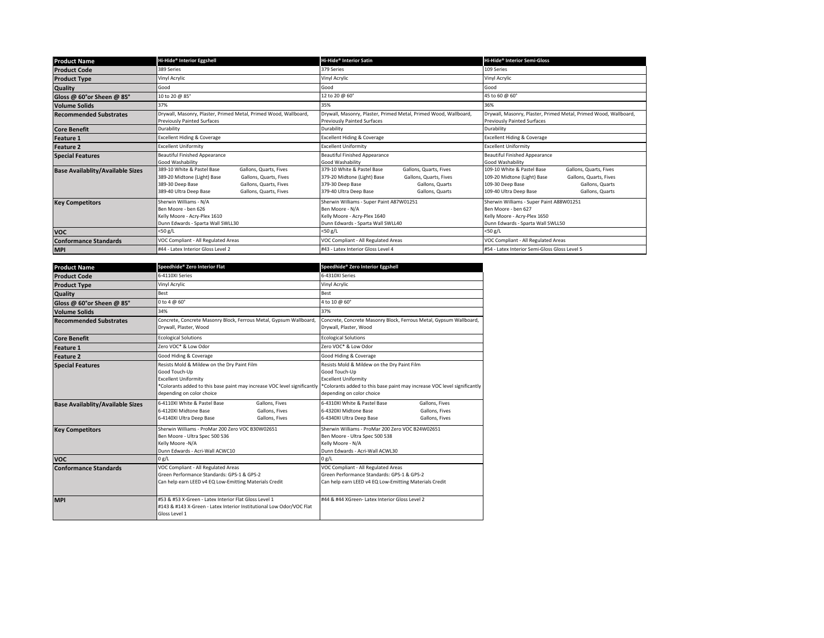| <b>Product Name</b>                     | Hi-Hide® Interior Eggshell                                                                                                                                                                                      | Hi-Hide® Interior Satin                                                                                                                                                                           | Hi-Hide® Interior Semi-Gloss                                                                                                                                                                      |  |
|-----------------------------------------|-----------------------------------------------------------------------------------------------------------------------------------------------------------------------------------------------------------------|---------------------------------------------------------------------------------------------------------------------------------------------------------------------------------------------------|---------------------------------------------------------------------------------------------------------------------------------------------------------------------------------------------------|--|
| <b>Product Code</b>                     | 389 Series                                                                                                                                                                                                      | 379 Series                                                                                                                                                                                        | 109 Series                                                                                                                                                                                        |  |
| <b>Product Type</b>                     | Vinyl Acrylic                                                                                                                                                                                                   | Vinyl Acrylic                                                                                                                                                                                     | Vinyl Acrylic                                                                                                                                                                                     |  |
| Quality                                 | Good                                                                                                                                                                                                            | Good                                                                                                                                                                                              | Good                                                                                                                                                                                              |  |
| Gloss @ 60°or Sheen @ 85°               | 10 to 20 @ 85°                                                                                                                                                                                                  | 12 to 20 @ 60°                                                                                                                                                                                    | 45 to 60 @ 60°                                                                                                                                                                                    |  |
| <b>Volume Solids</b>                    | 37%                                                                                                                                                                                                             | 35%                                                                                                                                                                                               | 36%                                                                                                                                                                                               |  |
| <b>Recommended Substrates</b>           | Drywall, Masonry, Plaster, Primed Metal, Primed Wood, Wallboard,<br><b>Previously Painted Surfaces</b>                                                                                                          | Drywall, Masonry, Plaster, Primed Metal, Primed Wood, Wallboard,<br><b>Previously Painted Surfaces</b>                                                                                            | Drywall, Masonry, Plaster, Primed Metal, Primed Wood, Wallboard,<br><b>Previously Painted Surfaces</b>                                                                                            |  |
| <b>Core Benefit</b>                     | Durability                                                                                                                                                                                                      | Durability                                                                                                                                                                                        | Durability                                                                                                                                                                                        |  |
| <b>Feature 1</b>                        | <b>Excellent Hiding &amp; Coverage</b>                                                                                                                                                                          | <b>Excellent Hiding &amp; Coverage</b>                                                                                                                                                            | <b>Excellent Hiding &amp; Coverage</b>                                                                                                                                                            |  |
| <b>Feature 2</b>                        | <b>Excellent Uniformity</b>                                                                                                                                                                                     | <b>Excellent Uniformity</b>                                                                                                                                                                       | <b>Excellent Uniformity</b>                                                                                                                                                                       |  |
| <b>Special Features</b>                 | <b>Beautiful Finished Appearance</b><br>Good Washability                                                                                                                                                        | <b>Beautiful Finished Appearance</b><br>Good Washability                                                                                                                                          | <b>Beautiful Finished Appearance</b><br>Good Washability                                                                                                                                          |  |
| <b>Base Availablity/Available Sizes</b> | 389-10 White & Pastel Base<br>Gallons, Quarts, Fives<br>389-20 Midtone (Light) Base<br>Gallons, Quarts, Fives<br>389-30 Deep Base<br>Gallons, Quarts, Fives<br>389-40 Ultra Deep Base<br>Gallons, Quarts, Fives | 379-10 White & Pastel Base<br>Gallons, Quarts, Fives<br>379-20 Midtone (Light) Base<br>Gallons, Quarts, Fives<br>379-30 Deep Base<br>Gallons, Quarts<br>379-40 Ultra Deep Base<br>Gallons, Quarts | 109-10 White & Pastel Base<br>Gallons, Quarts, Fives<br>109-20 Midtone (Light) Base<br>Gallons, Quarts, Fives<br>109-30 Deep Base<br>Gallons, Quarts<br>109-40 Ultra Deep Base<br>Gallons, Quarts |  |
| <b>Key Competitors</b>                  | Sherwin Williams - N/A<br>Ben Moore - ben 626<br>Kelly Moore - Acry-Plex 1610<br>Dunn Edwards - Sparta Wall SWLL30                                                                                              | Sherwin Williams - Super Paint A87W01251<br>Ben Moore - N/A<br>Kelly Moore - Acry-Plex 1640<br>Dunn Edwards - Sparta Wall SWLL40                                                                  | Sherwin Williams - Super Paint A88W01251<br>Ben Moore - ben 627<br>Kelly Moore - Acry-Plex 1650<br>Dunn Edwards - Sparta Wall SWLL50                                                              |  |
| <b>VOC</b>                              | <50 g/L                                                                                                                                                                                                         | $<$ 50 g/L                                                                                                                                                                                        | <50 g/L                                                                                                                                                                                           |  |
| <b>Conformance Standards</b>            | VOC Compliant - All Regulated Areas                                                                                                                                                                             | VOC Compliant - All Regulated Areas                                                                                                                                                               | VOC Compliant - All Regulated Areas                                                                                                                                                               |  |
| <b>MPI</b>                              | #44 - Latex Interior Gloss Level 2                                                                                                                                                                              | #43 - Latex Interior Gloss Level 4                                                                                                                                                                | #54 - Latex Interior Semi-Gloss Gloss Level 5                                                                                                                                                     |  |

| <b>Product Name</b>                     | Speedhide® Zero Interior Flat                                                                                                                                                                        | Speedhide® Zero Interior Eggshell                                                                                                                                                                    |  |
|-----------------------------------------|------------------------------------------------------------------------------------------------------------------------------------------------------------------------------------------------------|------------------------------------------------------------------------------------------------------------------------------------------------------------------------------------------------------|--|
| <b>Product Code</b>                     | 6-4110XLSeries                                                                                                                                                                                       | 6-4310XL Series                                                                                                                                                                                      |  |
| <b>Product Type</b>                     | Vinyl Acrylic                                                                                                                                                                                        | Vinyl Acrylic                                                                                                                                                                                        |  |
| Quality                                 | <b>Best</b>                                                                                                                                                                                          | <b>Best</b>                                                                                                                                                                                          |  |
| Gloss @ 60°or Sheen @ 85°               | 0 to 4 $\omega$ 60 $^{\circ}$                                                                                                                                                                        | 4 to 10 @ 60°                                                                                                                                                                                        |  |
| <b>Volume Solids</b>                    | 34%                                                                                                                                                                                                  | 37%                                                                                                                                                                                                  |  |
| <b>Recommended Substrates</b>           | Concrete, Concrete Masonry Block, Ferrous Metal, Gypsum Wallboard<br>Drywall, Plaster, Wood                                                                                                          | Concrete, Concrete Masonry Block, Ferrous Metal, Gypsum Wallboard,<br>Drywall, Plaster, Wood                                                                                                         |  |
| <b>Core Benefit</b>                     | <b>Ecological Solutions</b>                                                                                                                                                                          | <b>Ecological Solutions</b>                                                                                                                                                                          |  |
| <b>Feature 1</b>                        | Zero VOC* & Low Odor                                                                                                                                                                                 | Zero VOC* & Low Odor                                                                                                                                                                                 |  |
| Feature 2                               | Good Hiding & Coverage                                                                                                                                                                               | Good Hiding & Coverage                                                                                                                                                                               |  |
| <b>Special Features</b>                 | Resists Mold & Mildew on the Dry Paint Film<br>Good Touch-Up<br><b>Excellent Uniformity</b><br>*Colorants added to this base paint may increase VOC level significantly<br>depending on color choice | Resists Mold & Mildew on the Dry Paint Film<br>Good Touch-Up<br><b>Excellent Uniformity</b><br>*Colorants added to this base paint may increase VOC level significantly<br>depending on color choice |  |
| <b>Base Availablity/Available Sizes</b> | 6-4110XI White & Pastel Base<br>Gallons, Fives<br>6-4120XI Midtone Base<br>Gallons, Fives<br>6-4140XI Ultra Deep Base<br>Gallons, Fives                                                              | 6-4310XI White & Pastel Base<br>Gallons, Fives<br>6-4320XI Midtone Base<br>Gallons, Fives<br>6-4340XI Ultra Deep Base<br>Gallons, Fives                                                              |  |
| <b>Key Competitors</b>                  | Sherwin Williams - ProMar 200 Zero VOC B30W02651<br>Ben Moore - Ultra Spec 500 536<br>Kelly Moore -N/A<br>Dunn Edwards - Acri-Wall ACWC10                                                            | Sherwin Williams - ProMar 200 Zero VOC B24W02651<br>Ben Moore - Ultra Spec 500 538<br>Kelly Moore - N/A<br>Dunn Fdwards - Acri-Wall ACWL30                                                           |  |
| <b>VOC</b>                              | 0 g/L                                                                                                                                                                                                | 0 g/L                                                                                                                                                                                                |  |
| <b>Conformance Standards</b>            | VOC Compliant - All Regulated Areas<br>Green Performance Standards: GPS-1 & GPS-2<br>Can help earn LEED v4 EQ Low-Emitting Materials Credit                                                          | VOC Compliant - All Regulated Areas<br>Green Performance Standards: GPS-1 & GPS-2<br>Can help earn LEED v4 EQ Low-Emitting Materials Credit                                                          |  |
| <b>MPI</b>                              | #53 & #53 X-Green - Latex Interior Flat Gloss Level 1<br>#143 & #143 X-Green - Latex Interior Institutional Low Odor/VOC Flat<br>Gloss Level 1                                                       | #44 & #44 XGreen-Latex Interior Gloss Level 2                                                                                                                                                        |  |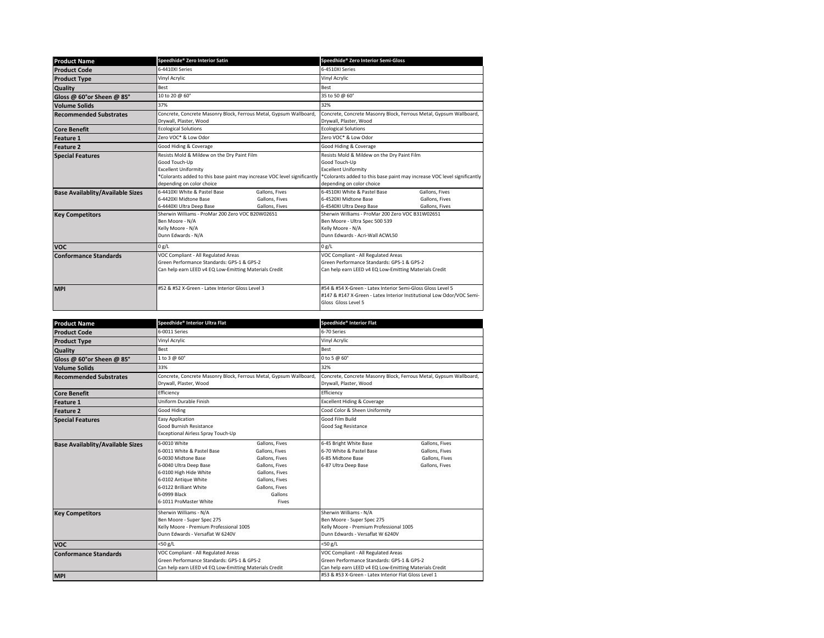| <b>Product Name</b>                     | Speedhide® Zero Interior Satin                                                                                                                                                                       | Speedhide® Zero Interior Semi-Gloss                                                                                                                                                                  |  |
|-----------------------------------------|------------------------------------------------------------------------------------------------------------------------------------------------------------------------------------------------------|------------------------------------------------------------------------------------------------------------------------------------------------------------------------------------------------------|--|
| <b>Product Code</b>                     | 6-4410XLSeries                                                                                                                                                                                       | 6-4510XLSeries                                                                                                                                                                                       |  |
| <b>Product Type</b>                     | Vinyl Acrylic                                                                                                                                                                                        | Vinyl Acrylic                                                                                                                                                                                        |  |
| Quality                                 | Best                                                                                                                                                                                                 | Best                                                                                                                                                                                                 |  |
| Gloss @ 60°or Sheen @ 85°               | 10 to 20 @ 60°                                                                                                                                                                                       | 35 to 50 @ 60°                                                                                                                                                                                       |  |
| <b>Volume Solids</b>                    | 37%                                                                                                                                                                                                  | 32%                                                                                                                                                                                                  |  |
| <b>Recommended Substrates</b>           | Concrete, Concrete Masonry Block, Ferrous Metal, Gypsum Wallboard,<br>Drvwall, Plaster, Wood                                                                                                         | Concrete, Concrete Masonry Block, Ferrous Metal, Gypsum Wallboard,<br>Drywall, Plaster, Wood                                                                                                         |  |
| <b>Core Benefit</b>                     | <b>Ecological Solutions</b>                                                                                                                                                                          | <b>Ecological Solutions</b>                                                                                                                                                                          |  |
| <b>Feature 1</b>                        | Zero VOC* & Low Odor                                                                                                                                                                                 | Zero VOC* & Low Odor                                                                                                                                                                                 |  |
| <b>Feature 2</b>                        | Good Hiding & Coverage                                                                                                                                                                               | Good Hiding & Coverage                                                                                                                                                                               |  |
| <b>Special Features</b>                 | Resists Mold & Mildew on the Dry Paint Film<br>Good Touch-Up<br><b>Excellent Uniformity</b><br>*Colorants added to this base paint may increase VOC level significantly<br>depending on color choice | Resists Mold & Mildew on the Dry Paint Film<br>Good Touch-Up<br><b>Excellent Uniformity</b><br>*Colorants added to this base paint may increase VOC level significantly<br>depending on color choice |  |
| <b>Base Availablity/Available Sizes</b> | 6-4410XI White & Pastel Base<br>Gallons, Fives<br>6-4420XLMidtone Base<br>Gallons, Fives<br>6-4440XI Ultra Deep Base<br>Gallons, Fives                                                               | 6-4510XI White & Pastel Base<br>Gallons, Fives<br>6-4520XI Midtone Base<br>Gallons, Fives<br>6-4540XI Ultra Deep Base<br>Gallons, Fives                                                              |  |
| <b>Key Competitors</b>                  | Sherwin Williams - ProMar 200 Zero VOC B20W02651<br>Ben Moore - N/A<br>Kelly Moore - N/A<br>Dunn Edwards - N/A                                                                                       | Sherwin Williams - ProMar 200 Zero VOC B31W02651<br>Ben Moore - Ultra Spec 500 539<br>Kelly Moore - N/A<br>Dunn Edwards - Acri-Wall ACWL50                                                           |  |
| <b>VOC</b>                              | 0 g/L                                                                                                                                                                                                | 0 g/L                                                                                                                                                                                                |  |
| <b>Conformance Standards</b>            | VOC Compliant - All Regulated Areas<br>Green Performance Standards: GPS-1 & GPS-2<br>Can help earn LEED v4 EQ Low-Emitting Materials Credit                                                          | VOC Compliant - All Regulated Areas<br>Green Performance Standards: GPS-1 & GPS-2<br>Can help earn LEED v4 EQ Low-Emitting Materials Credit                                                          |  |
| <b>MPI</b>                              | #52 & #52 X-Green - Latex Interior Gloss Level 3                                                                                                                                                     | #54 & #54 X-Green - Latex Interior Semi-Gloss Gloss Level 5<br>#147 & #147 X-Green - Latex Interior Institutional Low Odor/VOC Semi-<br>Gloss Gloss Level 5                                          |  |

| <b>Product Name</b>                     | Speedhide® Interior Ultra Flat                                                                                                                                                                                    |                                                                                                                                                | Speedhide® Interior Flat                                                                                                                    |                                                                      |  |
|-----------------------------------------|-------------------------------------------------------------------------------------------------------------------------------------------------------------------------------------------------------------------|------------------------------------------------------------------------------------------------------------------------------------------------|---------------------------------------------------------------------------------------------------------------------------------------------|----------------------------------------------------------------------|--|
| <b>Product Code</b>                     | 6-0011 Series                                                                                                                                                                                                     |                                                                                                                                                | 6-70 Series                                                                                                                                 |                                                                      |  |
| <b>Product Type</b>                     | Vinvl Acrvlic                                                                                                                                                                                                     |                                                                                                                                                | Vinyl Acrylic                                                                                                                               |                                                                      |  |
| <b>Quality</b>                          | <b>Best</b>                                                                                                                                                                                                       |                                                                                                                                                | <b>Best</b>                                                                                                                                 |                                                                      |  |
| Gloss @ 60°or Sheen @ 85°               | 1 to 3 @ 60°                                                                                                                                                                                                      |                                                                                                                                                | $0$ to 5 $\omega$ 60 $^{\circ}$                                                                                                             |                                                                      |  |
| <b>Volume Solids</b>                    | 33%                                                                                                                                                                                                               |                                                                                                                                                | 32%                                                                                                                                         |                                                                      |  |
| <b>Recommended Substrates</b>           | Drywall, Plaster, Wood                                                                                                                                                                                            | Concrete, Concrete Masonry Block, Ferrous Metal, Gypsum Wallboard,<br>Drywall, Plaster, Wood                                                   |                                                                                                                                             | Concrete, Concrete Masonry Block, Ferrous Metal, Gypsum Wallboard,   |  |
| <b>Core Benefit</b>                     | Efficiency                                                                                                                                                                                                        |                                                                                                                                                | Efficiency                                                                                                                                  |                                                                      |  |
| Feature 1                               | Uniform Durable Finish                                                                                                                                                                                            |                                                                                                                                                | <b>Excellent Hiding &amp; Coverage</b>                                                                                                      |                                                                      |  |
| <b>Feature 2</b>                        | Good Hiding                                                                                                                                                                                                       |                                                                                                                                                | Cood Color & Sheen Uniformity                                                                                                               |                                                                      |  |
| <b>Special Features</b>                 | Easy Application<br>Good Burnish Resistance<br>Exceptional Airless Spray Touch-Up                                                                                                                                 |                                                                                                                                                | Good Film Build<br>Good Sag Resistance                                                                                                      |                                                                      |  |
| <b>Base Availablity/Available Sizes</b> | 6-0010 White<br>6-0011 White & Pastel Base<br>6-0030 Midtone Base<br>6-0040 Ultra Deep Base<br>6-0100 High Hide White<br>6-0102 Antique White<br>6-0122 Brilliant White<br>6-0999 Black<br>6-1011 ProMaster White | Gallons, Fives<br>Gallons, Fives<br>Gallons, Fives<br>Gallons, Fives<br>Gallons, Fives<br>Gallons, Fives<br>Gallons, Fives<br>Gallons<br>Fives | 6-45 Bright White Base<br>6-70 White & Pastel Base<br>6-85 Midtone Base<br>6-87 Ultra Deep Base                                             | Gallons, Fives<br>Gallons, Fives<br>Gallons, Fives<br>Gallons, Fives |  |
| <b>Key Competitors</b>                  | Sherwin Williams - N/A<br>Ben Moore - Super Spec 275<br>Kelly Moore - Premium Professional 1005<br>Dunn Edwards - Versaflat W 6240V                                                                               |                                                                                                                                                | Sherwin Williams - N/A<br>Ben Moore - Super Spec 275<br>Kelly Moore - Premium Professional 1005<br>Dunn Edwards - Versaflat W 6240V         |                                                                      |  |
| <b>VOC</b>                              | <50 g/L                                                                                                                                                                                                           |                                                                                                                                                | $<$ 50 g/L                                                                                                                                  |                                                                      |  |
| <b>Conformance Standards</b>            | VOC Compliant - All Regulated Areas<br>Green Performance Standards: GPS-1 & GPS-2<br>Can help earn LEED v4 EQ Low-Emitting Materials Credit                                                                       |                                                                                                                                                | VOC Compliant - All Regulated Areas<br>Green Performance Standards: GPS-1 & GPS-2<br>Can help earn LEED v4 EQ Low-Emitting Materials Credit |                                                                      |  |
| <b>MPI</b>                              |                                                                                                                                                                                                                   |                                                                                                                                                | #53 & #53 X-Green - Latex Interior Flat Gloss Level 1                                                                                       |                                                                      |  |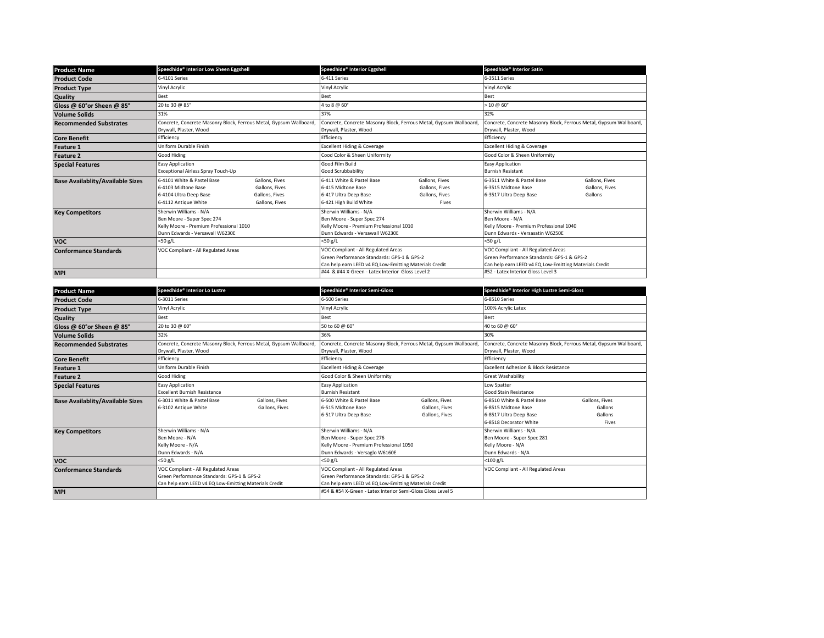| <b>Product Name</b>                     | Speedhide® Interior Low Sheen Eggshell                                                                                             |                                                                      | Speedhide® Interior Eggshell                                                                                                                |                                                                    | Speedhide® Interior Satin                                                                                                                   |                                             |  |
|-----------------------------------------|------------------------------------------------------------------------------------------------------------------------------------|----------------------------------------------------------------------|---------------------------------------------------------------------------------------------------------------------------------------------|--------------------------------------------------------------------|---------------------------------------------------------------------------------------------------------------------------------------------|---------------------------------------------|--|
| <b>Product Code</b>                     | 6-4101 Series                                                                                                                      |                                                                      | 6-411 Series                                                                                                                                |                                                                    |                                                                                                                                             | 6-3511 Series                               |  |
| <b>Product Type</b>                     | Vinyl Acrylic                                                                                                                      |                                                                      | Vinyl Acrylic                                                                                                                               |                                                                    | Vinyl Acrylic                                                                                                                               |                                             |  |
| <b>Quality</b>                          | Best                                                                                                                               |                                                                      | Best                                                                                                                                        |                                                                    | <b>Best</b>                                                                                                                                 |                                             |  |
| Gloss @ 60°or Sheen @ 85°               | 20 to 30 @ 85°                                                                                                                     |                                                                      | 4 to 8 @ 60°                                                                                                                                |                                                                    | $> 10 \ (0.60^\circ)$                                                                                                                       |                                             |  |
| <b>Volume Solids</b>                    | 31%                                                                                                                                |                                                                      | 37%                                                                                                                                         |                                                                    | 32%                                                                                                                                         |                                             |  |
| <b>Recommended Substrates</b>           | Concrete, Concrete Masonry Block, Ferrous Metal, Gypsum Wallboard,<br>Drywall, Plaster, Wood                                       |                                                                      | Drywall, Plaster, Wood                                                                                                                      | Concrete, Concrete Masonry Block, Ferrous Metal, Gypsum Wallboard, | Concrete, Concrete Masonry Block, Ferrous Metal, Gypsum Wallboard,<br>Drywall, Plaster, Wood                                                |                                             |  |
| <b>Core Benefit</b>                     | Efficiency                                                                                                                         |                                                                      | Efficiency                                                                                                                                  |                                                                    | Efficiency                                                                                                                                  |                                             |  |
| <b>Feature 1</b>                        | Uniform Durable Finish                                                                                                             |                                                                      | <b>Excellent Hiding &amp; Coverage</b>                                                                                                      |                                                                    | <b>Excellent Hiding &amp; Coverage</b>                                                                                                      |                                             |  |
| <b>Feature 2</b>                        | Good Hiding                                                                                                                        |                                                                      | Cood Color & Sheen Uniformity                                                                                                               |                                                                    | Good Color & Sheen Uniformity                                                                                                               |                                             |  |
| <b>Special Features</b>                 | <b>Easy Application</b><br>Exceptional Airless Spray Touch-Up                                                                      |                                                                      | Good Film Build<br>Good Scrubbability                                                                                                       |                                                                    | <b>Easy Application</b><br><b>Burnish Resistant</b>                                                                                         |                                             |  |
| <b>Base Availablity/Available Sizes</b> | 6-4101 White & Pastel Base<br>6-4103 Midtone Base<br>6-4104 Ultra Deep Base<br>6-4112 Antique White                                | Gallons, Fives<br>Gallons, Fives<br>Gallons, Fives<br>Gallons, Fives | 6-411 White & Pastel Base<br>6-415 Midtone Base<br>6-417 Ultra Deep Base<br>6-421 High Build White                                          | Gallons, Fives<br>Gallons, Fives<br>Gallons, Fives<br>Fives        | 6-3511 White & Pastel Base<br>6-3515 Midtone Base<br>6-3517 Ultra Deep Base                                                                 | Gallons, Fives<br>Gallons, Fives<br>Gallons |  |
| <b>Key Competitors</b>                  | Sherwin Williams - N/A<br>Ben Moore - Super Spec 274<br>Kelly Moore - Premium Professional 1010<br>Dunn Edwards - Versawall W6230E |                                                                      | Sherwin Williams - N/A<br>Ben Moore - Super Spec 274<br>Kelly Moore - Premium Professional 1010<br>Dunn Edwards - Versawall W6230E          |                                                                    | Sherwin Williams - N/A<br>Ben Moore - N/A<br>Kelly Moore - Premium Professional 1040<br>Dunn Edwards - Versasatin W6250E                    |                                             |  |
| <b>VOC</b>                              | $<$ 50 g/L                                                                                                                         |                                                                      | $<$ 50 g/L                                                                                                                                  |                                                                    | <50 g/L                                                                                                                                     |                                             |  |
| <b>Conformance Standards</b>            | VOC Compliant - All Regulated Areas                                                                                                |                                                                      | VOC Compliant - All Regulated Areas<br>Green Performance Standards: GPS-1 & GPS-2<br>Can help earn LEED v4 EQ Low-Emitting Materials Credit |                                                                    | VOC Compliant - All Regulated Areas<br>Green Performance Standards: GPS-1 & GPS-2<br>Can help earn LEED v4 EQ Low-Emitting Materials Credit |                                             |  |
| <b>MPI</b>                              |                                                                                                                                    |                                                                      | #44 & #44 X-Green - Latex Interior Gloss Level 2                                                                                            |                                                                    | #52 - Latex Interior Gloss Level 3                                                                                                          |                                             |  |

| <b>Product Name</b>                     | Speedhide® Interior Lo Lustre                                                                                                               |                                  | Speedhide® Interior Semi-Gloss                                                                                                              |                                                                    | Speedhide® Interior High Lustre Semi-Gloss                                                            |                                                                    |  |
|-----------------------------------------|---------------------------------------------------------------------------------------------------------------------------------------------|----------------------------------|---------------------------------------------------------------------------------------------------------------------------------------------|--------------------------------------------------------------------|-------------------------------------------------------------------------------------------------------|--------------------------------------------------------------------|--|
| <b>Product Code</b>                     | 6-3011 Series                                                                                                                               |                                  | 6-500 Series                                                                                                                                |                                                                    |                                                                                                       | 6-8510 Series                                                      |  |
| <b>Product Type</b>                     | Vinyl Acrylic                                                                                                                               |                                  | Vinyl Acrylic                                                                                                                               |                                                                    | 100% Acrylic Latex                                                                                    |                                                                    |  |
| Quality                                 | Best                                                                                                                                        |                                  | Best                                                                                                                                        |                                                                    | Best                                                                                                  |                                                                    |  |
| Gloss @ 60°or Sheen @ 85°               | 20 to 30 @ 60°                                                                                                                              |                                  | 50 to 60 @ 60°                                                                                                                              |                                                                    | 40 to 60 @ 60°                                                                                        |                                                                    |  |
| <b>Volume Solids</b>                    | 32%                                                                                                                                         |                                  | 36%                                                                                                                                         |                                                                    | 30%                                                                                                   |                                                                    |  |
| <b>Recommended Substrates</b>           | Concrete, Concrete Masonry Block, Ferrous Metal, Gypsum Wallboard<br>Drywall, Plaster, Wood                                                 |                                  | Drywall, Plaster, Wood                                                                                                                      | Concrete, Concrete Masonry Block, Ferrous Metal, Gypsum Wallboard, | Drywall, Plaster, Wood                                                                                | Concrete, Concrete Masonry Block, Ferrous Metal, Gypsum Wallboard, |  |
| <b>Core Benefit</b>                     | Efficiency                                                                                                                                  |                                  | Efficiency                                                                                                                                  |                                                                    | Efficiency                                                                                            |                                                                    |  |
| <b>Feature 1</b>                        | Uniform Durable Finish                                                                                                                      |                                  | <b>Excellent Hiding &amp; Coverage</b>                                                                                                      |                                                                    | <b>Excellent Adhesion &amp; Block Resistance</b>                                                      |                                                                    |  |
| <b>Feature 2</b>                        | <b>Good Hiding</b>                                                                                                                          |                                  | Good Color & Sheen Uniformity                                                                                                               |                                                                    | Great Washability                                                                                     |                                                                    |  |
| <b>Special Features</b>                 | <b>Easy Application</b><br><b>Excellent Burnish Resistance</b>                                                                              |                                  | <b>Easy Application</b><br><b>Burnish Resistant</b>                                                                                         |                                                                    | Low Spatter<br>Good Stain Resistance                                                                  |                                                                    |  |
| <b>Base Availablity/Available Sizes</b> | 6-3011 White & Pastel Base<br>6-3102 Antique White                                                                                          | Gallons, Fives<br>Gallons, Fives | 6-500 White & Pastel Base<br>6-515 Midtone Base<br>6-517 Ultra Deep Base                                                                    | Gallons, Fives<br>Gallons, Fives<br>Gallons, Fives                 | 6-8510 White & Pastel Base<br>6-8515 Midtone Base<br>6-8517 Ultra Deep Base<br>6-8518 Decorator White | Gallons, Fives<br>Gallons<br>Gallons<br>Fives                      |  |
| <b>Key Competitors</b>                  | Sherwin Williams - N/A<br>Ben Moore - N/A<br>Kelly Moore - N/A<br>Dunn Edwards - N/A                                                        |                                  | Sherwin Williams - N/A<br>Ben Moore - Super Spec 276<br>Kelly Moore - Premium Professional 1050<br>Dunn Edwards - Versaglo W6160E           |                                                                    | Sherwin Williams - N/A<br>Ben Moore - Super Spec 281<br>Kelly Moore - N/A<br>Dunn Edwards - N/A       |                                                                    |  |
| <b>VOC</b>                              | $<$ 50 g/L                                                                                                                                  |                                  | <50 g/L                                                                                                                                     |                                                                    | $<$ 100 g/L                                                                                           |                                                                    |  |
| <b>Conformance Standards</b>            | VOC Compliant - All Regulated Areas<br>Green Performance Standards: GPS-1 & GPS-2<br>Can help earn LEED v4 EQ Low-Emitting Materials Credit |                                  | VOC Compliant - All Regulated Areas<br>Green Performance Standards: GPS-1 & GPS-2<br>Can help earn LEED v4 EQ Low-Emitting Materials Credit |                                                                    | VOC Compliant - All Regulated Areas                                                                   |                                                                    |  |
| <b>MPI</b>                              |                                                                                                                                             |                                  | #54 & #54 X-Green - Latex Interior Semi-Gloss Gloss Level 5                                                                                 |                                                                    |                                                                                                       |                                                                    |  |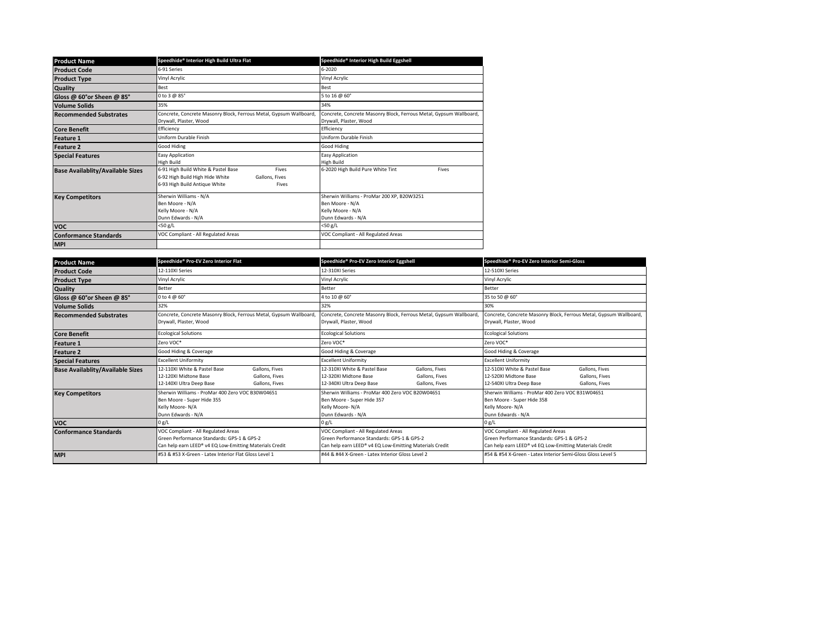| <b>Product Name</b>                     | Speedhide® Interior High Build Ultra Flat                                                                                                   | Speedhide® Interior High Build Eggshell                                                                  |  |  |
|-----------------------------------------|---------------------------------------------------------------------------------------------------------------------------------------------|----------------------------------------------------------------------------------------------------------|--|--|
| <b>Product Code</b>                     | 6-91 Series                                                                                                                                 | 6-2020                                                                                                   |  |  |
| <b>Product Type</b>                     | Vinyl Acrylic                                                                                                                               | Vinyl Acrylic                                                                                            |  |  |
| <b>Quality</b>                          | Best                                                                                                                                        | Best                                                                                                     |  |  |
| Gloss @ 60°or Sheen @ 85°               | 0 to 3 @ 85°                                                                                                                                | 5 to 16 @ 60°                                                                                            |  |  |
| <b>Volume Solids</b>                    | 35%                                                                                                                                         | 34%                                                                                                      |  |  |
| <b>Recommended Substrates</b>           | Concrete, Concrete Masonry Block, Ferrous Metal, Gypsum Wallboard,<br>Drywall, Plaster, Wood                                                | Concrete, Concrete Masonry Block, Ferrous Metal, Gypsum Wallboard,<br>Drywall, Plaster, Wood             |  |  |
| <b>Core Benefit</b>                     | Efficiency                                                                                                                                  | Efficiency                                                                                               |  |  |
| <b>Feature 1</b>                        | Uniform Durable Finish                                                                                                                      | Uniform Durable Finish                                                                                   |  |  |
| <b>Feature 2</b>                        | Good Hiding                                                                                                                                 | Good Hiding                                                                                              |  |  |
| <b>Special Features</b>                 | <b>Easy Application</b><br>High Build                                                                                                       | Easy Application<br>High Build                                                                           |  |  |
| <b>Base Availablity/Available Sizes</b> | 6-91 High Build White & Pastel Base<br>Fives<br>6-92 High Build High Hide White<br>Gallons, Fives<br>6-93 High Build Antique White<br>Fives | 6-2020 High Build Pure White Tint<br>Fives                                                               |  |  |
| <b>Key Competitors</b>                  | Sherwin Williams - N/A<br>Ben Moore - N/A<br>Kelly Moore - N/A<br>Dunn Edwards - N/A                                                        | Sherwin Williams - ProMar 200 XP, B20W3251<br>Ben Moore - N/A<br>Kelly Moore - N/A<br>Dunn Edwards - N/A |  |  |
| <b>VOC</b>                              | <50 g/L                                                                                                                                     | <50 g/L                                                                                                  |  |  |
| <b>Conformance Standards</b>            | VOC Compliant - All Regulated Areas                                                                                                         | VOC Compliant - All Regulated Areas                                                                      |  |  |
| <b>MPI</b>                              |                                                                                                                                             |                                                                                                          |  |  |

| <b>Product Name</b>                     | Speedhide® Pro-EV Zero Interior Flat                                                                                                         |                                  | Speedhide® Pro-EV Zero Interior Eggshell                                                                                                     |                                  | Speedhide® Pro-EV Zero Interior Semi-Gloss                                                                                                   |                                  |
|-----------------------------------------|----------------------------------------------------------------------------------------------------------------------------------------------|----------------------------------|----------------------------------------------------------------------------------------------------------------------------------------------|----------------------------------|----------------------------------------------------------------------------------------------------------------------------------------------|----------------------------------|
| <b>Product Code</b>                     | 12-110XI Series                                                                                                                              |                                  | 12-310XI Series                                                                                                                              |                                  |                                                                                                                                              |                                  |
| <b>Product Type</b>                     | Vinyl Acrylic                                                                                                                                |                                  | Vinyl Acrylic                                                                                                                                |                                  | Vinyl Acrylic                                                                                                                                |                                  |
| Quality                                 | Better                                                                                                                                       |                                  | Better                                                                                                                                       |                                  | Better                                                                                                                                       |                                  |
| Gloss @ 60°or Sheen @ 85°               | 0 to 4 $@$ 60 $^{\circ}$                                                                                                                     |                                  | 4 to 10 @ 60°                                                                                                                                |                                  | 35 to 50 @ 60°                                                                                                                               |                                  |
| <b>Volume Solids</b>                    | 32%                                                                                                                                          |                                  | 32%                                                                                                                                          |                                  | 30%                                                                                                                                          |                                  |
| <b>Recommended Substrates</b>           | Concrete, Concrete Masonry Block, Ferrous Metal, Gypsum Wallboard,                                                                           |                                  | Concrete, Concrete Masonry Block, Ferrous Metal, Gypsum Wallboard,                                                                           |                                  | Concrete, Concrete Masonry Block, Ferrous Metal, Gypsum Wallboard,                                                                           |                                  |
|                                         | Drywall, Plaster, Wood                                                                                                                       |                                  | Drywall, Plaster, Wood                                                                                                                       |                                  | Drywall, Plaster, Wood                                                                                                                       |                                  |
| <b>Core Benefit</b>                     | <b>Ecological Solutions</b>                                                                                                                  |                                  | <b>Ecological Solutions</b>                                                                                                                  |                                  | <b>Ecological Solutions</b>                                                                                                                  |                                  |
| <b>Feature 1</b>                        | Zero VOC*                                                                                                                                    |                                  | Zero VOC*                                                                                                                                    |                                  | Zero VOC*                                                                                                                                    |                                  |
| <b>Feature 2</b>                        | Good Hiding & Coverage                                                                                                                       |                                  | Good Hiding & Coverage                                                                                                                       |                                  | Good Hiding & Coverage                                                                                                                       |                                  |
| <b>Special Features</b>                 | <b>Excellent Uniformity</b>                                                                                                                  |                                  | <b>Excellent Uniformity</b>                                                                                                                  |                                  | <b>Excellent Uniformity</b>                                                                                                                  |                                  |
| <b>Base Availablity/Available Sizes</b> | 12-110XI White & Pastel Base<br>12-120XI Midtone Base                                                                                        | Gallons, Fives<br>Gallons, Fives | 12-310XI White & Pastel Base<br>12-320XI Midtone Base                                                                                        | Gallons, Fives<br>Gallons, Fives | 12-510XI White & Pastel Base<br>12-520XI Midtone Base                                                                                        | Gallons, Fives<br>Gallons, Fives |
|                                         | 12-140XI Ultra Deep Base                                                                                                                     | Gallons, Fives                   | 12-340XI Ultra Deep Base                                                                                                                     | Gallons, Fives                   | 12-540XI Ultra Deep Base                                                                                                                     | Gallons, Fives                   |
| <b>Key Competitors</b>                  | Sherwin Williams - ProMar 400 Zero VOC B30W04651<br>Ben Moore - Super Hide 355<br>Kelly Moore-N/A<br>Dunn Edwards - N/A                      |                                  | Sherwin Williams - ProMar 400 Zero VOC B20W04651<br>Ben Moore - Super Hide 357<br>Kelly Moore- N/A<br>Dunn Edwards - N/A                     |                                  | Sherwin Williams - ProMar 400 Zero VOC B31W04651<br>Ben Moore - Super Hide 358<br>Kelly Moore-N/A<br>Dunn Edwards - N/A                      |                                  |
| <b>VOC</b>                              | 0 g/L                                                                                                                                        |                                  | 0 g/L                                                                                                                                        |                                  | 0 g/L                                                                                                                                        |                                  |
| <b>Conformance Standards</b>            | VOC Compliant - All Regulated Areas<br>Green Performance Standards: GPS-1 & GPS-2<br>Can help earn LEED® v4 EQ Low-Emitting Materials Credit |                                  | VOC Compliant - All Regulated Areas<br>Green Performance Standards: GPS-1 & GPS-2<br>Can help earn LEED® v4 EQ Low-Emitting Materials Credit |                                  | VOC Compliant - All Regulated Areas<br>Green Performance Standards: GPS-1 & GPS-2<br>Can help earn LEED® v4 EQ Low-Emitting Materials Credit |                                  |
| <b>MPI</b>                              | #53 & #53 X-Green - Latex Interior Flat Gloss Level 1                                                                                        |                                  | #44 & #44 X-Green - Latex Interior Gloss Level 2                                                                                             |                                  | #54 & #54 X-Green - Latex Interior Semi-Gloss Gloss Level 5                                                                                  |                                  |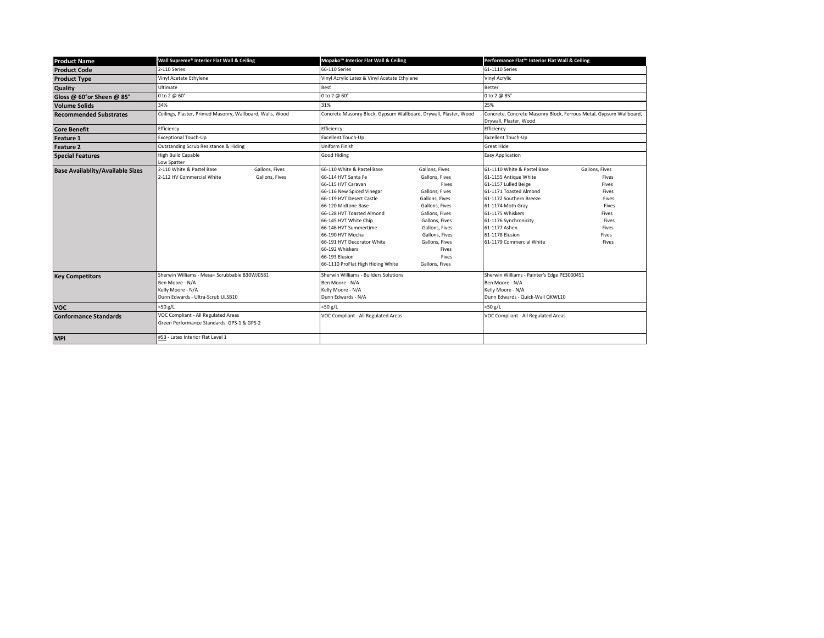| <b>Product Name</b>                     | Wall Supreme® Interior Flat Wall & Ceiling                                                                                 |                                  | Mopako <sup>™</sup> Interior Flat Wall & Ceiling                                                                                                                                                                                                                                                                                                                   |                                                                                                                                                                                                                                      | Performance Flat™ Interior Flat Wall & Ceiling                                                                                                                                                                                                                      |                                                                                                          |                                                                                                                         |  |
|-----------------------------------------|----------------------------------------------------------------------------------------------------------------------------|----------------------------------|--------------------------------------------------------------------------------------------------------------------------------------------------------------------------------------------------------------------------------------------------------------------------------------------------------------------------------------------------------------------|--------------------------------------------------------------------------------------------------------------------------------------------------------------------------------------------------------------------------------------|---------------------------------------------------------------------------------------------------------------------------------------------------------------------------------------------------------------------------------------------------------------------|----------------------------------------------------------------------------------------------------------|-------------------------------------------------------------------------------------------------------------------------|--|
| <b>Product Code</b>                     | 2-110 Series                                                                                                               |                                  | 66-110 Series                                                                                                                                                                                                                                                                                                                                                      |                                                                                                                                                                                                                                      |                                                                                                                                                                                                                                                                     | 61-1110 Series                                                                                           |                                                                                                                         |  |
| <b>Product Type</b>                     | Vinyl Acetate Ethylene                                                                                                     |                                  | Vinyl Acrylic Latex & Vinyl Acetate Ethylene                                                                                                                                                                                                                                                                                                                       |                                                                                                                                                                                                                                      | Vinyl Acrylic                                                                                                                                                                                                                                                       |                                                                                                          |                                                                                                                         |  |
| Quality                                 | Ultimate                                                                                                                   |                                  | Best                                                                                                                                                                                                                                                                                                                                                               |                                                                                                                                                                                                                                      | Better                                                                                                                                                                                                                                                              |                                                                                                          |                                                                                                                         |  |
| Gloss @ 60°or Sheen @ 85°               | 0 to 2 @ 60°                                                                                                               |                                  | 0 to 2 @ 60°                                                                                                                                                                                                                                                                                                                                                       |                                                                                                                                                                                                                                      | 0 to 2 @ 85°                                                                                                                                                                                                                                                        |                                                                                                          |                                                                                                                         |  |
| <b>Volume Solids</b>                    | 34%                                                                                                                        |                                  | 31%                                                                                                                                                                                                                                                                                                                                                                |                                                                                                                                                                                                                                      | 25%                                                                                                                                                                                                                                                                 |                                                                                                          |                                                                                                                         |  |
| <b>Recommended Substrates</b>           | Ceilings, Plaster, Primed Masonry, Wallboard, Walls, Wood                                                                  |                                  | Concrete Masonry Block, Gypsum Wallboard, Drywall, Plaster, Wood                                                                                                                                                                                                                                                                                                   |                                                                                                                                                                                                                                      | Drywall, Plaster, Wood                                                                                                                                                                                                                                              | Concrete, Concrete Masonry Block, Ferrous Metal, Gypsum Wallboard,                                       |                                                                                                                         |  |
| <b>Core Benefit</b>                     | Efficiency                                                                                                                 |                                  | Efficiency                                                                                                                                                                                                                                                                                                                                                         |                                                                                                                                                                                                                                      | Efficiency                                                                                                                                                                                                                                                          |                                                                                                          |                                                                                                                         |  |
| <b>Feature 1</b>                        | Exceptional Touch-Up                                                                                                       |                                  | Excellent Touch-Up                                                                                                                                                                                                                                                                                                                                                 |                                                                                                                                                                                                                                      | Excellent Touch-Up                                                                                                                                                                                                                                                  |                                                                                                          |                                                                                                                         |  |
| Feature 2                               | Outstanding Scrub Resistance & Hiding                                                                                      |                                  | Uniform Finish                                                                                                                                                                                                                                                                                                                                                     |                                                                                                                                                                                                                                      | Great Hide                                                                                                                                                                                                                                                          |                                                                                                          |                                                                                                                         |  |
| <b>Special Features</b>                 | High Build Capable<br>Low Spatter                                                                                          |                                  | Good Hiding                                                                                                                                                                                                                                                                                                                                                        |                                                                                                                                                                                                                                      | <b>Easy Application</b>                                                                                                                                                                                                                                             |                                                                                                          |                                                                                                                         |  |
| <b>Base Availablity/Available Sizes</b> | 2-110 White & Pastel Base<br>2-112 HV Commercial White                                                                     | Gallons, Fives<br>Gallons, Fives | 66-110 White & Pastel Base<br>66-114 HVT Santa Fe<br>66-115 HVT Caravan<br>66-116 New Spiced Vinegar<br>66-119 HVT Desert Castle<br>66-120 Midtone Base<br>66-128 HVT Toasted Almond<br>66-145 HVT White Chip<br>66-146 HVT Summertime<br>66-190 HVT Mocha<br>66-191 HVT Decorator White<br>66-192 Whiskers<br>66-193 Elusion<br>66-1110 ProFlat High Hiding White | Gallons, Fives<br>Gallons, Fives<br>Fives<br>Gallons, Fives<br>Gallons, Fives<br>Gallons, Fives<br>Gallons, Fives<br>Gallons, Fives<br>Gallons, Fives<br>Gallons, Fives<br>Gallons, Fives<br><b>Fives</b><br>Fives<br>Gallons, Fives | 61-1110 White & Pastel Base<br>61-1155 Antique White<br>61-1157 Lulled Beige<br>61-1171 Toasted Almond<br>61-1172 Southern Breeze<br>61-1174 Moth Gray<br>61-1175 Whiskers<br>61-1176 Synchronicity<br>61-1177 Ashen<br>61-1178 Elusion<br>61-1179 Commercial White | Gallons, Fives<br>Fives<br>Fives<br>Fives<br>Fives<br>Fives<br>Fives<br>Fives<br>Fives<br>Fives<br>Fives |                                                                                                                         |  |
| <b>Key Competitors</b>                  | Sherwin Williams - Mesa+ Scrubbable B30WJ0581<br>Ben Moore - N/A<br>Kelly Moore - N/A<br>Dunn Edwards - Ultra-Scrub ULSB10 |                                  | Sherwin Williams - Builders Solutions<br>Ben Moore - N/A<br>Kelly Moore - N/A<br>Dunn Edwards - N/A                                                                                                                                                                                                                                                                |                                                                                                                                                                                                                                      |                                                                                                                                                                                                                                                                     |                                                                                                          | Sherwin Williams - Painter's Edge PE3000451<br>Ben Moore - N/A<br>Kelly Moore - N/A<br>Dunn Edwards - Quick-Wall QKWL10 |  |
| <b>VOC</b>                              | $<$ 50 g/L                                                                                                                 |                                  | $<$ 50 g/L                                                                                                                                                                                                                                                                                                                                                         |                                                                                                                                                                                                                                      | <50 g/L                                                                                                                                                                                                                                                             |                                                                                                          |                                                                                                                         |  |
| <b>Conformance Standards</b>            | VOC Compliant - All Regulated Areas<br>Green Performance Standards: GPS-1 & GPS-2                                          |                                  | VOC Compliant - All Regulated Areas                                                                                                                                                                                                                                                                                                                                |                                                                                                                                                                                                                                      | VOC Compliant - All Regulated Areas                                                                                                                                                                                                                                 |                                                                                                          |                                                                                                                         |  |
| <b>MPI</b>                              | #53 - Latex Interior Flat Level 1                                                                                          |                                  |                                                                                                                                                                                                                                                                                                                                                                    |                                                                                                                                                                                                                                      |                                                                                                                                                                                                                                                                     |                                                                                                          |                                                                                                                         |  |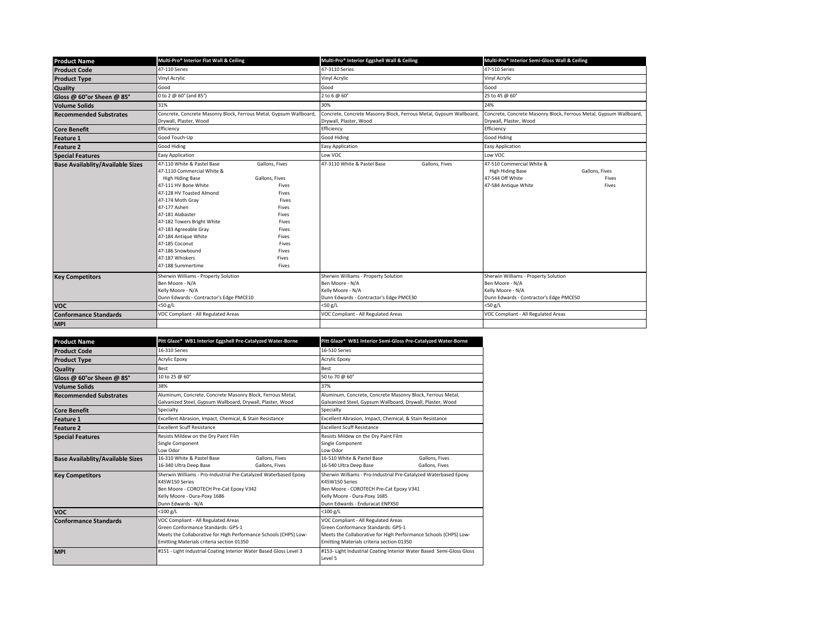| <b>Product Name</b>                     | Multi-Pro <sup>®</sup> Interior Flat Wall & Ceiling                                                                                                                                                                                                                                                                                                   |                                                                                                                                                     | Multi-Pro <sup>®</sup> Interior Eggshell Wall & Ceiling                                                                 |                | Multi-Pro® Interior Semi-Gloss Wall & Ceiling                                                                           |                                                                    |  |
|-----------------------------------------|-------------------------------------------------------------------------------------------------------------------------------------------------------------------------------------------------------------------------------------------------------------------------------------------------------------------------------------------------------|-----------------------------------------------------------------------------------------------------------------------------------------------------|-------------------------------------------------------------------------------------------------------------------------|----------------|-------------------------------------------------------------------------------------------------------------------------|--------------------------------------------------------------------|--|
| <b>Product Code</b>                     | 47-110 Series                                                                                                                                                                                                                                                                                                                                         |                                                                                                                                                     | 47-3110 Series                                                                                                          |                | 47-510 Series                                                                                                           |                                                                    |  |
| <b>Product Type</b>                     | Vinyl Acrylic                                                                                                                                                                                                                                                                                                                                         |                                                                                                                                                     | Vinyl Acrylic                                                                                                           |                | Vinyl Acrylic                                                                                                           |                                                                    |  |
| Quality                                 | Good                                                                                                                                                                                                                                                                                                                                                  | Good                                                                                                                                                |                                                                                                                         |                | Good                                                                                                                    |                                                                    |  |
| Gloss @ 60°or Sheen @ 85°               | 0 to 2 @ 60° (and 85°)                                                                                                                                                                                                                                                                                                                                |                                                                                                                                                     | 2 to 6 @ 60°                                                                                                            |                | 25 to 45 @ 60°                                                                                                          |                                                                    |  |
| <b>Volume Solids</b>                    | 31%                                                                                                                                                                                                                                                                                                                                                   |                                                                                                                                                     | 30%                                                                                                                     |                | 24%                                                                                                                     |                                                                    |  |
| <b>Recommended Substrates</b>           | Concrete, Concrete Masonry Block, Ferrous Metal, Gypsum Wallboard<br>Drywall, Plaster, Wood                                                                                                                                                                                                                                                           |                                                                                                                                                     | Concrete, Concrete Masonry Block, Ferrous Metal, Gypsum Wallboard,<br>Drywall, Plaster, Wood                            |                | Drywall, Plaster, Wood                                                                                                  | Concrete, Concrete Masonry Block, Ferrous Metal, Gypsum Wallboard, |  |
| <b>Core Benefit</b>                     | Efficiency                                                                                                                                                                                                                                                                                                                                            |                                                                                                                                                     | Efficiency                                                                                                              |                | Efficiency                                                                                                              |                                                                    |  |
| <b>Feature 1</b>                        | Good Touch-Up                                                                                                                                                                                                                                                                                                                                         |                                                                                                                                                     | Good Hiding                                                                                                             |                | Good Hiding                                                                                                             |                                                                    |  |
| <b>Feature 2</b>                        | Good Hiding                                                                                                                                                                                                                                                                                                                                           |                                                                                                                                                     | <b>Easy Application</b>                                                                                                 |                | Easy Application                                                                                                        |                                                                    |  |
| <b>Special Features</b>                 | <b>Easy Application</b>                                                                                                                                                                                                                                                                                                                               |                                                                                                                                                     | Low VOC                                                                                                                 |                | Low VOC                                                                                                                 |                                                                    |  |
| <b>Base Availablity/Available Sizes</b> | 47-110 White & Pastel Base<br>47-1110 Commercial White &<br>High Hiding Base<br>47-111 HV Bone White<br>47-128 HV Toasted Almond<br>47-174 Moth Gray<br>47-177 Ashen<br>47-181 Alabaster<br>47-182 Towers Bright White<br>47-183 Agreeable Gray<br>47-184 Antique White<br>47-185 Coconut<br>47-186 Snowbound<br>47-187 Whiskers<br>47-188 Summertime | Gallons, Fives<br>Gallons, Fives<br>Fives<br>Fives<br>Fives<br>Fives<br><b>Fives</b><br>Fives<br>Fives<br>Fives<br>Fives<br>Fives<br>Fives<br>Fives | 47-3110 White & Pastel Base                                                                                             | Gallons, Fives | 47-510 Commercial White &<br><b>High Hiding Base</b><br>47-544 Off White<br>47-584 Antique White                        | Gallons, Fives<br>Fives<br>Fives                                   |  |
| <b>Key Competitors</b>                  | Sherwin Williams - Property Solution<br>Ben Moore - N/A<br>Kelly Moore - N/A<br>Dunn Edwards - Contractor's Edge PMCE10                                                                                                                                                                                                                               |                                                                                                                                                     | Sherwin Williams - Property Solution<br>Ben Moore - N/A<br>Kelly Moore - N/A<br>Dunn Edwards - Contractor's Edge PMCE30 |                | Sherwin Williams - Property Solution<br>Ben Moore - N/A<br>Kelly Moore - N/A<br>Dunn Edwards - Contractor's Edge PMCE50 |                                                                    |  |
| <b>VOC</b>                              | $<$ 50 g/L                                                                                                                                                                                                                                                                                                                                            |                                                                                                                                                     | $<$ 50 g/L                                                                                                              |                | $<$ 50 g/L                                                                                                              |                                                                    |  |
| <b>Conformance Standards</b>            | VOC Compliant - All Regulated Areas                                                                                                                                                                                                                                                                                                                   |                                                                                                                                                     | VOC Compliant - All Regulated Areas                                                                                     |                | VOC Compliant - All Regulated Areas                                                                                     |                                                                    |  |
| <b>MPI</b>                              |                                                                                                                                                                                                                                                                                                                                                       |                                                                                                                                                     |                                                                                                                         |                |                                                                                                                         |                                                                    |  |
|                                         |                                                                                                                                                                                                                                                                                                                                                       |                                                                                                                                                     |                                                                                                                         |                |                                                                                                                         |                                                                    |  |

| <b>Product Name</b>                     | Pitt Glaze® WB1 Interior Eggshell Pre-Catalyzed Water-Borne                                                                                                                                | Pitt Glaze® WB1 Interior Semi-Gloss Pre-Catalyzed Water-Borne                                                                                                                                    |  |  |
|-----------------------------------------|--------------------------------------------------------------------------------------------------------------------------------------------------------------------------------------------|--------------------------------------------------------------------------------------------------------------------------------------------------------------------------------------------------|--|--|
| <b>Product Code</b>                     | 16-310 Series                                                                                                                                                                              | 16-510 Series                                                                                                                                                                                    |  |  |
| <b>Product Type</b>                     | <b>Acrylic Epoxy</b>                                                                                                                                                                       | Acrylic Epoxy                                                                                                                                                                                    |  |  |
| Quality                                 | Best                                                                                                                                                                                       | Best                                                                                                                                                                                             |  |  |
| Gloss @ 60°or Sheen @ 85°               | 10 to 25 @ 60°                                                                                                                                                                             | 50 to 70 @ 60°                                                                                                                                                                                   |  |  |
| <b>Volume Solids</b>                    | 38%                                                                                                                                                                                        | 37%                                                                                                                                                                                              |  |  |
| <b>Recommended Substrates</b>           | Aluminum, Concrete, Concrete Masonry Block, Ferrous Metal,<br>Galvanized Steel, Gypsum Wallboard, Drywall, Plaster, Wood                                                                   | Aluminum, Concrete, Concrete Masonry Block, Ferrous Metal,<br>Galvanized Steel, Gypsum Wallboard, Drywall, Plaster, Wood                                                                         |  |  |
| <b>Core Benefit</b>                     | Specialty                                                                                                                                                                                  | Specialty                                                                                                                                                                                        |  |  |
| <b>Feature 1</b>                        | Excellent Abrasion, Impact, Chemical, & Stain Resistance                                                                                                                                   | Excellent Abrasion, Impact, Chemical, & Stain Resistance                                                                                                                                         |  |  |
| Feature 2                               | <b>Excellent Scuff Resistance</b>                                                                                                                                                          | <b>Excellent Scuff Resistance</b>                                                                                                                                                                |  |  |
| <b>Special Features</b>                 | Resists Mildew on the Dry Paint Film<br>Single Component<br>Low Odor                                                                                                                       | Resists Mildew on the Dry Paint Film<br>Single Component<br>Low Odor                                                                                                                             |  |  |
| <b>Base Availablity/Available Sizes</b> | 16-310 White & Pastel Base<br>Gallons, Fives<br>16-340 Ultra Deep Base<br>Gallons, Fives                                                                                                   | 16-510 White & Pastel Base<br>Gallons, Fives<br>16-540 Ultra Deep Base<br>Gallons, Fives                                                                                                         |  |  |
| <b>Key Competitors</b>                  | Sherwin Williams - Pro-Industrial Pre-Catalyzed Waterbased Epoxy<br>K45W150 Series<br>Ben Moore - COROTECH Pre-Cat Epoxy V342<br>Kelly Moore - Dura-Poxy 1686<br>Dunn Edwards - N/A        | Sherwin Williams - Pro-Industrial Pre-Catalyzed Waterbased Epoxy<br>K45W150 Series<br>Ben Moore - COROTECH Pre-Cat Epoxy V341<br>Kelly Moore - Dura-Poxy 1685<br>Dunn Edwards - Enduracat ENPX50 |  |  |
| <b>VOC</b>                              | $<$ 100 g/L                                                                                                                                                                                | $<$ 100 g/L                                                                                                                                                                                      |  |  |
| <b>Conformance Standards</b>            | VOC Compliant - All Regulated Areas<br>Green Conformance Standards: GPS-1<br>Meets the Collaborative for High Performance Schools (CHPS) Low-<br>Emitting Materials criteria section 01350 | VOC Compliant - All Regulated Areas<br>Green Conformance Standards: GPS-1<br>Meets the Collaborative for High Performance Schools (CHPS) Low-<br>Emitting Materials criteria section 01350       |  |  |
| <b>MPI</b>                              | #151 - Light Industrial Coating Interior Water Based Gloss Level 3                                                                                                                         | #153- Light Industrial Coating Interior Water Based Semi-Gloss Gloss<br>Level 5                                                                                                                  |  |  |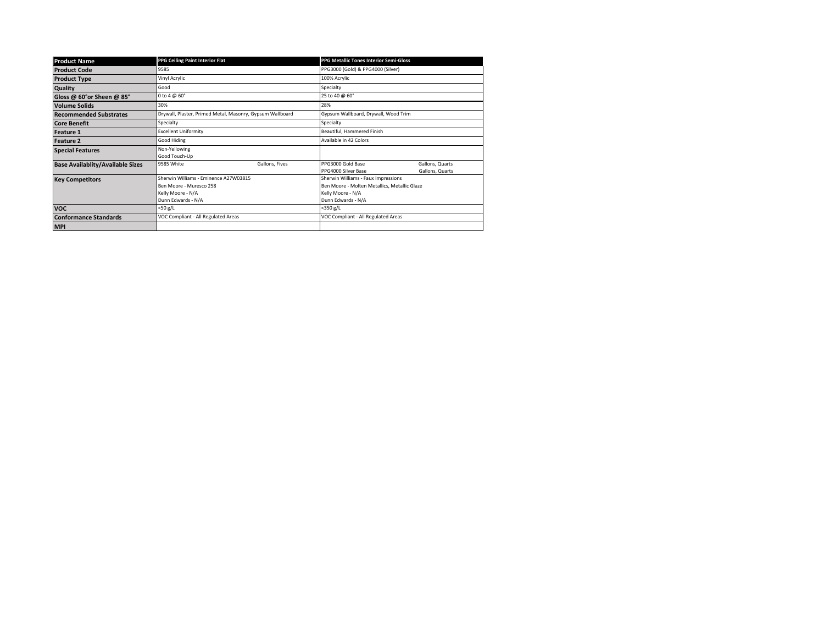| <b>Product Name</b>                     | PPG Ceiling Paint Interior Flat                                                                             |                | <b>PPG Metallic Tones Interior Semi-Gloss</b>                                                                                  |                                    |  |
|-----------------------------------------|-------------------------------------------------------------------------------------------------------------|----------------|--------------------------------------------------------------------------------------------------------------------------------|------------------------------------|--|
| <b>Product Code</b>                     | 9585                                                                                                        |                | PPG3000 (Gold) & PPG4000 (Silver)                                                                                              |                                    |  |
| <b>Product Type</b>                     | Vinyl Acrylic                                                                                               |                | 100% Acrylic                                                                                                                   |                                    |  |
| Quality                                 | Good                                                                                                        |                | Specialty                                                                                                                      |                                    |  |
| Gloss @ 60°or Sheen @ 85°               | 0 to 4 $@$ 60 $^{\circ}$                                                                                    |                | 25 to 40 @ 60°                                                                                                                 |                                    |  |
| <b>Volume Solids</b>                    | 30%                                                                                                         |                | 28%                                                                                                                            |                                    |  |
| <b>Recommended Substrates</b>           | Drywall, Plaster, Primed Metal, Masonry, Gypsum Wallboard                                                   |                | Gypsum Wallboard, Drywall, Wood Trim                                                                                           |                                    |  |
| <b>Core Benefit</b>                     | Specialty                                                                                                   |                | Specialty                                                                                                                      |                                    |  |
| <b>Feature 1</b>                        | <b>Excellent Uniformity</b>                                                                                 |                | Beautiful, Hammered Finish                                                                                                     |                                    |  |
| <b>Feature 2</b>                        | Good Hiding                                                                                                 |                | Available in 42 Colors                                                                                                         |                                    |  |
| <b>Special Features</b>                 | Non-Yellowing<br>Good Touch-Up                                                                              |                |                                                                                                                                |                                    |  |
| <b>Base Availablity/Available Sizes</b> | 9585 White                                                                                                  | Gallons, Fives | PPG3000 Gold Base<br>PPG4000 Silver Base                                                                                       | Gallons, Quarts<br>Gallons, Quarts |  |
| <b>Key Competitors</b>                  | Sherwin Williams - Eminence A27W03815<br>Ben Moore - Muresco 258<br>Kelly Moore - N/A<br>Dunn Edwards - N/A |                | Sherwin Williams - Faux Impressions<br>Ben Moore - Molten Metallics, Metallic Glaze<br>Kelly Moore - N/A<br>Dunn Edwards - N/A |                                    |  |
| <b>VOC</b>                              | $<$ 50 g/L                                                                                                  |                | $<$ 350 g/L                                                                                                                    |                                    |  |
| <b>Conformance Standards</b>            | VOC Compliant - All Regulated Areas                                                                         |                | VOC Compliant - All Regulated Areas                                                                                            |                                    |  |
| <b>MPI</b>                              |                                                                                                             |                |                                                                                                                                |                                    |  |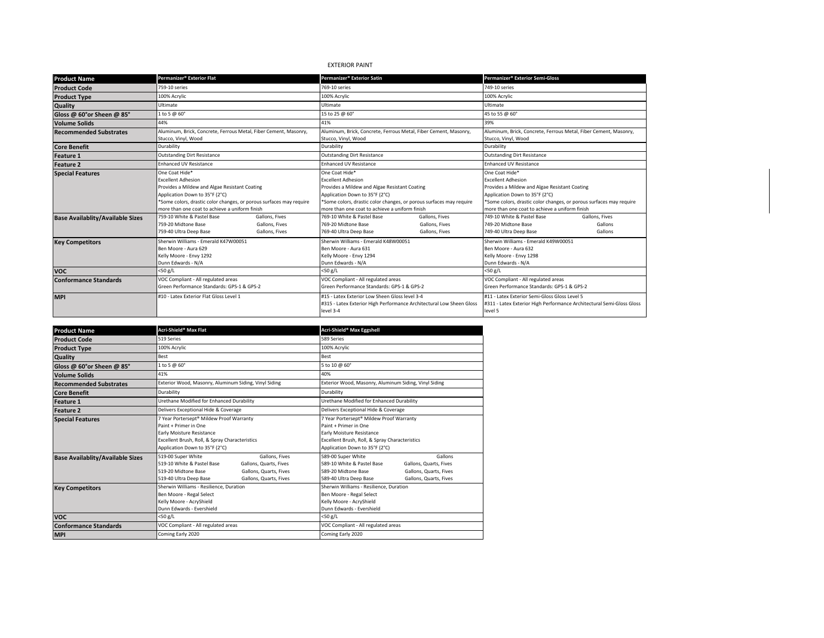# EXTERIOR PAINT

| <b>Product Name</b>                     | Permanizer® Exterior Flat                                           |                | Permanizer® Exterior Satin                                          |                                                                      | Permanizer® Exterior Semi-Gloss                                       |                |  |
|-----------------------------------------|---------------------------------------------------------------------|----------------|---------------------------------------------------------------------|----------------------------------------------------------------------|-----------------------------------------------------------------------|----------------|--|
| <b>Product Code</b>                     | 759-10 series                                                       |                | 769-10 series                                                       |                                                                      | 749-10 series                                                         |                |  |
| <b>Product Type</b>                     | 100% Acrylic                                                        |                | 100% Acrylic                                                        |                                                                      | 100% Acrylic                                                          |                |  |
| <b>Quality</b>                          | Ultimate                                                            |                | Ultimate                                                            |                                                                      | Ultimate                                                              |                |  |
| Gloss @ 60°or Sheen @ 85°               | 1 to 5 @ 60°                                                        |                | 15 to 25 @ 60°                                                      |                                                                      | 45 to 55 @ 60°                                                        |                |  |
| <b>Volume Solids</b>                    | 44%                                                                 |                | 41%                                                                 |                                                                      | 39%                                                                   |                |  |
| <b>Recommended Substrates</b>           | Aluminum, Brick, Concrete, Ferrous Metal, Fiber Cement, Masonry,    |                |                                                                     | Aluminum, Brick, Concrete, Ferrous Metal, Fiber Cement, Masonry,     | Aluminum, Brick, Concrete, Ferrous Metal, Fiber Cement, Masonry,      |                |  |
|                                         | Stucco, Vinyl, Wood                                                 |                | Stucco, Vinyl, Wood                                                 |                                                                      | Stucco, Vinyl, Wood                                                   |                |  |
| <b>Core Benefit</b>                     | Durability                                                          |                | Durability                                                          |                                                                      | Durability                                                            |                |  |
| <b>Feature 1</b>                        | <b>Outstanding Dirt Resistance</b>                                  |                | <b>Outstanding Dirt Resistance</b>                                  |                                                                      | <b>Outstanding Dirt Resistance</b>                                    |                |  |
| <b>Feature 2</b>                        | <b>Enhanced UV Resistance</b>                                       |                | <b>Enhanced UV Resistance</b>                                       |                                                                      | <b>Enhanced UV Resistance</b>                                         |                |  |
| <b>Special Features</b>                 | One Coat Hide*                                                      |                | One Coat Hide*                                                      |                                                                      | One Coat Hide*                                                        |                |  |
|                                         | <b>Excellent Adhesion</b>                                           |                | <b>Excellent Adhesion</b>                                           |                                                                      | <b>Excellent Adhesion</b>                                             |                |  |
|                                         | Provides a Mildew and Algae Resistant Coating                       |                | Provides a Mildew and Algae Resistant Coating                       |                                                                      | Provides a Mildew and Algae Resistant Coating                         |                |  |
|                                         | Application Down to 35°F (2°C)                                      |                | Application Down to 35°F (2°C)                                      |                                                                      | Application Down to 35°F (2°C)                                        |                |  |
|                                         | *Some colors, drastic color changes, or porous surfaces may require |                | *Some colors, drastic color changes, or porous surfaces may require |                                                                      | *Some colors, drastic color changes, or porous surfaces may require   |                |  |
|                                         | more than one coat to achieve a uniform finish                      |                | more than one coat to achieve a uniform finish                      |                                                                      | more than one coat to achieve a uniform finish                        |                |  |
| <b>Base Availablity/Available Sizes</b> | 759-10 White & Pastel Base                                          | Gallons, Fives | 769-10 White & Pastel Base                                          | Gallons, Fives                                                       | 749-10 White & Pastel Base                                            | Gallons, Fives |  |
|                                         | 759-20 Midtone Base                                                 | Gallons, Fives | 769-20 Midtone Base                                                 | Gallons, Fives                                                       | 749-20 Midtone Base                                                   | Gallons        |  |
|                                         | 759-40 Ultra Deep Base                                              | Gallons, Fives | 769-40 Ultra Deep Base                                              | Gallons, Fives                                                       | 749-40 Ultra Deep Base                                                | Gallons        |  |
| <b>Key Competitors</b>                  | Sherwin Williams - Emerald K47W00051                                |                | Sherwin Williams - Emerald K48W00051                                |                                                                      | Sherwin Williams - Emerald K49W00051                                  |                |  |
|                                         | Ben Moore - Aura 629                                                |                | Ben Moore - Aura 631                                                |                                                                      | Ben Moore - Aura 632                                                  |                |  |
|                                         | Kelly Moore - Envy 1292                                             |                | Kelly Moore - Envy 1294                                             |                                                                      | Kelly Moore - Envy 1298                                               |                |  |
|                                         | Dunn Edwards - N/A                                                  |                | Dunn Edwards - N/A                                                  |                                                                      | Dunn Edwards - N/A                                                    |                |  |
| <b>VOC</b>                              | <50 g/L                                                             |                | $<$ 50 g/L                                                          |                                                                      | <50 g/L                                                               |                |  |
| <b>Conformance Standards</b>            | VOC Compliant - All regulated areas                                 |                | VOC Compliant - All regulated areas                                 |                                                                      | VOC Compliant - All regulated areas                                   |                |  |
|                                         | Green Performance Standards: GPS-1 & GPS-2                          |                | Green Performance Standards: GPS-1 & GPS-2                          |                                                                      | Green Performance Standards: GPS-1 & GPS-2                            |                |  |
| <b>MPI</b>                              | #10 - Latex Exterior Flat Gloss Level 1                             |                | #15 - Latex Exterior Low Sheen Gloss level 3-4                      |                                                                      | #11 - Latex Exterior Semi-Gloss Gloss Level 5                         |                |  |
|                                         |                                                                     |                |                                                                     | #315 - Latex Exterior High Performance Architectural Low Sheen Gloss | #311 - Latex Exterior High Performance Architectural Semi-Gloss Gloss |                |  |
|                                         |                                                                     |                | level 3-4                                                           |                                                                      | level 5                                                               |                |  |

| <b>Product Name</b>                     | Acri-Shield <sup>®</sup> Max Flat                                                                                                                                                                 | Acri-Shield® Max Eggshell                                                                                                                                                                  |  |
|-----------------------------------------|---------------------------------------------------------------------------------------------------------------------------------------------------------------------------------------------------|--------------------------------------------------------------------------------------------------------------------------------------------------------------------------------------------|--|
| <b>Product Code</b>                     | 519 Series                                                                                                                                                                                        | 589 Series                                                                                                                                                                                 |  |
| <b>Product Type</b>                     | 100% Acrylic                                                                                                                                                                                      | 100% Acrylic                                                                                                                                                                               |  |
| Quality                                 | Best                                                                                                                                                                                              | Best                                                                                                                                                                                       |  |
| Gloss @ 60°or Sheen @ 85°               | 1 to 5 @ 60°                                                                                                                                                                                      | 5 to 10 @ 60°                                                                                                                                                                              |  |
| <b>Volume Solids</b>                    | 41%                                                                                                                                                                                               | 40%                                                                                                                                                                                        |  |
| <b>Recommended Substrates</b>           | Exterior Wood, Masonry, Aluminum Siding, Vinyl Siding                                                                                                                                             | Exterior Wood, Masonry, Aluminum Siding, Vinyl Siding                                                                                                                                      |  |
| <b>Core Benefit</b>                     | Durability                                                                                                                                                                                        | Durability                                                                                                                                                                                 |  |
| Feature 1                               | Urethane Modified for Enhanced Durability                                                                                                                                                         | Urethane Modified for Enhanced Durability                                                                                                                                                  |  |
| <b>Feature 2</b>                        | Delivers Exceptional Hide & Coverage                                                                                                                                                              | Delivers Exceptional Hide & Coverage                                                                                                                                                       |  |
| <b>Special Features</b>                 | 7 Year Portersept® Mildew Proof Warranty<br>Paint + Primer in One<br>Early Moisture Resistance<br>Excellent Brush, Roll, & Spray Characteristics<br>Application Down to 35°F (2°C)                | 7 Year Portersept® Mildew Proof Warranty<br>Paint + Primer in One<br>Early Moisture Resistance<br>Excellent Brush, Roll, & Spray Characteristics<br>Application Down to 35°F (2°C)         |  |
| <b>Base Availablity/Available Sizes</b> | 519-00 Super White<br>Gallons, Fives<br>519-10 White & Pastel Base<br>Gallons, Quarts, Fives<br>519-20 Midtone Base<br>Gallons, Quarts, Fives<br>519-40 Ultra Deep Base<br>Gallons, Quarts, Fives | 589-00 Super White<br>Gallons<br>589-10 White & Pastel Base<br>Gallons, Quarts, Fives<br>589-20 Midtone Base<br>Gallons, Quarts, Fives<br>Gallons, Quarts, Fives<br>589-40 Ultra Deep Base |  |
| <b>Key Competitors</b>                  | Sherwin Williams - Resilience, Duration<br>Ben Moore - Regal Select<br>Kelly Moore - AcryShield<br>Dunn Edwards - Evershield                                                                      | Sherwin Williams - Resilience, Duration<br>Ben Moore - Regal Select<br>Kelly Moore - AcryShield<br>Dunn Edwards - Evershield                                                               |  |
| <b>VOC</b>                              | <50 g/L                                                                                                                                                                                           | $<$ 50 g/L                                                                                                                                                                                 |  |
| <b>Conformance Standards</b>            | VOC Compliant - All regulated areas                                                                                                                                                               | VOC Compliant - All regulated areas                                                                                                                                                        |  |
| <b>MPI</b>                              | Coming Early 2020                                                                                                                                                                                 | Coming Early 2020                                                                                                                                                                          |  |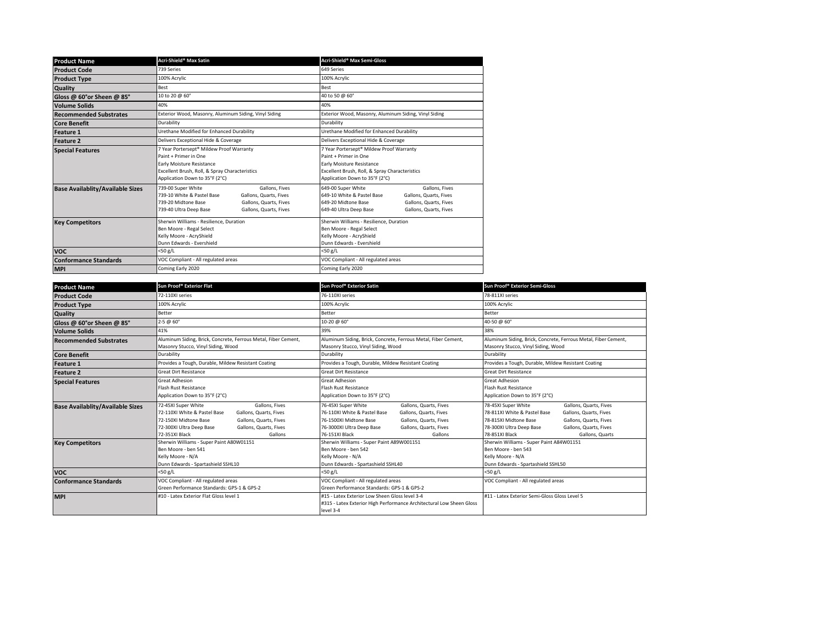| <b>Product Name</b>                     | Acri-Shield <sup>®</sup> Max Satin                                                                                                                                                                | Acri-Shield <sup>®</sup> Max Semi-Gloss                                                                                                                                                           |  |
|-----------------------------------------|---------------------------------------------------------------------------------------------------------------------------------------------------------------------------------------------------|---------------------------------------------------------------------------------------------------------------------------------------------------------------------------------------------------|--|
| <b>Product Code</b>                     | 739 Series                                                                                                                                                                                        | 649 Series                                                                                                                                                                                        |  |
| <b>Product Type</b>                     | 100% Acrylic                                                                                                                                                                                      | 100% Acrylic                                                                                                                                                                                      |  |
| Quality                                 | Best                                                                                                                                                                                              | Best                                                                                                                                                                                              |  |
| Gloss @ 60°or Sheen @ 85°               | 10 to 20 @ 60°                                                                                                                                                                                    | 40 to 50 @ 60°                                                                                                                                                                                    |  |
| <b>Volume Solids</b>                    | 40%                                                                                                                                                                                               | 40%                                                                                                                                                                                               |  |
| <b>Recommended Substrates</b>           | Exterior Wood, Masonry, Aluminum Siding, Vinyl Siding                                                                                                                                             | Exterior Wood, Masonry, Aluminum Siding, Vinyl Siding                                                                                                                                             |  |
| <b>Core Benefit</b>                     | Durability                                                                                                                                                                                        | Durability                                                                                                                                                                                        |  |
| <b>Feature 1</b>                        | Urethane Modified for Enhanced Durability                                                                                                                                                         | Urethane Modified for Enhanced Durability                                                                                                                                                         |  |
| <b>Feature 2</b>                        | Delivers Exceptional Hide & Coverage                                                                                                                                                              | Delivers Exceptional Hide & Coverage                                                                                                                                                              |  |
| <b>Special Features</b>                 | 7 Year Portersept® Mildew Proof Warranty<br>Paint + Primer in One<br>Early Moisture Resistance<br>Excellent Brush, Roll, & Spray Characteristics<br>Application Down to 35°F (2°C)                | 7 Year Portersept® Mildew Proof Warranty<br>Paint + Primer in One<br>Early Moisture Resistance<br>Excellent Brush, Roll, & Spray Characteristics<br>Application Down to 35°F (2°C)                |  |
| <b>Base Availablity/Available Sizes</b> | 739-00 Super White<br>Gallons, Fives<br>739-10 White & Pastel Base<br>Gallons, Quarts, Fives<br>739-20 Midtone Base<br>Gallons, Quarts, Fives<br>Gallons, Quarts, Fives<br>739-40 Ultra Deep Base | 649-00 Super White<br>Gallons, Fives<br>649-10 White & Pastel Base<br>Gallons, Quarts, Fives<br>649-20 Midtone Base<br>Gallons, Quarts, Fives<br>649-40 Ultra Deep Base<br>Gallons, Quarts, Fives |  |
| <b>Key Competitors</b>                  | Sherwin Williams - Resilience, Duration<br>Ben Moore - Regal Select<br>Kelly Moore - AcryShield<br>Dunn Edwards - Evershield                                                                      | Sherwin Williams - Resilience, Duration<br>Ben Moore - Regal Select<br>Kelly Moore - AcryShield<br>Dunn Edwards - Evershield                                                                      |  |
| <b>VOC</b>                              | $<$ 50 g/L                                                                                                                                                                                        | <50 g/L                                                                                                                                                                                           |  |
| <b>Conformance Standards</b>            | VOC Compliant - All regulated areas                                                                                                                                                               | VOC Compliant - All regulated areas                                                                                                                                                               |  |
| <b>MPI</b>                              | Coming Early 2020                                                                                                                                                                                 | Coming Early 2020                                                                                                                                                                                 |  |

| <b>Product Name</b>                     | Sun Proof® Exterior Flat                                                                                                                                                                                                              | Sun Proof® Exterior Satin                                                                                                                                                                                                                       | Sun Proof <sup>®</sup> Exterior Semi-Gloss                                                                                                                                                                                                            |  |
|-----------------------------------------|---------------------------------------------------------------------------------------------------------------------------------------------------------------------------------------------------------------------------------------|-------------------------------------------------------------------------------------------------------------------------------------------------------------------------------------------------------------------------------------------------|-------------------------------------------------------------------------------------------------------------------------------------------------------------------------------------------------------------------------------------------------------|--|
| <b>Product Code</b>                     | 72-110XI series                                                                                                                                                                                                                       | 76-110XI series                                                                                                                                                                                                                                 | 78-811XI series                                                                                                                                                                                                                                       |  |
| <b>Product Type</b>                     | 100% Acrylic                                                                                                                                                                                                                          | 100% Acrylic                                                                                                                                                                                                                                    | 100% Acrylic                                                                                                                                                                                                                                          |  |
| <b>Quality</b>                          | Better                                                                                                                                                                                                                                | Better                                                                                                                                                                                                                                          | Better                                                                                                                                                                                                                                                |  |
| Gloss @ 60°or Sheen @ 85°               | $2 - 5 \omega 60^\circ$                                                                                                                                                                                                               | 10-20 @ 60°                                                                                                                                                                                                                                     | 40-50 @ 60°                                                                                                                                                                                                                                           |  |
| <b>Volume Solids</b>                    | 41%                                                                                                                                                                                                                                   | 39%                                                                                                                                                                                                                                             | 38%                                                                                                                                                                                                                                                   |  |
| <b>Recommended Substrates</b>           | Aluminum Siding, Brick, Concrete, Ferrous Metal, Fiber Cement,<br>Masonry Stucco, Vinyl Siding, Wood                                                                                                                                  | Aluminum Siding, Brick, Concrete, Ferrous Metal, Fiber Cement,<br>Masonry Stucco, Vinyl Siding, Wood                                                                                                                                            | Aluminum Siding, Brick, Concrete, Ferrous Metal, Fiber Cement,<br>Masonry Stucco, Vinyl Siding, Wood                                                                                                                                                  |  |
| <b>Core Benefit</b>                     | Durability                                                                                                                                                                                                                            | Durability                                                                                                                                                                                                                                      | Durability                                                                                                                                                                                                                                            |  |
| <b>Feature 1</b>                        | Provides a Tough, Durable, Mildew Resistant Coating                                                                                                                                                                                   | Provides a Tough, Durable, Mildew Resistant Coating                                                                                                                                                                                             | Provides a Tough, Durable, Mildew Resistant Coating                                                                                                                                                                                                   |  |
| <b>Feature 2</b>                        | <b>Great Dirt Resistance</b>                                                                                                                                                                                                          | <b>Great Dirt Resistance</b>                                                                                                                                                                                                                    | <b>Great Dirt Resistance</b>                                                                                                                                                                                                                          |  |
| <b>Special Features</b>                 | <b>Great Adhesion</b><br>Flash Rust Resistance<br>Application Down to 35°F (2°C)                                                                                                                                                      | <b>Great Adhesion</b><br>Flash Rust Resistance<br>Application Down to 35°F (2°C)                                                                                                                                                                | <b>Great Adhesion</b><br>Flash Rust Resistance<br>Application Down to 35°F (2°C)                                                                                                                                                                      |  |
| <b>Base Availablity/Available Sizes</b> | 72-45XI Super White<br>Gallons, Fives<br>72-110XI White & Pastel Base<br>Gallons, Quarts, Fives<br>72-150XI Midtone Base<br>Gallons, Quarts, Fives<br>Gallons, Quarts, Fives<br>72-300XI Ultra Deep Base<br>72-351XI Black<br>Gallons | 76-45XI Super White<br>Gallons, Quarts, Fives<br>76-110XI White & Pastel Base<br>Gallons, Quarts, Fives<br>76-1500XI Midtone Base<br>Gallons, Quarts, Fives<br>Gallons, Quarts, Fives<br>76-3000XI Ultra Deep Base<br>76-151XI Black<br>Gallons | 78-45XI Super White<br>Gallons, Quarts, Fives<br>78-811XI White & Pastel Base<br>Gallons, Quarts, Fives<br>78-815XI Midtone Base<br>Gallons, Quarts, Fives<br>78-300XI Ultra Deep Base<br>Gallons, Quarts, Fives<br>78-851XI Black<br>Gallons, Quarts |  |
| <b>Key Competitors</b>                  | Sherwin Williams - Super Paint A80W01151<br>Ben Moore - ben 541<br>Kelly Moore - N/A<br>Dunn Edwards - Spartashield SSHL10                                                                                                            | Sherwin Williams - Super Paint A89W001151<br>Ben Moore - ben 542<br>Kelly Moore - N/A<br>Dunn Edwards - Spartashield SSHL40                                                                                                                     | Sherwin Williams - Super Paint A84W01151<br>Ben Moore - ben 543<br>Kelly Moore - N/A<br>Dunn Edwards - Spartashield SSHL50                                                                                                                            |  |
| <b>VOC</b>                              | $<$ 50 g/L                                                                                                                                                                                                                            | $<$ 50 g/L                                                                                                                                                                                                                                      | $<$ 50 g/L                                                                                                                                                                                                                                            |  |
| <b>Conformance Standards</b>            | VOC Compliant - All regulated areas<br>Green Performance Standards: GPS-1 & GPS-2                                                                                                                                                     | VOC Compliant - All regulated areas<br>Green Performance Standards: GPS-1 & GPS-2                                                                                                                                                               | VOC Compliant - All regulated areas                                                                                                                                                                                                                   |  |
| <b>MPI</b>                              | #10 - Latex Exterior Flat Gloss level 1                                                                                                                                                                                               | #15 - Latex Exterior Low Sheen Gloss level 3-4<br>#315 - Latex Exterior High Performance Architectural Low Sheen Gloss<br>level 3-4                                                                                                             | #11 - Latex Exterior Semi-Gloss Gloss Level 5                                                                                                                                                                                                         |  |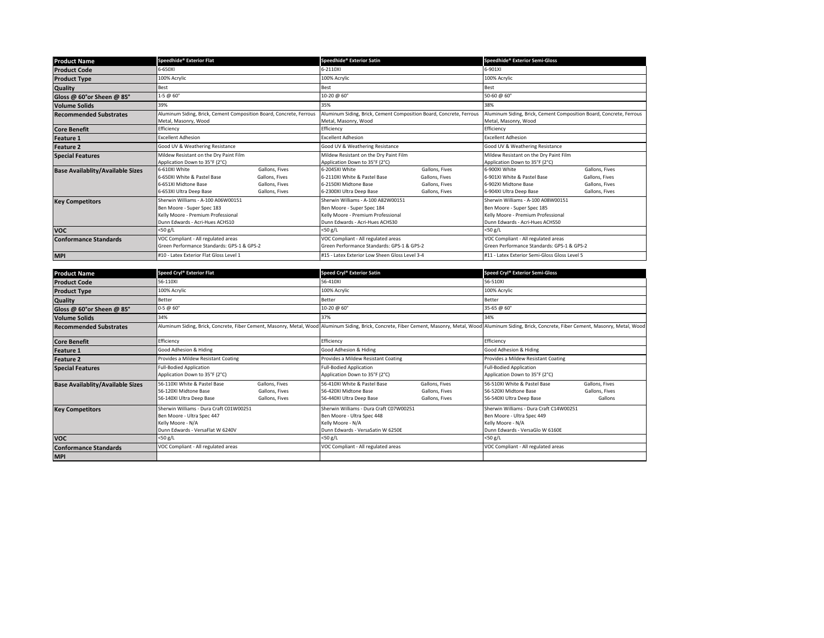| <b>Product Name</b>                     | Speedhide® Exterior Flat                                            |                | Speedhide® Exterior Satin                      |                                                                     | Speedhide® Exterior Semi-Gloss                                      |                |
|-----------------------------------------|---------------------------------------------------------------------|----------------|------------------------------------------------|---------------------------------------------------------------------|---------------------------------------------------------------------|----------------|
| <b>Product Code</b>                     | 6-650XI                                                             |                | 6-2110XI                                       |                                                                     | 6-901XI                                                             |                |
| <b>Product Type</b>                     | 100% Acrylic                                                        |                | 100% Acrylic                                   |                                                                     | 100% Acrylic                                                        |                |
| <b>Quality</b>                          | Best                                                                |                | Best                                           |                                                                     | Best                                                                |                |
| Gloss @ 60°or Sheen @ 85°               | $1-5 \ @ 60^{\circ}$                                                |                | 10-20 @ 60°                                    |                                                                     | 50-60 @ 60°                                                         |                |
| <b>Volume Solids</b>                    | 39%                                                                 |                | 35%                                            |                                                                     | 38%                                                                 |                |
| <b>Recommended Substrates</b>           | Aluminum Siding, Brick, Cement Composition Board, Concrete, Ferrous |                |                                                | Aluminum Siding, Brick, Cement Composition Board, Concrete, Ferrous | Aluminum Siding, Brick, Cement Composition Board, Concrete, Ferrous |                |
|                                         | Metal, Masonry, Wood                                                |                | Metal, Masonry, Wood                           |                                                                     | Metal, Masonry, Wood                                                |                |
| <b>Core Benefit</b>                     | Efficiency                                                          |                | Efficiency                                     |                                                                     | Efficiency                                                          |                |
| <b>Feature 1</b>                        | <b>Excellent Adhesion</b>                                           |                | <b>Excellent Adhesion</b>                      |                                                                     | <b>Excellent Adhesion</b>                                           |                |
| <b>Feature 2</b>                        | Good UV & Weathering Resistance                                     |                | Good UV & Weathering Resistance                |                                                                     | Good UV & Weathering Resistance                                     |                |
| <b>Special Features</b>                 | Mildew Resistant on the Dry Paint Film                              |                | Mildew Resistant on the Dry Paint Film         |                                                                     | Mildew Resistant on the Dry Paint Film                              |                |
|                                         | Application Down to 35°F (2°C)                                      |                | Application Down to 35°F (2°C)                 |                                                                     | Application Down to 35°F (2°C)                                      |                |
| <b>Base Availablity/Available Sizes</b> | 6-610XI White                                                       | Gallons, Fives | 6-2045XI White                                 | Gallons, Fives                                                      | 6-900XI White                                                       | Gallons, Fives |
|                                         | 6-650XI White & Pastel Base                                         | Gallons, Fives | 6-2110XI White & Pastel Base                   | Gallons, Fives                                                      | 6-901XI White & Pastel Base                                         | Gallons, Fives |
|                                         | 6-651XI Midtone Base                                                | Gallons, Fives | 6-2150XI Midtone Base                          | Gallons, Fives                                                      | 6-902XI Midtone Base                                                | Gallons, Fives |
|                                         | 6-653XI Ultra Deep Base                                             | Gallons, Fives | 6-2300XI Ultra Deep Base                       | Gallons, Fives                                                      | 6-904XI Ultra Deep Base                                             | Gallons, Fives |
| <b>Key Competitors</b>                  | Sherwin Williams - A-100 A06W00151                                  |                | Sherwin Williams - A-100 A82W00151             |                                                                     | Sherwin Williams - A-100 A08W00151                                  |                |
|                                         | Ben Moore - Super Spec 183                                          |                | Ben Moore - Super Spec 184                     |                                                                     | Ben Moore - Super Spec 185                                          |                |
|                                         | Kelly Moore - Premium Professional                                  |                | Kelly Moore - Premium Professional             |                                                                     | Kelly Moore - Premium Professional                                  |                |
|                                         | Dunn Edwards - Acri-Hues ACHS10                                     |                | Dunn Edwards - Acri-Hues ACHS30                |                                                                     | Dunn Edwards - Acri-Hues ACHS50                                     |                |
| <b>VOC</b>                              | <50 g/L                                                             |                | $<$ 50 g/L                                     |                                                                     | $<$ 50 g/L                                                          |                |
| <b>Conformance Standards</b>            | VOC Compliant - All regulated areas                                 |                | VOC Compliant - All regulated areas            |                                                                     | VOC Compliant - All regulated areas                                 |                |
|                                         | Green Performance Standards: GPS-1 & GPS-2                          |                | Green Performance Standards: GPS-1 & GPS-2     |                                                                     | Green Performance Standards: GPS-1 & GPS-2                          |                |
| <b>MPI</b>                              | #10 - Latex Exterior Flat Gloss Level 1                             |                | #15 - Latex Exterior Low Sheen Gloss Level 3-4 |                                                                     | #11 - Latex Exterior Semi-Gloss Gloss Level 5                       |                |

| <b>Product Name</b>                     | Speed Cryl® Exterior Flat                                                                                                      |                                                    | Speed Cryl® Exterior Satin                                                                                                      |                                                    | Speed Cryl® Exterior Semi-Gloss                                                                                                                                                                                |                                             |
|-----------------------------------------|--------------------------------------------------------------------------------------------------------------------------------|----------------------------------------------------|---------------------------------------------------------------------------------------------------------------------------------|----------------------------------------------------|----------------------------------------------------------------------------------------------------------------------------------------------------------------------------------------------------------------|---------------------------------------------|
| <b>Product Code</b>                     | 56-110XI                                                                                                                       |                                                    | 56-410XI                                                                                                                        |                                                    | 56-510XI                                                                                                                                                                                                       |                                             |
| <b>Product Type</b>                     | 100% Acrylic                                                                                                                   |                                                    | 100% Acrylic                                                                                                                    |                                                    | 100% Acrylic                                                                                                                                                                                                   |                                             |
| <b>Quality</b>                          | Better                                                                                                                         |                                                    | Better                                                                                                                          |                                                    | Better                                                                                                                                                                                                         |                                             |
| Gloss @ 60°or Sheen @ 85°               | 0-5 @ 60°                                                                                                                      |                                                    | 10-20 @ 60°                                                                                                                     |                                                    | 35-65 @ 60°                                                                                                                                                                                                    |                                             |
| <b>Volume Solids</b>                    | 34%                                                                                                                            |                                                    | 37%                                                                                                                             |                                                    | 34%                                                                                                                                                                                                            |                                             |
| <b>Recommended Substrates</b>           |                                                                                                                                |                                                    |                                                                                                                                 |                                                    | Aluminum Siding, Brick, Concrete, Fiber Cement, Masonry, Metal, Wood Aluminum Siding, Brick, Concrete, Fiber Cement, Masonry, Metal, Wood Aluminum Siding, Brick, Concrete, Fiber Cement, Masonry, Metal, Wood |                                             |
| <b>Core Benefit</b>                     | Efficiency                                                                                                                     |                                                    | Efficiency                                                                                                                      |                                                    | Efficiency                                                                                                                                                                                                     |                                             |
| <b>Feature 1</b>                        | Good Adhesion & Hiding                                                                                                         |                                                    | Good Adhesion & Hiding                                                                                                          |                                                    | Good Adhesion & Hiding                                                                                                                                                                                         |                                             |
| <b>Feature 2</b>                        | Provides a Mildew Resistant Coating                                                                                            |                                                    | Provides a Mildew Resistant Coating                                                                                             |                                                    | Provides a Mildew Resistant Coating                                                                                                                                                                            |                                             |
| <b>Special Features</b>                 | <b>Full-Bodied Application</b><br>Application Down to 35°F (2°C)                                                               |                                                    | <b>Full-Bodied Application</b><br>Application Down to 35°F (2°C)                                                                |                                                    | <b>Full-Bodied Application</b><br>Application Down to 35°F (2°C)                                                                                                                                               |                                             |
| <b>Base Availablity/Available Sizes</b> | 56-110XI White & Pastel Base<br>56-120XI Midtone Base<br>56-140XI Ultra Deep Base                                              | Gallons, Fives<br>Gallons, Fives<br>Gallons, Fives | 56-410XI White & Pastel Base<br>56-420XI Midtone Base<br>56-440XI Ultra Deep Base                                               | Gallons, Fives<br>Gallons, Fives<br>Gallons, Fives | 56-510XI White & Pastel Base<br>56-520XI Midtone Base<br>56-540XI Ultra Deep Base                                                                                                                              | Gallons, Fives<br>Gallons, Fives<br>Gallons |
| <b>Key Competitors</b>                  | Sherwin Williams - Dura Craft C01W00251<br>Ben Moore - Ultra Spec 447<br>Kelly Moore - N/A<br>Dunn Edwards - VersaFlat W 6240V |                                                    | Sherwin Williams - Dura Craft C07W00251<br>Ben Moore - Ultra Spec 448<br>Kelly Moore - N/A<br>Dunn Edwards - VersaSatin W 6250E |                                                    | Sherwin Williams - Dura Craft C14W00251<br>Ben Moore - Ultra Spec 449<br>Kelly Moore - N/A<br>Dunn Edwards - VersaGlo W 6160E                                                                                  |                                             |
| <b>VOC</b>                              | $<$ 50 g/L                                                                                                                     |                                                    | $<$ 50 g/L                                                                                                                      |                                                    | $<$ 50 g/L                                                                                                                                                                                                     |                                             |
| <b>Conformance Standards</b>            | VOC Compliant - All regulated areas                                                                                            |                                                    | VOC Compliant - All regulated areas                                                                                             |                                                    | VOC Compliant - All regulated areas                                                                                                                                                                            |                                             |
| <b>MPI</b>                              |                                                                                                                                |                                                    |                                                                                                                                 |                                                    |                                                                                                                                                                                                                |                                             |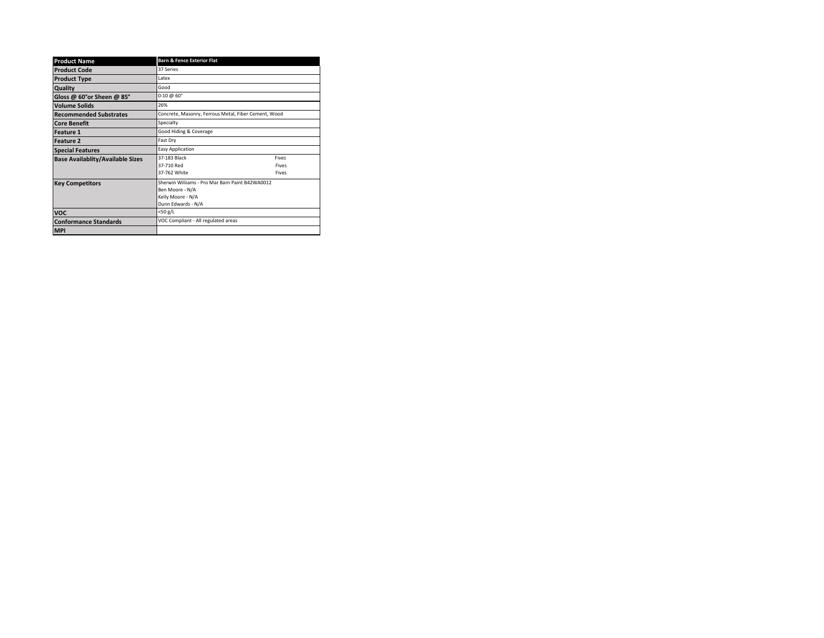| <b>Product Name</b>                     | <b>Barn &amp; Fence Exterior Flat</b>                |       |  |
|-----------------------------------------|------------------------------------------------------|-------|--|
| <b>Product Code</b>                     | 37 Series                                            |       |  |
| <b>Product Type</b>                     | l atex                                               |       |  |
| Quality                                 | Good                                                 |       |  |
| Gloss @ 60°or Sheen @ 85°               | $0-10 \ @ 60^{\circ}$                                |       |  |
| <b>Volume Solids</b>                    | 26%                                                  |       |  |
| <b>Recommended Substrates</b>           | Concrete, Masonry, Ferrous Metal, Fiber Cement, Wood |       |  |
| <b>Core Benefit</b>                     | Specialty                                            |       |  |
| Feature 1                               | Good Hiding & Coverage                               |       |  |
| <b>Feature 2</b>                        | Fast Dry                                             |       |  |
| <b>Special Features</b>                 | <b>Easy Application</b>                              |       |  |
| <b>Base Availablity/Available Sizes</b> | 37-183 Black                                         | Fives |  |
|                                         | 37-710 Red                                           | Fives |  |
|                                         | 37-762 White                                         | Fives |  |
| <b>Key Competitors</b>                  | Sherwin Wiliiams - Pro Mar Barn Paint B42WA0012      |       |  |
|                                         | Ben Moore - N/A                                      |       |  |
|                                         | Kelly Moore - N/A                                    |       |  |
|                                         | Dunn Edwards - N/A                                   |       |  |
| <b>VOC</b>                              | <50 g/L                                              |       |  |
| <b>Conformance Standards</b>            | VOC Compliant - All regulated areas                  |       |  |
| <b>MPI</b>                              |                                                      |       |  |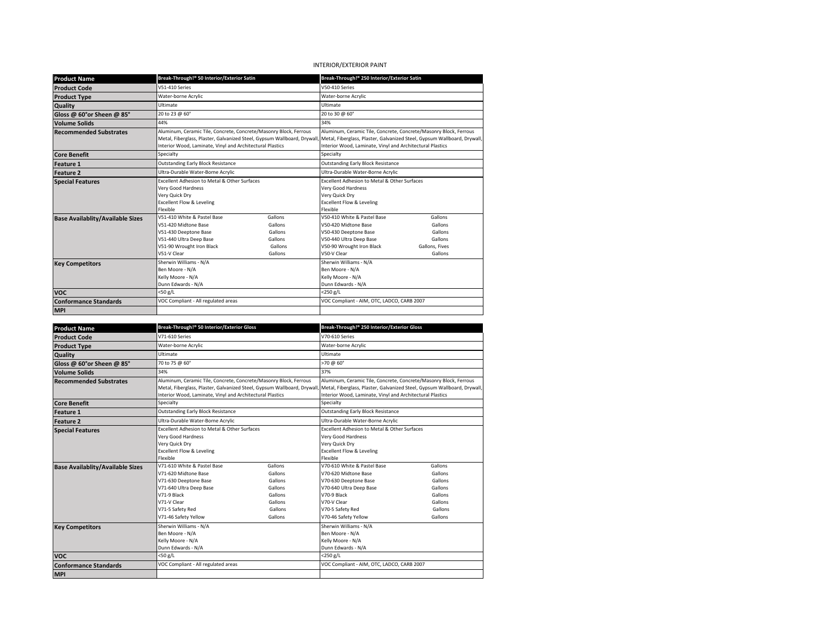# INTERIOR/EXTERIOR PAINT

| <b>Product Name</b>                        | Break-Through!® 50 Interior/Exterior Satin                              |         | Break-Through!® 250 Interior/Exterior Satin                              |                |  |
|--------------------------------------------|-------------------------------------------------------------------------|---------|--------------------------------------------------------------------------|----------------|--|
| <b>Product Code</b>                        | <b>V51-410 Series</b>                                                   |         | V50-410 Series                                                           |                |  |
| <b>Product Type</b>                        | Water-borne Acrylic                                                     |         | Water-borne Acrylic                                                      |                |  |
| Quality                                    | Ultimate                                                                |         | Ultimate                                                                 |                |  |
| Gloss @ 60°or Sheen @ 85°                  | 20 to 23 @ 60°                                                          |         | 20 to 30 @ 60°                                                           |                |  |
| <b>Volume Solids</b>                       | 44%                                                                     |         | 34%                                                                      |                |  |
| <b>Recommended Substrates</b>              | Aluminum, Ceramic Tile, Concrete, Concrete/Masonry Block, Ferrous       |         | Aluminum, Ceramic Tile, Concrete, Concrete/Masonry Block, Ferrous        |                |  |
|                                            | Metal, Fiberglass, Plaster, Galvanized Steel, Gypsum Wallboard, Drywall |         | Metal, Fiberglass, Plaster, Galvanized Steel, Gypsum Wallboard, Drywall, |                |  |
|                                            | Interior Wood, Laminate, Vinyl and Architectural Plastics               |         | Interior Wood, Laminate, Vinyl and Architectural Plastics                |                |  |
| <b>Core Benefit</b>                        | Specialty                                                               |         | Specialty                                                                |                |  |
| Feature 1                                  | <b>Outstanding Early Block Resistance</b>                               |         | <b>Outstanding Early Block Resistance</b>                                |                |  |
| Feature <sub>2</sub>                       | Ultra-Durable Water-Borne Acrylic                                       |         | Ultra-Durable Water-Borne Acrylic                                        |                |  |
| <b>Special Features</b>                    | Excellent Adhesion to Metal & Other Surfaces                            |         | Excellent Adhesion to Metal & Other Surfaces                             |                |  |
|                                            | Very Good Hardness                                                      |         | Very Good Hardness                                                       |                |  |
|                                            | Very Quick Dry                                                          |         | Very Quick Dry                                                           |                |  |
|                                            | <b>Excellent Flow &amp; Leveling</b>                                    |         | <b>Excellent Flow &amp; Leveling</b>                                     |                |  |
|                                            | Flexible<br>V51-410 White & Pastel Base                                 | Gallons | Flexible<br>V50-410 White & Pastel Base                                  | Gallons        |  |
| <b>Base Availablity/Available Sizes</b>    | V51-420 Midtone Base                                                    | Gallons | V50-420 Midtone Base                                                     | Gallons        |  |
|                                            | V51-430 Deeptone Base                                                   | Gallons | V50-430 Deeptone Base                                                    | Gallons        |  |
|                                            | V51-440 Ultra Deep Base                                                 | Gallons | V50-440 Ultra Deep Base                                                  | Gallons        |  |
|                                            | V51-90 Wrought Iron Black                                               | Gallons | V50-90 Wrought Iron Black                                                | Gallons, Fives |  |
|                                            | V51-V Clear                                                             | Gallons | V50-V Clear                                                              | Gallons        |  |
| <b>Key Competitors</b>                     | Sherwin Williams - N/A                                                  |         | Sherwin Williams - N/A                                                   |                |  |
|                                            | Ben Moore - N/A                                                         |         | Ben Moore - N/A                                                          |                |  |
|                                            | Kelly Moore - N/A                                                       |         | Kelly Moore - N/A                                                        |                |  |
|                                            | Dunn Edwards - N/A                                                      |         | Dunn Edwards - N/A<br><250 g/L                                           |                |  |
| <b>VOC</b>                                 | <50 g/L<br>VOC Compliant - All regulated areas                          |         | VOC Compliant - AIM, OTC, LADCO, CARB 2007                               |                |  |
| <b>Conformance Standards</b>               |                                                                         |         |                                                                          |                |  |
| <b>MPI</b>                                 |                                                                         |         |                                                                          |                |  |
|                                            |                                                                         |         |                                                                          |                |  |
|                                            |                                                                         |         |                                                                          |                |  |
| <b>Product Name</b>                        | Break-Through!® 50 Interior/Exterior Gloss                              |         | Break-Through!® 250 Interior/Exterior Gloss                              |                |  |
| <b>Product Code</b>                        | V71-610 Series                                                          |         | V70-610 Series                                                           |                |  |
| <b>Product Type</b>                        | Water-borne Acrylic                                                     |         | Water-borne Acrylic                                                      |                |  |
| Quality                                    | Ultimate                                                                |         | Ultimate                                                                 |                |  |
| Gloss @ 60°or Sheen @ 85°                  | 70 to 75 @ 60°                                                          |         | >70 @ 60°                                                                |                |  |
| <b>Volume Solids</b>                       | 34%                                                                     |         | 37%                                                                      |                |  |
| <b>Recommended Substrates</b>              | Aluminum, Ceramic Tile, Concrete, Concrete/Masonry Block, Ferrous       |         | Aluminum, Ceramic Tile, Concrete, Concrete/Masonry Block, Ferrous        |                |  |
|                                            | Metal, Fiberglass, Plaster, Galvanized Steel, Gypsum Wallboard, Drywall |         | Metal, Fiberglass, Plaster, Galvanized Steel, Gypsum Wallboard, Drywall, |                |  |
|                                            | Interior Wood, Laminate, Vinyl and Architectural Plastics               |         | Interior Wood, Laminate, Vinyl and Architectural Plastics                |                |  |
| <b>Core Benefit</b>                        | Specialty                                                               |         | Specialty                                                                |                |  |
| Feature 1                                  | <b>Outstanding Early Block Resistance</b>                               |         | <b>Outstanding Early Block Resistance</b>                                |                |  |
| <b>Feature 2</b>                           | Ultra-Durable Water-Borne Acrylic                                       |         | Ultra-Durable Water-Borne Acrylic                                        |                |  |
| <b>Special Features</b>                    | Excellent Adhesion to Metal & Other Surfaces                            |         | Excellent Adhesion to Metal & Other Surfaces                             |                |  |
|                                            | Very Good Hardness                                                      |         | Very Good Hardness                                                       |                |  |
|                                            | Very Quick Dry                                                          |         | Very Quick Dry                                                           |                |  |
|                                            | Excellent Flow & Leveling<br>Flexible                                   |         | <b>Excellent Flow &amp; Leveling</b><br>Flexible                         |                |  |
|                                            | V71-610 White & Pastel Base                                             | Gallons | V70-610 White & Pastel Base                                              | Gallons        |  |
| <b>Base Availablity/Available Sizes</b>    | V71-620 Midtone Base                                                    | Gallons | V70-620 Midtone Base                                                     | Gallons        |  |
|                                            | V71-630 Deeptone Base                                                   | Gallons | V70-630 Deeptone Base                                                    | Gallons        |  |
|                                            | V71-640 Ultra Deep Base                                                 | Gallons | V70-640 Ultra Deep Base                                                  | Gallons        |  |
|                                            | V71-9 Black                                                             | Gallons | V70-9 Black                                                              | Gallons        |  |
|                                            | V71-V Clear                                                             | Gallons | V70-V Clear                                                              | Gallons        |  |
|                                            | V71-5 Safety Red                                                        | Gallons | V70-5 Safety Red                                                         | Gallons        |  |
|                                            | V71-46 Safety Yellow                                                    | Gallons | V70-46 Safety Yellow                                                     | Gallons        |  |
| <b>Key Competitors</b>                     | Sherwin Williams - N/A                                                  |         | Sherwin Williams - N/A                                                   |                |  |
|                                            | Ben Moore - N/A                                                         |         | Ben Moore - N/A                                                          |                |  |
|                                            | Kelly Moore - N/A                                                       |         | Kelly Moore - N/A                                                        |                |  |
| voc                                        | Dunn Edwards - N/A<br><50 g/L                                           |         | Dunn Edwards - N/A<br><250 g/L                                           |                |  |
|                                            | VOC Compliant - All regulated areas                                     |         | VOC Compliant - AIM, OTC, LADCO, CARB 2007                               |                |  |
| <b>Conformance Standards</b><br><b>MPI</b> |                                                                         |         |                                                                          |                |  |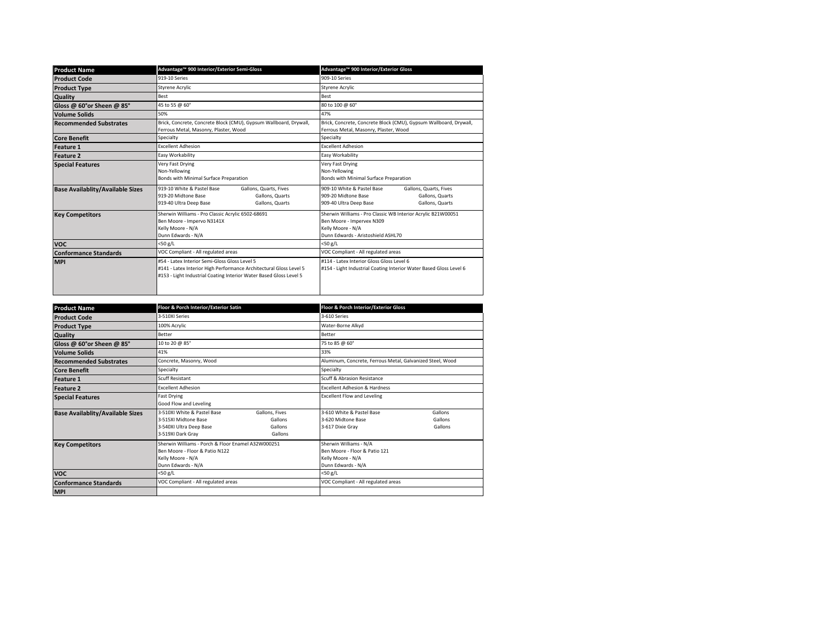| <b>Product Name</b>                     | Advantage™ 900 Interior/Exterior Semi-Gloss                                                                                                                                               | Advantage <sup>™</sup> 900 Interior/Exterior Gloss                                                                                                    |  |
|-----------------------------------------|-------------------------------------------------------------------------------------------------------------------------------------------------------------------------------------------|-------------------------------------------------------------------------------------------------------------------------------------------------------|--|
| <b>Product Code</b>                     | 919-10 Series                                                                                                                                                                             | 909-10 Series                                                                                                                                         |  |
| <b>Product Type</b>                     | <b>Styrene Acrylic</b>                                                                                                                                                                    | <b>Styrene Acrylic</b>                                                                                                                                |  |
| <b>Quality</b>                          | <b>Best</b>                                                                                                                                                                               | <b>Best</b>                                                                                                                                           |  |
| Gloss @ 60°or Sheen @ 85°               | 45 to 55 @ 60°                                                                                                                                                                            | 80 to 100 @ 60°                                                                                                                                       |  |
| Volume Solids                           | 50%                                                                                                                                                                                       | 47%                                                                                                                                                   |  |
| <b>Recommended Substrates</b>           | Brick, Concrete, Concrete Block (CMU), Gypsum Wallboard, Drywall,<br>Ferrous Metal, Masonry, Plaster, Wood                                                                                | Brick, Concrete, Concrete Block (CMU), Gypsum Wallboard, Drywall,<br>Ferrous Metal, Masonry, Plaster, Wood                                            |  |
| <b>Core Benefit</b>                     | Specialty                                                                                                                                                                                 | Specialty                                                                                                                                             |  |
| <b>Feature 1</b>                        | <b>Excellent Adhesion</b>                                                                                                                                                                 | <b>Excellent Adhesion</b>                                                                                                                             |  |
| <b>Feature 2</b>                        | Easy Workability                                                                                                                                                                          | Easy Workability                                                                                                                                      |  |
| <b>Special Features</b>                 | Very Fast Drying<br>Non-Yellowing<br>Bonds with Minimal Surface Preparation                                                                                                               | Very Fast Drying<br>Non-Yellowing<br>Bonds with Minimal Surface Preparation                                                                           |  |
| <b>Base Availablity/Available Sizes</b> | 919-10 White & Pastel Base<br>Gallons, Quarts, Fives<br>919-20 Midtone Base<br>Gallons, Quarts<br>Gallons, Quarts<br>919-40 Ultra Deep Base                                               | 909-10 White & Pastel Base<br>Gallons, Quarts, Fives<br>909-20 Midtone Base<br>Gallons, Quarts<br>Gallons, Quarts<br>909-40 Ultra Deep Base           |  |
| <b>Key Competitors</b>                  | Sherwin Williams - Pro Classic Acrylic 6502-68691<br>Ben Moore - Impervo N3141X<br>Kelly Moore - N/A<br>Dunn Edwards - N/A                                                                | Sherwin Williams - Pro Classic WB Interior Acrylic B21W00051<br>Ben Moore - Impervex N309<br>Kelly Moore - N/A<br>Dunn Edwards - Aristoshield ASHI 70 |  |
| <b>VOC</b>                              | <50 g/L                                                                                                                                                                                   | $<$ 50 g/L                                                                                                                                            |  |
| <b>Conformance Standards</b>            | VOC Compliant - All regulated areas                                                                                                                                                       | VOC Compliant - All regulated areas                                                                                                                   |  |
| <b>MPI</b>                              | #54 - Latex Interior Semi-Gloss Gloss Level 5<br>#141 - Latex Interior High Performance Architectural Gloss Level 5<br>#153 - Light Industrial Coating Interior Water Based Gloss Level 5 | #114 - Latex Interior Gloss Gloss Level 6<br>#154 - Light Industrial Coating Interior Water Based Gloss Level 6                                       |  |

| <b>Product Name</b>                     | Floor & Porch Interior/Exterior Satin                                                                                           |                                                 |                                                                                                    | Floor & Porch Interior/Exterior Gloss    |  |
|-----------------------------------------|---------------------------------------------------------------------------------------------------------------------------------|-------------------------------------------------|----------------------------------------------------------------------------------------------------|------------------------------------------|--|
| <b>Product Code</b>                     | 3-510XI Series                                                                                                                  |                                                 | 3-610 Series                                                                                       |                                          |  |
| <b>Product Type</b>                     | 100% Acrylic                                                                                                                    |                                                 | Water-Borne Alkyd                                                                                  |                                          |  |
| <b>Quality</b>                          | Better                                                                                                                          |                                                 | Better                                                                                             |                                          |  |
| Gloss @ 60°or Sheen @ 85°               | 10 to 20 @ 85°                                                                                                                  |                                                 | 75 to 85 @ 60°                                                                                     |                                          |  |
| <b>Volume Solids</b>                    | 41%                                                                                                                             |                                                 | 33%                                                                                                |                                          |  |
| <b>Recommended Substrates</b>           | Concrete, Masonry, Wood                                                                                                         |                                                 | Aluminum, Concrete, Ferrous Metal, Galvanized Steel, Wood                                          |                                          |  |
| <b>Core Benefit</b>                     | Specialty                                                                                                                       |                                                 | Specialty                                                                                          |                                          |  |
| <b>Feature 1</b>                        | <b>Scuff Resistant</b>                                                                                                          |                                                 | Scuff & Abrasion Resistance                                                                        |                                          |  |
| <b>Feature 2</b>                        | <b>Excellent Adhesion</b>                                                                                                       |                                                 |                                                                                                    | <b>Excellent Adhesion &amp; Hardness</b> |  |
| <b>Special Features</b>                 | Fast Drying<br>Good Flow and Leveling                                                                                           |                                                 | <b>Excellent Flow and Leveling</b>                                                                 |                                          |  |
| <b>Base Availablity/Available Sizes</b> | 3-510XI White & Pastel Base<br>3-515XI Midtone Base<br>3-540XI Ultra Deep Base<br>3-519XI Dark Gray                             | Gallons, Fives<br>Gallons<br>Gallons<br>Gallons | 3-610 White & Pastel Base<br>3-620 Midtone Base<br>3-617 Dixie Gray                                | Gallons<br>Gallons<br>Gallons            |  |
| <b>Key Competitors</b>                  | Sherwin Williams - Porch & Floor Fnamel A32W000251<br>Ben Moore - Floor & Patio N122<br>Kelly Moore - N/A<br>Dunn Edwards - N/A |                                                 | Sherwin Williams - N/A<br>Ben Moore - Floor & Patio 121<br>Kelly Moore - N/A<br>Dunn Edwards - N/A |                                          |  |
| <b>VOC</b>                              | $<$ 50 g/L                                                                                                                      |                                                 | <50 g/L                                                                                            |                                          |  |
| <b>Conformance Standards</b>            | VOC Compliant - All regulated areas                                                                                             |                                                 | VOC Compliant - All regulated areas                                                                |                                          |  |
| <b>MPI</b>                              |                                                                                                                                 |                                                 |                                                                                                    |                                          |  |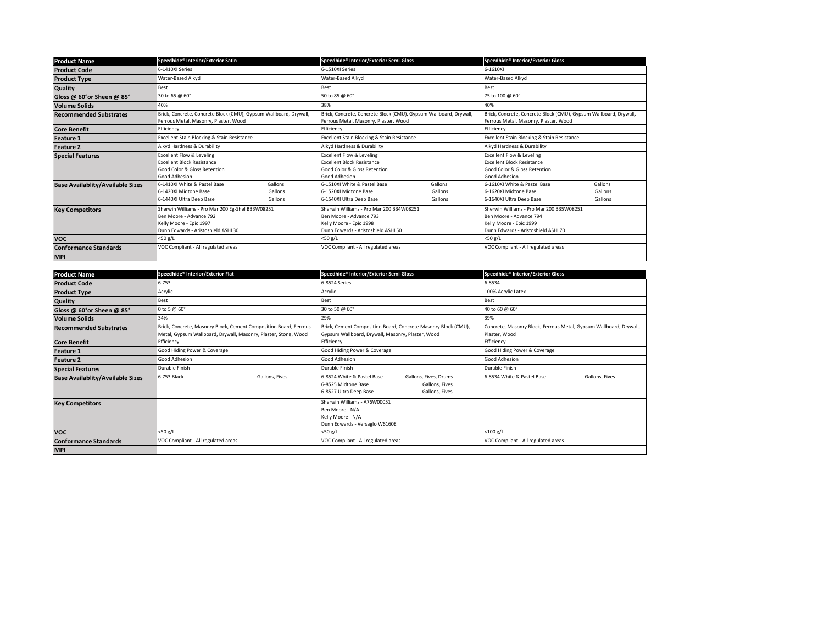| <b>Product Name</b>                     | Speedhide® Interior/Exterior Satin                                |         | Speedhide® Interior/Exterior Semi-Gloss                           |         | Speedhide® Interior/Exterior Gloss                                |         |
|-----------------------------------------|-------------------------------------------------------------------|---------|-------------------------------------------------------------------|---------|-------------------------------------------------------------------|---------|
| <b>Product Code</b>                     | 6-1410XI Series                                                   |         | 6-1510XI Series                                                   |         | 6-1610XI                                                          |         |
| <b>Product Type</b>                     | Water-Based Alkyd                                                 |         | Water-Based Alkyd                                                 |         | Water-Based Alkyd                                                 |         |
| <b>Quality</b>                          | Best                                                              |         | Best                                                              |         | Best                                                              |         |
| Gloss @ 60°or Sheen @ 85°               | 30 to 65 @ 60°                                                    |         | 50 to 85 @ 60°                                                    |         | 75 to 100 @ 60°                                                   |         |
| <b>Volume Solids</b>                    | 40%                                                               |         | 38%                                                               |         | 40%                                                               |         |
| <b>Recommended Substrates</b>           | Brick, Concrete, Concrete Block (CMU), Gypsum Wallboard, Drywall, |         | Brick, Concrete, Concrete Block (CMU), Gypsum Wallboard, Drywall, |         | Brick, Concrete, Concrete Block (CMU), Gypsum Wallboard, Drywall, |         |
|                                         | Ferrous Metal, Masonry, Plaster, Wood                             |         | Ferrous Metal, Masonry, Plaster, Wood                             |         | Ferrous Metal, Masonry, Plaster, Wood                             |         |
| <b>Core Benefit</b>                     | Efficiency                                                        |         | Efficiency                                                        |         | Efficiency                                                        |         |
| <b>Feature 1</b>                        | Excellent Stain Blocking & Stain Resistance                       |         | Excellent Stain Blocking & Stain Resistance                       |         | Excellent Stain Blocking & Stain Resistance                       |         |
| <b>Feature 2</b>                        | Alkyd Hardness & Durability                                       |         | Alkyd Hardness & Durability                                       |         | Alkyd Hardness & Durability                                       |         |
| <b>Special Features</b>                 | <b>Excellent Flow &amp; Leveling</b>                              |         | <b>Excellent Flow &amp; Leveling</b>                              |         | <b>Excellent Flow &amp; Leveling</b>                              |         |
|                                         | <b>Excellent Block Resistance</b>                                 |         | <b>Excellent Block Resistance</b>                                 |         | <b>Excellent Block Resistance</b>                                 |         |
|                                         | Good Color & Gloss Retention                                      |         | Good Color & Gloss Retention                                      |         | Good Color & Gloss Retention                                      |         |
|                                         | Good Adhesion                                                     |         | Good Adhesion                                                     |         | Good Adhesion                                                     |         |
| <b>Base Availablity/Available Sizes</b> | 6-1410XI White & Pastel Base                                      | Gallons | 6-1510XI White & Pastel Base                                      | Gallons | 6-1610XI White & Pastel Base                                      | Gallons |
|                                         | 6-1420XL Midtone Base                                             | Gallons | 6-1520XL Midtone Base                                             | Gallons | 6-1620XLMidtone Base                                              | Gallons |
|                                         | 6-1440XI Ultra Deep Base                                          | Gallons | 6-1540XI Ultra Deep Base                                          | Gallons | 6-1640XI Ultra Deep Base                                          | Gallons |
| <b>Key Competitors</b>                  | Sherwin Williams - Pro Mar 200 Eg-Shel B33W08251                  |         | Sherwin Williams - Pro Mar 200 B34W08251                          |         | Sherwin Williams - Pro Mar 200 B35W08251                          |         |
|                                         | Ben Moore - Advance 792                                           |         | Ben Moore - Advance 793                                           |         | Ben Moore - Advance 794                                           |         |
|                                         | Kelly Moore - Epic 1997                                           |         | Kelly Moore - Epic 1998                                           |         | Kelly Moore - Epic 1999                                           |         |
|                                         | Dunn Edwards - Aristoshield ASHI 30                               |         | Dunn Edwards - Aristoshield ASHI 50                               |         | Dunn Edwards - Aristoshield ASHL70                                |         |
| <b>VOC</b>                              | $<$ 50 g/L                                                        |         | $<$ 50 g/L                                                        |         | $<$ 50 g/L                                                        |         |
| <b>Conformance Standards</b>            | VOC Compliant - All regulated areas                               |         | VOC Compliant - All regulated areas                               |         | VOC Compliant - All regulated areas                               |         |
| <b>MPI</b>                              |                                                                   |         |                                                                   |         |                                                                   |         |

| <b>Product Name</b>                     | Speedhide® Interior/Exterior Flat                                                                                                    | Speedhide® Interior/Exterior Semi-Gloss                                                                                                  | Speedhide® Interior/Exterior Gloss                                                  |
|-----------------------------------------|--------------------------------------------------------------------------------------------------------------------------------------|------------------------------------------------------------------------------------------------------------------------------------------|-------------------------------------------------------------------------------------|
| <b>Product Code</b>                     | $6 - 753$                                                                                                                            | 6-8524 Series                                                                                                                            | 6-8534                                                                              |
| <b>Product Type</b>                     | Acrylic                                                                                                                              | Acrylic                                                                                                                                  | 100% Acrylic Latex                                                                  |
| <b>Quality</b>                          | Best                                                                                                                                 | Best                                                                                                                                     | <b>Best</b>                                                                         |
| Gloss @ 60°or Sheen @ 85°               | 0 to 5 @ 60°                                                                                                                         | 30 to 50 @ 60°                                                                                                                           | 40 to 60 @ 60°                                                                      |
| <b>Volume Solids</b>                    | 34%                                                                                                                                  | 29%                                                                                                                                      | 39%                                                                                 |
| <b>Recommended Substrates</b>           | Brick, Concrete, Masonry Block, Cement Composition Board, Ferrous<br>Metal, Gypsum Wallboard, Drywall, Masonry, Plaster, Stone, Wood | Brick, Cement Composition Board, Concrete Masonry Block (CMU),<br>Gypsum Wallboard, Drywall, Masonry, Plaster, Wood                      | Concrete, Masonry Block, Ferrous Metal, Gypsum Wallboard, Drywall,<br>Plaster, Wood |
| <b>Core Benefit</b>                     | Efficiency                                                                                                                           | Efficiency                                                                                                                               | Efficiency                                                                          |
| <b>Feature 1</b>                        | Good Hiding Power & Coverage                                                                                                         | Good Hiding Power & Coverage                                                                                                             | Good Hiding Power & Coverage                                                        |
| <b>Feature 2</b>                        | Good Adhesion                                                                                                                        | Good Adhesion                                                                                                                            | Good Adhesion                                                                       |
| <b>Special Features</b>                 | Durable Finish                                                                                                                       | Durable Finish                                                                                                                           | Durable Finish                                                                      |
| <b>Base Availablity/Available Sizes</b> | 6-753 Black<br>Gallons, Fives                                                                                                        | 6-8524 White & Pastel Base<br>Gallons, Fives, Drums<br>6-8525 Midtone Base<br>Gallons, Fives<br>6-8527 Ultra Deep Base<br>Gallons, Fives | 6-8534 White & Pastel Base<br>Gallons, Fives                                        |
| <b>Key Competitors</b>                  |                                                                                                                                      | Sherwin Williams - A76W00051<br>Ben Moore - N/A<br>Kelly Moore - N/A<br>Dunn Edwards - Versaglo W6160E                                   |                                                                                     |
| <b>VOC</b>                              | <50 g/L                                                                                                                              | $<$ 50 g/L                                                                                                                               | $<$ 100 $g/L$                                                                       |
| <b>Conformance Standards</b>            | VOC Compliant - All regulated areas                                                                                                  | VOC Compliant - All regulated areas                                                                                                      | VOC Compliant - All regulated areas                                                 |
| <b>MPI</b>                              |                                                                                                                                      |                                                                                                                                          |                                                                                     |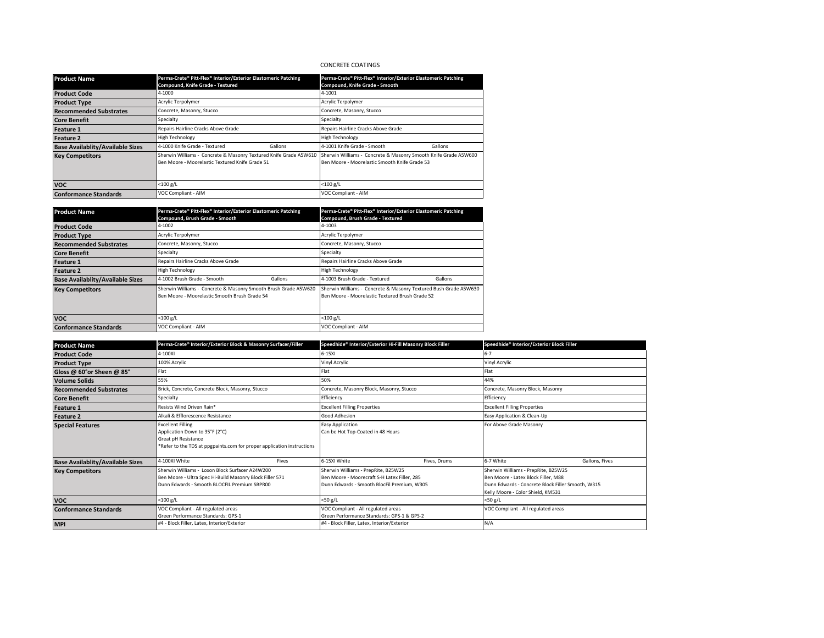# CONCRETE COATINGS

| <b>Product Name</b>                     | Perma-Crete® Pitt-Flex® Interior/Exterior Elastomeric Patching                                                       | Perma-Crete® Pitt-Flex® Interior/Exterior Elastomeric Patching                                                   |  |
|-----------------------------------------|----------------------------------------------------------------------------------------------------------------------|------------------------------------------------------------------------------------------------------------------|--|
|                                         | Compound, Knife Grade - Textured                                                                                     | Compound, Knife Grade - Smooth                                                                                   |  |
| <b>Product Code</b>                     | 4-1000                                                                                                               | 4-1001                                                                                                           |  |
| <b>Product Type</b>                     | Acrylic Terpolymer                                                                                                   | Acrylic Terpolymer                                                                                               |  |
| <b>Recommended Substrates</b>           | Concrete, Masonry, Stucco                                                                                            | Concrete, Masonry, Stucco                                                                                        |  |
| <b>Core Benefit</b>                     | Specialty                                                                                                            | Specialty                                                                                                        |  |
| <b>Feature 1</b>                        | Repairs Hairline Cracks Above Grade                                                                                  | Repairs Hairline Cracks Above Grade                                                                              |  |
| <b>Feature 2</b>                        | <b>High Technology</b>                                                                                               | <b>High Technology</b>                                                                                           |  |
| <b>Base Availablity/Available Sizes</b> | 4-1000 Knife Grade - Textured<br>Gallons                                                                             | 4-1001 Knife Grade - Smooth<br>Gallons                                                                           |  |
| <b>Key Competitors</b>                  | Sherwin Williams - Concrete & Masonry Textured Knife Grade A5W610<br>Ben Moore - Moorelastic Textured Knife Grade 51 | Sherwin Williams - Concrete & Masonry Smooth Knife Grade A5W600<br>Ben Moore - Moorelastic Smooth Knife Grade 53 |  |
| <b>VOC</b>                              | $<$ 100 g/L                                                                                                          | $<$ 100 g/L                                                                                                      |  |
| <b>Conformance Standards</b>            | VOC Compliant - AIM                                                                                                  | VOC Compliant - AIM                                                                                              |  |

| <b>Product Name</b>                     | Perma-Crete® Pitt-Flex® Interior/Exterior Elastomeric Patching                                                   | Perma-Crete® Pitt-Flex® Interior/Exterior Elastomeric Patching                                                      |  |
|-----------------------------------------|------------------------------------------------------------------------------------------------------------------|---------------------------------------------------------------------------------------------------------------------|--|
|                                         | Compound, Brush Grade - Smooth                                                                                   | Compound, Brush Grade - Textured                                                                                    |  |
| <b>Product Code</b>                     | 4-1002                                                                                                           | 4-1003                                                                                                              |  |
| <b>Product Type</b>                     | Acrylic Terpolymer                                                                                               | Acrylic Terpolymer                                                                                                  |  |
| <b>Recommended Substrates</b>           | Concrete, Masonry, Stucco                                                                                        | Concrete, Masonry, Stucco                                                                                           |  |
| <b>Core Benefit</b>                     | Specialty                                                                                                        | Specialty                                                                                                           |  |
| <b>Feature 1</b>                        | Repairs Hairline Cracks Above Grade                                                                              | Repairs Hairline Cracks Above Grade                                                                                 |  |
| <b>Feature 2</b>                        | <b>High Technology</b>                                                                                           | <b>High Technology</b>                                                                                              |  |
| <b>Base Availablity/Available Sizes</b> | 4-1002 Brush Grade - Smooth<br>Gallons                                                                           | 4-1003 Brush Grade - Textured<br>Gallons                                                                            |  |
| <b>Key Competitors</b>                  | Sherwin Williams - Concrete & Masonry Smooth Brush Grade A5W620<br>Ben Moore - Moorelastic Smooth Brush Grade 54 | Sherwin Williams - Concrete & Masonry Textured Bush Grade A5W630<br>Ben Moore - Moorelastic Textured Brush Grade 52 |  |
| <b>VOC</b>                              | $<$ 100 g/L                                                                                                      | $<$ 100 g/L                                                                                                         |  |
| <b>Conformance Standards</b>            | VOC Compliant - AIM                                                                                              | VOC Compliant - AIM                                                                                                 |  |

| <b>Product Name</b>                     | Perma-Crete® Interior/Exterior Block & Masonry Surfacer/Filler                                                                                              | Speedhide® Interior/Exterior Hi-Fill Masonry Block Filler                                                                          | Speedhide® Interior/Exterior Block Filler                                                                                                                            |  |
|-----------------------------------------|-------------------------------------------------------------------------------------------------------------------------------------------------------------|------------------------------------------------------------------------------------------------------------------------------------|----------------------------------------------------------------------------------------------------------------------------------------------------------------------|--|
| <b>Product Code</b>                     | 4-100XI                                                                                                                                                     | $6-15XI$                                                                                                                           | $6 - 7$                                                                                                                                                              |  |
| <b>Product Type</b>                     | 100% Acrylic                                                                                                                                                | Vinyl Acrylic                                                                                                                      | Vinyl Acrylic                                                                                                                                                        |  |
| Gloss @ 60°or Sheen @ 85°               | Flat                                                                                                                                                        | Flat                                                                                                                               | Flat                                                                                                                                                                 |  |
| <b>Volume Solids</b>                    | 55%                                                                                                                                                         | 50%                                                                                                                                | 44%                                                                                                                                                                  |  |
| <b>Recommended Substrates</b>           | Brick, Concrete, Concrete Block, Masonry, Stucco                                                                                                            | Concrete, Masonry Block, Masonry, Stucco                                                                                           | Concrete, Masonry Block, Masonry                                                                                                                                     |  |
| <b>Core Benefit</b>                     | Specialty                                                                                                                                                   | Efficiency                                                                                                                         | Efficiency                                                                                                                                                           |  |
| Feature 1                               | Resists Wind Driven Rain*                                                                                                                                   | <b>Excellent Filling Properties</b>                                                                                                | <b>Excellent Filling Properties</b>                                                                                                                                  |  |
| <b>Feature 2</b>                        | Alkali & Efflorescence Resistance                                                                                                                           | Good Adhesion                                                                                                                      | Easy Application & Clean-Up                                                                                                                                          |  |
| <b>Special Features</b>                 | <b>Excellent Filling</b><br>Application Down to 35°F (2°C)<br>Great pH Resistance<br>*Refer to the TDS at ppgpaints.com for proper application instructions | <b>Easy Application</b><br>Can be Hot Top-Coated in 48 Hours                                                                       | For Above Grade Masonry                                                                                                                                              |  |
| <b>Base Availablity/Available Sizes</b> | 4-100XI White<br>Fives                                                                                                                                      | 6-15XI White<br>Fives, Drums                                                                                                       | 6-7 White<br>Gallons, Fives                                                                                                                                          |  |
| <b>Key Competitors</b>                  | Sherwin Williams - Loxon Block Surfacer A24W200<br>Ben Moore - Ultra Spec Hi-Build Masonry Block Filler 571<br>Dunn Edwards - Smooth BLOCFIL Premium SBPR00 | Sherwin Williams - PrepRite, B25W25<br>Ben Moore - Moorecraft S-H Latex Filler, 285<br>Dunn Edwards - Smooth BlocFil Premium, W305 | Sherwin Williams - PrepRite, B25W25<br>Ben Moore - Latex Block Filler, M88<br>Dunn Edwards - Concrete Block Filler Smooth, W315<br>Kelly Moore - Color Shield, KM531 |  |
| <b>VOC</b>                              | <100 g/L                                                                                                                                                    | $<$ 50 g/L                                                                                                                         | $<$ 50 g/L                                                                                                                                                           |  |
| <b>Conformance Standards</b>            | VOC Compliant - All regulated areas<br>Green Performance Standards: GPS-1                                                                                   | VOC Compliant - All regulated areas<br>Green Performance Standards: GPS-1 & GPS-2                                                  | VOC Compliant - All regulated areas                                                                                                                                  |  |
| <b>MPI</b>                              | #4 - Block Filler, Latex, Interior/Exterior                                                                                                                 | #4 - Block Filler, Latex, Interior/Exterior                                                                                        | N/A                                                                                                                                                                  |  |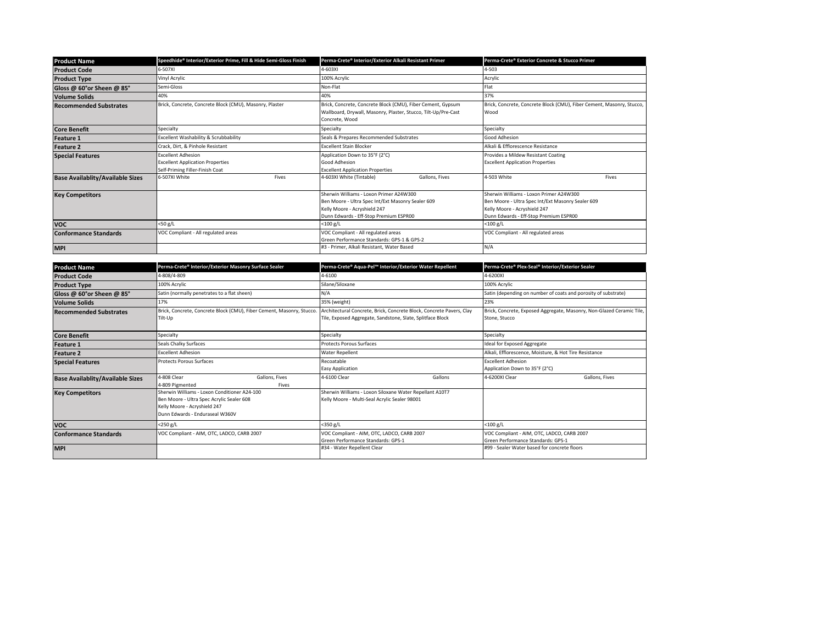| <b>Product Name</b>                     | Speedhide® Interior/Exterior Prime, Fill & Hide Semi-Gloss Finish                                       | Perma-Crete® Interior/Exterior Alkali Resistant Primer                                                                                                                 | Perma-Crete® Exterior Concrete & Stucco Primer                                                                                                                         |
|-----------------------------------------|---------------------------------------------------------------------------------------------------------|------------------------------------------------------------------------------------------------------------------------------------------------------------------------|------------------------------------------------------------------------------------------------------------------------------------------------------------------------|
| <b>Product Code</b>                     | 6-507XI                                                                                                 | 4-603XI                                                                                                                                                                | 4-503                                                                                                                                                                  |
| <b>Product Type</b>                     | Vinyl Acrylic                                                                                           | 100% Acrylic                                                                                                                                                           | Acrylic                                                                                                                                                                |
| Gloss @ 60°or Sheen @ 85°               | Semi-Gloss                                                                                              | Non-Flat                                                                                                                                                               | Flat                                                                                                                                                                   |
| <b>Volume Solids</b>                    | 40%                                                                                                     | 40%                                                                                                                                                                    | 37%                                                                                                                                                                    |
| <b>Recommended Substrates</b>           | Brick, Concrete, Concrete Block (CMU), Masonry, Plaster                                                 | Brick, Concrete, Concrete Block (CMU), Fiber Cement, Gypsum<br>Wallboard, Drywall, Masonry, Plaster, Stucco, Tilt-Up/Pre-Cast<br>Concrete, Wood                        | Brick, Concrete, Concrete Block (CMU), Fiber Cement, Masonry, Stucco,<br>Wood                                                                                          |
| <b>Core Benefit</b>                     | Specialty                                                                                               | Specialty                                                                                                                                                              | Specialty                                                                                                                                                              |
| <b>Feature 1</b>                        | Excellent Washability & Scrubbability                                                                   | Seals & Prepares Recommended Substrates                                                                                                                                | Good Adhesion                                                                                                                                                          |
| <b>Feature 2</b>                        | Crack, Dirt, & Pinhole Resistant                                                                        | <b>Excellent Stain Blocker</b>                                                                                                                                         | Alkali & Efflorescence Resistance                                                                                                                                      |
| <b>Special Features</b>                 | <b>Excellent Adhesion</b><br><b>Excellent Application Properties</b><br>Self-Priming Filler-Finish Coat | Application Down to 35°F (2°C)<br>Good Adhesion<br><b>Excellent Application Properties</b>                                                                             | Provides a Mildew Resistant Coating<br><b>Excellent Application Properties</b>                                                                                         |
| <b>Base Availablity/Available Sizes</b> | 6-507XI White<br>Fives                                                                                  | 4-603XI White (Tintable)<br>Gallons, Fives                                                                                                                             | 4-503 White<br>Fives                                                                                                                                                   |
| <b>Key Competitors</b>                  |                                                                                                         | Sherwin Williams - Loxon Primer A24W300<br>Ben Moore - Ultra Spec Int/Ext Masonry Sealer 609<br>Kelly Moore - Acryshield 247<br>Dunn Edwards - Eff-Stop Premium ESPR00 | Sherwin Williams - Loxon Primer A24W300<br>Ben Moore - Ultra Spec Int/Ext Masonry Sealer 609<br>Kelly Moore - Acryshield 247<br>Dunn Edwards - Eff-Stop Premium ESPR00 |
| <b>VOC</b>                              | <50 g/L                                                                                                 | $<$ 100 g/L                                                                                                                                                            | <100 g/L                                                                                                                                                               |
| <b>Conformance Standards</b>            | VOC Compliant - All regulated areas                                                                     | VOC Compliant - All regulated areas<br>Green Performance Standards: GPS-1 & GPS-2                                                                                      | VOC Compliant - All regulated areas                                                                                                                                    |
| <b>MPI</b>                              |                                                                                                         | #3 - Primer, Alkali Resistant, Water Based                                                                                                                             | N/A                                                                                                                                                                    |

| <b>Product Name</b>                     | Perma-Crete® Interior/Exterior Masonry Surface Sealer                                                                                                        | Perma-Crete® Aqua-Pel™ Interior/Exterior Water Repellent                                                                           | Perma-Crete® Plex-Seal® Interior/Exterior Sealer                                       |  |
|-----------------------------------------|--------------------------------------------------------------------------------------------------------------------------------------------------------------|------------------------------------------------------------------------------------------------------------------------------------|----------------------------------------------------------------------------------------|--|
| <b>Product Code</b>                     | 4-808/4-809                                                                                                                                                  | 4-6100                                                                                                                             | 4-6200XI                                                                               |  |
| <b>Product Type</b>                     | 100% Acrylic                                                                                                                                                 | Silane/Siloxane                                                                                                                    | 100% Acrylic                                                                           |  |
| Gloss @ 60°or Sheen @ 85°               | Satin (normally penetrates to a flat sheen)                                                                                                                  | N/A                                                                                                                                | Satin (depending on number of coats and porosity of substrate)                         |  |
| <b>Volume Solids</b>                    | 17%                                                                                                                                                          | 35% (weight)                                                                                                                       | 23%                                                                                    |  |
| <b>Recommended Substrates</b>           | Brick, Concrete, Concrete Block (CMU), Fiber Cement, Masonry, Stucco.<br>Tilt-Up                                                                             | Architectural Concrete, Brick, Concrete Block, Concrete Pavers, Clay<br>Tile, Exposed Aggregate, Sandstone, Slate, Splitface Block | Brick, Concrete, Exposed Aggregate, Masonry, Non-Glazed Ceramic Tile,<br>Stone, Stucco |  |
| <b>Core Benefit</b>                     | Specialty                                                                                                                                                    | Specialty                                                                                                                          | Specialty                                                                              |  |
| <b>Feature 1</b>                        | Seals Chalky Surfaces                                                                                                                                        | <b>Protects Porous Surfaces</b>                                                                                                    | Ideal for Exposed Aggregate                                                            |  |
| <b>Feature 2</b>                        | <b>Excellent Adhesion</b>                                                                                                                                    | <b>Water Repellent</b>                                                                                                             | Alkali, Efflorescence, Moisture, & Hot Tire Resistance                                 |  |
| <b>Special Features</b>                 | <b>Protects Porous Surfaces</b>                                                                                                                              | Recoatable<br><b>Easy Application</b>                                                                                              | <b>Excellent Adhesion</b><br>Application Down to 35°F (2°C)                            |  |
| <b>Base Availablity/Available Sizes</b> | 4-808 Clear<br>Gallons, Fives<br>4-809 Pigmented<br>Fives                                                                                                    | 4-6100 Clear<br>Gallons                                                                                                            | 4-6200XI Clear<br>Gallons, Fives                                                       |  |
| <b>Key Competitors</b>                  | Sherwin Williams - Loxon Conditioner A24-100<br>Ben Moore - Ultra Spec Acrylic Sealer 608<br>Kelly Moore - Acryshield 247<br>Dunn Edwards - Enduraseal W360V | Sherwin Williams - Loxon Siloxane Water Repellant A10T7<br>Kelly Moore - Multi-Seal Acrylic Sealer 98001                           |                                                                                        |  |
| <b>VOC</b>                              | <250 g/L                                                                                                                                                     | $<$ 350 g/L                                                                                                                        | $<$ 100 g/L                                                                            |  |
| <b>Conformance Standards</b>            | VOC Compliant - AIM, OTC, LADCO, CARB 2007                                                                                                                   | VOC Compliant - AIM, OTC, LADCO, CARB 2007<br>Green Performance Standards: GPS-1                                                   | VOC Compliant - AIM, OTC, LADCO, CARB 2007<br>Green Performance Standards: GPS-1       |  |
| <b>MPI</b>                              |                                                                                                                                                              | #34 - Water Repellent Clear                                                                                                        | #99 - Sealer Water based for concrete floors                                           |  |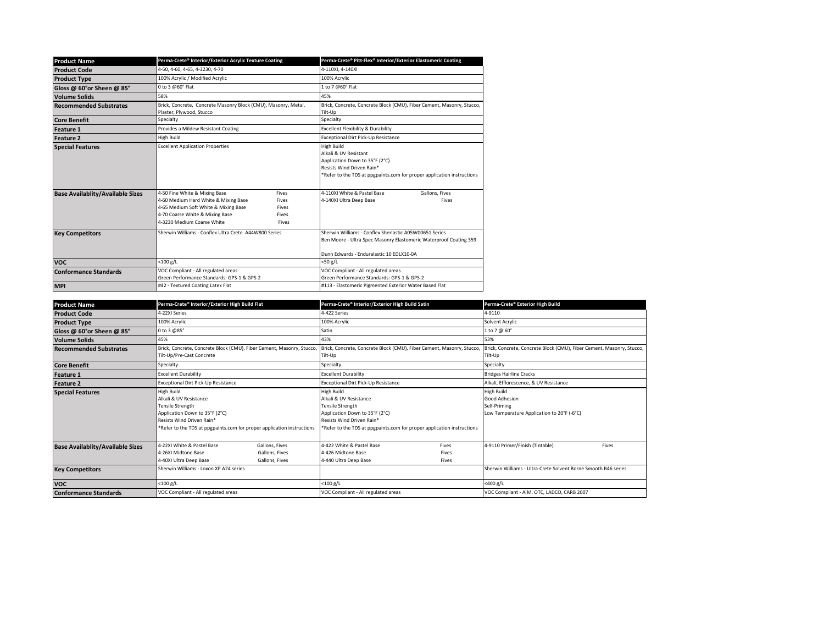| <b>Product Name</b>                     | Perma-Crete® Interior/Exterior Acrylic Texture Coating                                                                                                                         |                                           | Perma-Crete® Pitt-Flex® Interior/Exterior Elastomeric Coating                                                                                                                |                         |
|-----------------------------------------|--------------------------------------------------------------------------------------------------------------------------------------------------------------------------------|-------------------------------------------|------------------------------------------------------------------------------------------------------------------------------------------------------------------------------|-------------------------|
| <b>Product Code</b>                     | 4-50, 4-60, 4-65, 4-3230, 4-70                                                                                                                                                 |                                           | 4-110XI. 4-140XI                                                                                                                                                             |                         |
| <b>Product Type</b>                     | 100% Acrylic / Modified Acrylic                                                                                                                                                |                                           | 100% Acrylic                                                                                                                                                                 |                         |
| Gloss @ 60°or Sheen @ 85°               | 0 to 3 @60° Flat                                                                                                                                                               |                                           | 1 to 7 @60° Flat                                                                                                                                                             |                         |
| <b>Volume Solids</b>                    | 58%                                                                                                                                                                            |                                           | 45%                                                                                                                                                                          |                         |
| <b>Recommended Substrates</b>           | Brick, Concrete, Concrete Masonry Block (CMU), Masonry, Metal,<br>Plaster, Plywood, Stucco                                                                                     |                                           | Brick, Concrete, Concrete Block (CMU), Fiber Cement, Masonry, Stucco,<br>Tilt-Up                                                                                             |                         |
| <b>Core Benefit</b>                     | Specialty                                                                                                                                                                      |                                           | Specialty                                                                                                                                                                    |                         |
| <b>Feature 1</b>                        | Provides a Mildew Resistant Coating                                                                                                                                            |                                           | Excellent Flexibility & Durability                                                                                                                                           |                         |
| <b>Feature 2</b>                        | High Build                                                                                                                                                                     |                                           | Exceptional Dirt Pick-Up Resistance                                                                                                                                          |                         |
| <b>Special Features</b>                 | <b>Excellent Application Properties</b>                                                                                                                                        |                                           | High Build<br>Alkali & UV Resistant<br>Application Down to 35°F (2°C)<br>Resists Wind Driven Rain*<br>*Refer to the TDS at ppgpaints.com for proper application instructions |                         |
| <b>Base Availablity/Available Sizes</b> | 4-50 Fine White & Mixing Base<br>4-60 Medium Hard White & Mixing Base<br>4-65 Medium Soft White & Mixing Base<br>4-70 Coarse White & Mixing Base<br>4-3230 Medium Coarse White | Fives<br>Fives<br>Fives<br>Fives<br>Fives |                                                                                                                                                                              | Gallons, Fives<br>Fives |
| <b>Key Competitors</b>                  | Sherwin Williams - Conflex Ultra Crete, A44W800 Series                                                                                                                         |                                           | Sherwin Williams - Conflex Sherlastic A05W00651 Series<br>Ben Moore - Ultra Spec Masonry Elastomeric Waterproof Coating 359<br>Dunn Edwards - Enduralastic 10 EDI X10-0A     |                         |
| <b>VOC</b>                              | $<$ 100 g/L                                                                                                                                                                    |                                           | $<$ 50 g/L                                                                                                                                                                   |                         |
| <b>Conformance Standards</b>            | VOC Compliant - All regulated areas<br>Green Performance Standards: GPS-1 & GPS-2                                                                                              |                                           | VOC Compliant - All regulated areas<br>Green Performance Standards: GPS-1 & GPS-2                                                                                            |                         |
| <b>MPI</b>                              | #42 - Textured Coating Latex Flat                                                                                                                                              |                                           | #113 - Elastomeric Pigmented Exterior Water Based Flat                                                                                                                       |                         |

| <b>Product Name</b>                     | Perma-Crete® Interior/Exterior High Build Flat                                                                                        |                                                                                                                                                                                                                                                                             | Perma-Crete® Interior/Exterior High Build Satin                                 |                         | Perma-Crete® Exterior High Build                                                                 |       |
|-----------------------------------------|---------------------------------------------------------------------------------------------------------------------------------------|-----------------------------------------------------------------------------------------------------------------------------------------------------------------------------------------------------------------------------------------------------------------------------|---------------------------------------------------------------------------------|-------------------------|--------------------------------------------------------------------------------------------------|-------|
| <b>Product Code</b>                     | 4-22XI Series                                                                                                                         |                                                                                                                                                                                                                                                                             | 4-422 Series                                                                    |                         | 4-9110                                                                                           |       |
| <b>Product Type</b>                     | 100% Acrylic                                                                                                                          |                                                                                                                                                                                                                                                                             | 100% Acrylic                                                                    |                         | Solvent Acrylic                                                                                  |       |
| Gloss @ 60° or Sheen @ 85°              | 0 to 3 @85°                                                                                                                           |                                                                                                                                                                                                                                                                             | Satin                                                                           |                         | 1 to 7 @ 60°                                                                                     |       |
| <b>Volume Solids</b>                    | 45%                                                                                                                                   |                                                                                                                                                                                                                                                                             | 43%                                                                             |                         | 53%                                                                                              |       |
| <b>Recommended Substrates</b>           | Brick, Concrete, Concrete Block (CMU), Fiber Cement, Masonry, Stucco,<br>Tilt-Up/Pre-Cast Concrete                                    |                                                                                                                                                                                                                                                                             | Brick, Concrete, Concrete Block (CMU), Fiber Cement, Masonry, Stucco<br>Tilt-Up |                         | Brick, Concrete, Concrete Block (CMU), Fiber Cement, Masonry, Stucco,<br>Tilt-Up                 |       |
| <b>Core Benefit</b>                     | Specialty                                                                                                                             |                                                                                                                                                                                                                                                                             | Specialty                                                                       |                         | Specialty                                                                                        |       |
| Feature 1                               | Excellent Durability                                                                                                                  |                                                                                                                                                                                                                                                                             | <b>Excellent Durability</b>                                                     |                         | <b>Bridges Hairline Cracks</b>                                                                   |       |
| <b>Feature 2</b>                        | Exceptional Dirt Pick-Up Resistance                                                                                                   |                                                                                                                                                                                                                                                                             | Exceptional Dirt Pick-Up Resistance                                             |                         | Alkali, Efflorescence, & UV Resistance                                                           |       |
| <b>Special Features</b>                 | <b>High Build</b><br>Alkali & UV Resistance<br><b>Tensile Strength</b><br>Application Down to 35°F (2°C)<br>Resists Wind Driven Rain* | High Build<br>Alkali & UV Resistance<br>Tensile Strength<br>Application Down to 35°F (2°C)<br>Resists Wind Driven Rain*<br>*Refer to the TDS at ppgpaints.com for proper application instructions<br>*Refer to the TDS at ppgpaints.com for proper application instructions |                                                                                 |                         | <b>High Build</b><br>Good Adhesion<br>Self-Priming<br>Low Temperature Application to 20°F (-6°C) |       |
| <b>Base Availablity/Available Sizes</b> | 4-22XI White & Pastel Base<br>4-26XI Midtone Base<br>4-40XI Ultra Deep Base                                                           | Gallons, Fives<br>Gallons, Fives<br>Gallons, Fives                                                                                                                                                                                                                          | 4-422 White & Pastel Base<br>4-426 Midtone Base<br>4-440 Ultra Deep Base        | Fives<br>Fives<br>Fives | 4-9110 Primer/Finish (Tintable)                                                                  | Fives |
| <b>Key Competitors</b>                  | Sherwin Williams - Loxon XP A24 series                                                                                                |                                                                                                                                                                                                                                                                             |                                                                                 |                         | Sherwin Williams - Ultra-Crete Solvent Borne Smooth B46 series                                   |       |
| <b>VOC</b>                              | $<$ 100 g/L                                                                                                                           |                                                                                                                                                                                                                                                                             | $<$ 100 g/L                                                                     |                         | <400 g/L                                                                                         |       |
| <b>Conformance Standards</b>            | VOC Compliant - All regulated areas                                                                                                   |                                                                                                                                                                                                                                                                             | VOC Compliant - All regulated areas                                             |                         | VOC Compliant - AIM, OTC, LADCO, CARB 2007                                                       |       |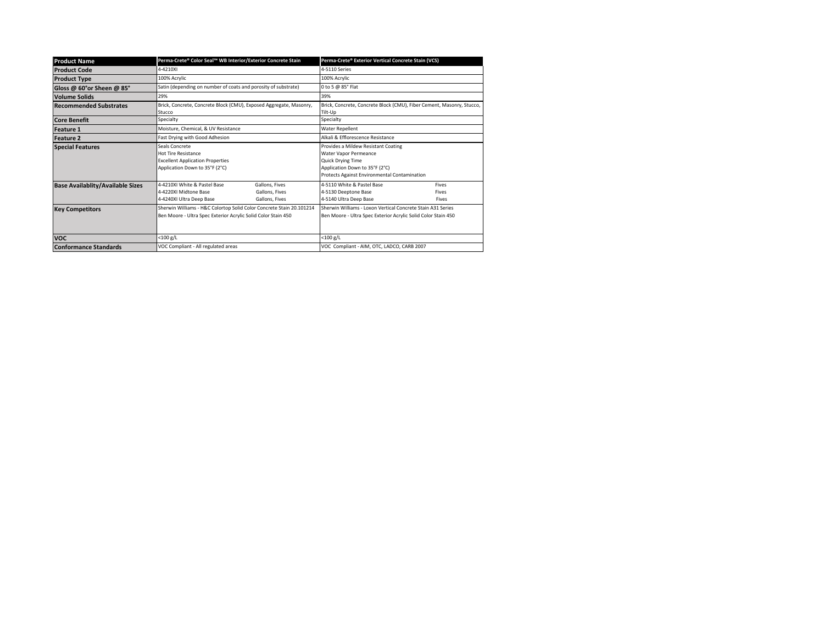| <b>Product Name</b>                     | Perma-Crete® Color Seal™ WB Interior/Exterior Concrete Stain                                                                          |                                                    | Perma-Crete® Exterior Vertical Concrete Stain (VCS)                                                                                                                        |                         |
|-----------------------------------------|---------------------------------------------------------------------------------------------------------------------------------------|----------------------------------------------------|----------------------------------------------------------------------------------------------------------------------------------------------------------------------------|-------------------------|
| <b>Product Code</b>                     | 4-4210XI                                                                                                                              |                                                    | 4-5110 Series                                                                                                                                                              |                         |
| <b>Product Type</b>                     | 100% Acrylic                                                                                                                          |                                                    | 100% Acrylic                                                                                                                                                               |                         |
| Gloss @ 60°or Sheen @ 85°               | Satin (depending on number of coats and porosity of substrate)                                                                        |                                                    | 0 to 5 @ 85° Flat                                                                                                                                                          |                         |
| <b>Volume Solids</b>                    | 29%                                                                                                                                   |                                                    | 39%                                                                                                                                                                        |                         |
| <b>Recommended Substrates</b>           | Brick, Concrete, Concrete Block (CMU), Exposed Aggregate, Masonry,<br>Stucco                                                          |                                                    | Brick, Concrete, Concrete Block (CMU), Fiber Cement, Masonry, Stucco,<br>Tilt-Up                                                                                           |                         |
| <b>Core Benefit</b>                     | Specialty                                                                                                                             |                                                    | Specialty                                                                                                                                                                  |                         |
| <b>Feature 1</b>                        | Moisture, Chemical, & UV Resistance                                                                                                   |                                                    | <b>Water Repellent</b>                                                                                                                                                     |                         |
| <b>Feature 2</b>                        | Fast Drying with Good Adhesion                                                                                                        |                                                    | Alkali & Efflorescence Resistance                                                                                                                                          |                         |
| <b>Special Features</b>                 | Seals Concrete<br><b>Hot Tire Resistance</b><br><b>Excellent Application Properties</b><br>Application Down to 35°F (2°C)             |                                                    | Provides a Mildew Resistant Coating<br>Water Vapor Permeance<br><b>Quick Drying Time</b><br>Application Down to 35°F (2°C)<br>Protects Against Environmental Contamination |                         |
| <b>Base Availablity/Available Sizes</b> | 4-4210XI White & Pastel Base<br>4-4220XLMidtone Base<br>4-4240XI Ultra Deep Base                                                      | Gallons, Fives<br>Gallons, Fives<br>Gallons, Fives | 4-5110 White & Pastel Base<br>4-5130 Deeptone Base<br>4-5140 Ultra Deep Base                                                                                               | Fives<br>Fives<br>Fives |
| <b>Key Competitors</b>                  | Sherwin Williams - H&C Colortop Solid Color Concrete Stain 20.101214<br>Ben Moore - Ultra Spec Exterior Acrylic Solid Color Stain 450 |                                                    | Sherwin Williams - Loxon Vertical Concrete Stain A31 Series<br>Ben Moore - Ultra Spec Exterior Acrylic Solid Color Stain 450                                               |                         |
| <b>VOC</b>                              | $<$ 100 g/L                                                                                                                           |                                                    | $<$ 100 g/L                                                                                                                                                                |                         |
| <b>Conformance Standards</b>            | VOC Compliant - All regulated areas                                                                                                   |                                                    | VOC Compliant - AIM, OTC, LADCO, CARB 2007                                                                                                                                 |                         |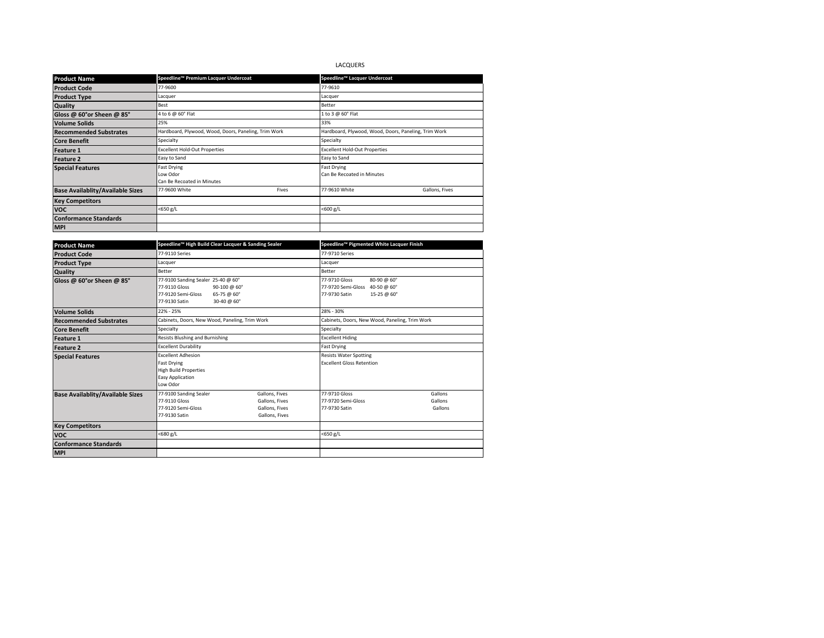# LACQUERS

| <b>Product Name</b>                     | Speedline™ Premium Lacquer Undercoat                         |       | Speedline™ Lacquer Undercoat                         |                |  |
|-----------------------------------------|--------------------------------------------------------------|-------|------------------------------------------------------|----------------|--|
| <b>Product Code</b>                     | 77-9600                                                      |       | 77-9610                                              |                |  |
| <b>Product Type</b>                     | Lacquer                                                      |       | Lacquer                                              |                |  |
| Quality                                 | Best                                                         |       | Better                                               |                |  |
| Gloss @ 60°or Sheen @ 85°               | 4 to 6 @ 60° Flat                                            |       | 1 to 3 @ 60° Flat                                    |                |  |
| <b>Volume Solids</b>                    | 25%                                                          |       | 33%                                                  |                |  |
| <b>Recommended Substrates</b>           | Hardboard, Plywood, Wood, Doors, Paneling, Trim Work         |       | Hardboard, Plywood, Wood, Doors, Paneling, Trim Work |                |  |
| <b>Core Benefit</b>                     | Specialty                                                    |       | Specialty                                            |                |  |
| <b>Feature 1</b>                        | <b>Excellent Hold-Out Properties</b>                         |       | <b>Excellent Hold-Out Properties</b>                 |                |  |
| <b>Feature 2</b>                        | Easy to Sand                                                 |       | Easy to Sand                                         |                |  |
| <b>Special Features</b>                 | <b>Fast Drying</b><br>Low Odor<br>Can Be Recoated in Minutes |       | <b>Fast Drying</b><br>Can Be Recoated in Minutes     |                |  |
| <b>Base Availablity/Available Sizes</b> | 77-9600 White                                                | Fives | 77-9610 White                                        | Gallons, Fives |  |
| <b>Key Competitors</b>                  |                                                              |       |                                                      |                |  |
| <b>VOC</b>                              | $<$ 650 g/L<br>$<$ 600 g/L                                   |       |                                                      |                |  |
| <b>Conformance Standards</b>            |                                                              |       |                                                      |                |  |
| <b>MPI</b>                              |                                                              |       |                                                      |                |  |

| <b>Product Name</b>                     | Speedline™ High Build Clear Lacquer & Sanding Sealer                                                                                     |                                                                      |                                                                                                | Speedline™ Pigmented White Lacquer Finish |  |
|-----------------------------------------|------------------------------------------------------------------------------------------------------------------------------------------|----------------------------------------------------------------------|------------------------------------------------------------------------------------------------|-------------------------------------------|--|
| <b>Product Code</b>                     | 77-9110 Series                                                                                                                           |                                                                      | 77-9710 Series                                                                                 |                                           |  |
| <b>Product Type</b>                     | Lacquer                                                                                                                                  |                                                                      |                                                                                                | Lacquer                                   |  |
| Quality                                 | <b>Better</b>                                                                                                                            |                                                                      | <b>Better</b>                                                                                  |                                           |  |
| Gloss @ 60°or Sheen @ 85°               | 77-9100 Sanding Sealer 25-40 @ 60°<br>77-9110 Gloss<br>90-100 @ 60°<br>77-9120 Semi-Gloss<br>65-75 @ 60°<br>77-9130 Satin<br>30-40 @ 60° |                                                                      | 80-90 @ 60°<br>77-9710 Gloss<br>77-9720 Semi-Gloss 40-50 @ 60°<br>77-9730 Satin<br>15-25 @ 60° |                                           |  |
| <b>Volume Solids</b>                    | 22% - 25%                                                                                                                                |                                                                      | 28% - 30%                                                                                      |                                           |  |
| <b>Recommended Substrates</b>           | Cabinets, Doors, New Wood, Paneling, Trim Work                                                                                           |                                                                      | Cabinets, Doors, New Wood, Paneling, Trim Work                                                 |                                           |  |
| <b>Core Benefit</b>                     | Specialty                                                                                                                                |                                                                      | Specialty                                                                                      |                                           |  |
| <b>Feature 1</b>                        | <b>Resists Blushing and Burnishing</b>                                                                                                   |                                                                      | <b>Excellent Hiding</b>                                                                        |                                           |  |
| <b>Feature 2</b>                        | <b>Excellent Durability</b>                                                                                                              |                                                                      |                                                                                                | <b>Fast Drying</b>                        |  |
| <b>Special Features</b>                 | <b>Excellent Adhesion</b><br><b>Fast Drying</b><br><b>High Build Properties</b><br><b>Easy Application</b><br>Low Odor                   |                                                                      | <b>Resists Water Spotting</b><br><b>Excellent Gloss Retention</b>                              |                                           |  |
| <b>Base Availablity/Available Sizes</b> | 77-9100 Sanding Sealer<br>77-9110 Gloss<br>77-9120 Semi-Gloss<br>77-9130 Satin                                                           | Gallons, Fives<br>Gallons, Fives<br>Gallons, Fives<br>Gallons, Fives | 77-9710 Gloss<br>77-9720 Semi-Gloss<br>77-9730 Satin                                           | Gallons<br>Gallons<br>Gallons             |  |
| <b>Key Competitors</b>                  |                                                                                                                                          |                                                                      |                                                                                                |                                           |  |
| <b>VOC</b>                              | <680 g/L                                                                                                                                 |                                                                      | <650 g/L                                                                                       |                                           |  |
| <b>Conformance Standards</b>            |                                                                                                                                          |                                                                      |                                                                                                |                                           |  |
| <b>MPI</b>                              |                                                                                                                                          |                                                                      |                                                                                                |                                           |  |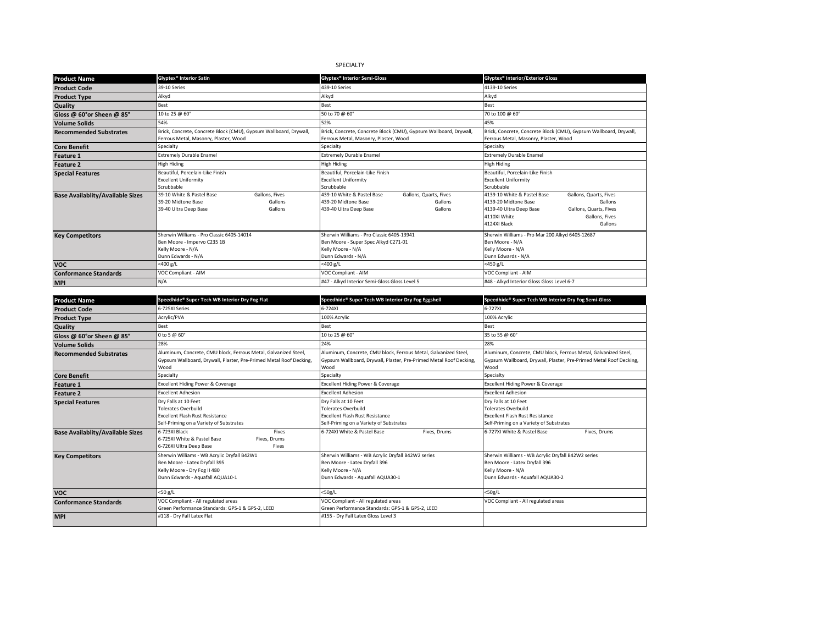# SPECIALTY

|                                         | Glyptex <sup>®</sup> Interior Satin                               |                | Glyptex <sup>®</sup> Interior Semi-Gloss      |                                                                   | Glyptex <sup>®</sup> Interior/Exterior Gloss    |                                                                   |
|-----------------------------------------|-------------------------------------------------------------------|----------------|-----------------------------------------------|-------------------------------------------------------------------|-------------------------------------------------|-------------------------------------------------------------------|
| <b>Product Name</b>                     |                                                                   |                |                                               |                                                                   |                                                 |                                                                   |
| <b>Product Code</b>                     | 39-10 Series                                                      |                | 439-10 Series                                 |                                                                   | 4139-10 Series                                  |                                                                   |
| <b>Product Type</b>                     | Alkyd                                                             |                | Alkyd                                         |                                                                   | Alkyd                                           |                                                                   |
| <b>Quality</b>                          | Best                                                              |                | Best                                          |                                                                   | Best                                            |                                                                   |
| Gloss @ 60°or Sheen @ 85°               | 10 to 25 @ 60°                                                    |                | 50 to 70 @ 60°                                |                                                                   | 70 to 100 @ 60°                                 |                                                                   |
| <b>Volume Solids</b>                    | 54%                                                               |                | 52%                                           |                                                                   | 45%                                             |                                                                   |
| <b>Recommended Substrates</b>           | Brick, Concrete, Concrete Block (CMU), Gypsum Wallboard, Drywall, |                |                                               | Brick, Concrete, Concrete Block (CMU), Gypsum Wallboard, Drywall, |                                                 | Brick, Concrete, Concrete Block (CMU), Gypsum Wallboard, Drywall, |
|                                         | Ferrous Metal, Masonry, Plaster, Wood                             |                | Ferrous Metal, Masonry, Plaster, Wood         |                                                                   | Ferrous Metal, Masonry, Plaster, Wood           |                                                                   |
| <b>Core Benefit</b>                     | Specialty                                                         |                | Specialty                                     |                                                                   | Specialty                                       |                                                                   |
| <b>Feature 1</b>                        | <b>Extremely Durable Enamel</b>                                   |                | <b>Extremely Durable Enamel</b>               |                                                                   | <b>Extremely Durable Enamel</b>                 |                                                                   |
| <b>Feature 2</b>                        | <b>High Hiding</b>                                                |                | <b>High Hiding</b>                            |                                                                   | <b>High Hiding</b>                              |                                                                   |
| <b>Special Features</b>                 | Beautiful, Porcelain-Like Finish                                  |                | Beautiful, Porcelain-Like Finish              |                                                                   | Beautiful, Porcelain-Like Finish                |                                                                   |
|                                         | <b>Excellent Uniformity</b>                                       |                | <b>Excellent Uniformity</b>                   |                                                                   | <b>Excellent Uniformity</b>                     |                                                                   |
|                                         | Scrubbable                                                        |                | Scrubbable                                    |                                                                   | Scrubbable                                      |                                                                   |
| <b>Base Availablity/Available Sizes</b> | 39-10 White & Pastel Base                                         | Gallons, Fives | 439-10 White & Pastel Base                    | Gallons, Quarts, Fives                                            | 4139-10 White & Pastel Base                     | Gallons, Quarts, Fives                                            |
|                                         | 39-20 Midtone Base                                                | Gallons        | 439-20 Midtone Base                           | Gallons                                                           | 4139-20 Midtone Base                            | Gallons                                                           |
|                                         | 39-40 Ultra Deep Base                                             | Gallons        | 439-40 Ultra Deep Base                        | Gallons                                                           | 4139-40 Ultra Deep Base                         | Gallons, Quarts, Fives                                            |
|                                         |                                                                   |                |                                               |                                                                   | 4110XI White                                    | Gallons, Fives                                                    |
|                                         |                                                                   |                |                                               |                                                                   | 4124XI Black                                    | Gallons                                                           |
| <b>Key Competitors</b>                  | Sherwin Williams - Pro Classic 6405-14014                         |                | Sherwin Williams - Pro Classic 6405-13941     |                                                                   | Sherwin Williams - Pro Mar 200 Alkyd 6405-12687 |                                                                   |
|                                         | Ben Moore - Impervo C235 1B                                       |                | Ben Moore - Super Spec Alkyd C271-01          |                                                                   | Ben Moore - N/A                                 |                                                                   |
|                                         | Kelly Moore - N/A                                                 |                | Kelly Moore - N/A                             |                                                                   | Kelly Moore - N/A                               |                                                                   |
|                                         | Dunn Edwards - N/A                                                |                | Dunn Edwards - N/A                            |                                                                   | Dunn Edwards - N/A                              |                                                                   |
| <b>VOC</b>                              | $<$ 400 g/L                                                       |                | $<$ 400 g/L                                   |                                                                   | <450 g/L                                        |                                                                   |
| <b>Conformance Standards</b>            | VOC Compliant - AIM                                               |                | VOC Compliant - AIM                           |                                                                   | VOC Compliant - AIM                             |                                                                   |
| <b>MPI</b>                              | N/A                                                               |                | #47 - Alkyd Interior Semi-Gloss Gloss Level 5 |                                                                   | #48 - Alkyd Interior Gloss Gloss Level 6-7      |                                                                   |

| <b>Product Name</b>                     | Speedhide® Super Tech WB Interior Dry Fog Flat                                                                                                   | Speedhide® Super Tech WB Interior Dry Fog Eggshell                                                                                            | Speedhide® Super Tech WB Interior Dry Fog Semi-Gloss                                                                                          |
|-----------------------------------------|--------------------------------------------------------------------------------------------------------------------------------------------------|-----------------------------------------------------------------------------------------------------------------------------------------------|-----------------------------------------------------------------------------------------------------------------------------------------------|
| <b>Product Code</b>                     | 6-725XI Series                                                                                                                                   | 6-724XI                                                                                                                                       | 6-727XI                                                                                                                                       |
| <b>Product Type</b>                     | Acrylic/PVA                                                                                                                                      | 100% Acrylic                                                                                                                                  | 100% Acrylic                                                                                                                                  |
| <b>Quality</b>                          | Best                                                                                                                                             | Best                                                                                                                                          | Best                                                                                                                                          |
| Gloss @ 60°or Sheen @ 85°               | 0 to 5 @ 60°                                                                                                                                     | 10 to 25 @ 60°                                                                                                                                | 35 to 55 @ 60°                                                                                                                                |
| <b>Volume Solids</b>                    | 28%                                                                                                                                              | 24%                                                                                                                                           | 28%                                                                                                                                           |
| <b>Recommended Substrates</b>           | Aluminum, Concrete, CMU block, Ferrous Metal, Galvanized Steel,<br>Gypsum Wallboard, Drywall, Plaster, Pre-Primed Metal Roof Decking,<br>Wood    | Aluminum, Concrete, CMU block, Ferrous Metal, Galvanized Steel,<br>Gypsum Wallboard, Drywall, Plaster, Pre-Primed Metal Roof Decking,<br>Wood | Aluminum, Concrete, CMU block, Ferrous Metal, Galvanized Steel,<br>Gypsum Wallboard, Drywall, Plaster, Pre-Primed Metal Roof Decking,<br>Wood |
| <b>Core Benefit</b>                     | Specialty                                                                                                                                        | Specialty                                                                                                                                     | Specialty                                                                                                                                     |
| <b>Feature 1</b>                        | Excellent Hiding Power & Coverage                                                                                                                | Excellent Hiding Power & Coverage                                                                                                             | <b>Excellent Hiding Power &amp; Coverage</b>                                                                                                  |
| <b>Feature 2</b>                        | <b>Excellent Adhesion</b>                                                                                                                        | <b>Excellent Adhesion</b>                                                                                                                     | <b>Excellent Adhesion</b>                                                                                                                     |
| <b>Special Features</b>                 | Drv Falls at 10 Feet<br><b>Tolerates Overbuild</b><br><b>Excellent Flash Rust Resistance</b><br>Self-Priming on a Variety of Substrates          | Dry Falls at 10 Feet<br><b>Tolerates Overbuild</b><br><b>Excellent Flash Rust Resistance</b><br>Self-Priming on a Variety of Substrates       | Dry Falls at 10 Feet<br>Tolerates Overbuild<br><b>Excellent Flash Rust Resistance</b><br>Self-Priming on a Variety of Substrates              |
| <b>Base Availablity/Available Sizes</b> | 6-723XI Black<br>Fives<br>6-725XI White & Pastel Base<br>Fives, Drums<br>6-726XI Ultra Deep Base<br>Fives                                        | 6-724XI White & Pastel Base<br>Fives, Drums                                                                                                   | 6-727XI White & Pastel Base<br>Fives, Drums                                                                                                   |
| <b>Key Competitors</b>                  | Sherwin Williams - WB Acrylic Dryfall B42W1<br>Ben Moore - Latex Dryfall 395<br>Kelly Moore - Dry Fog II 480<br>Dunn Edwards - Aguafall AQUA10-1 | Sherwin Williams - WB Acrylic Dryfall B42W2 series<br>Ben Moore - Latex Drvfall 396<br>Kelly Moore - N/A<br>Dunn Edwards - Aguafall AQUA30-1  | Sherwin Williams - WB Acrylic Dryfall B42W2 series<br>Ben Moore - Latex Dryfall 396<br>Kelly Moore - N/A<br>Dunn Edwards - Aguafall AQUA30-2  |
| <b>VOC</b>                              | <50 g/L                                                                                                                                          | <50g/L                                                                                                                                        | $<$ 50g/L                                                                                                                                     |
| <b>Conformance Standards</b>            | VOC Compliant - All regulated areas<br>Green Performance Standards: GPS-1 & GPS-2, LEED                                                          | VOC Compliant - All regulated areas<br>Green Performance Standards: GPS-1 & GPS-2, LEED                                                       | VOC Compliant - All regulated areas                                                                                                           |
| <b>MPI</b>                              | #118 - Dry Fall Latex Flat                                                                                                                       | #155 - Dry Fall Latex Gloss Level 3                                                                                                           |                                                                                                                                               |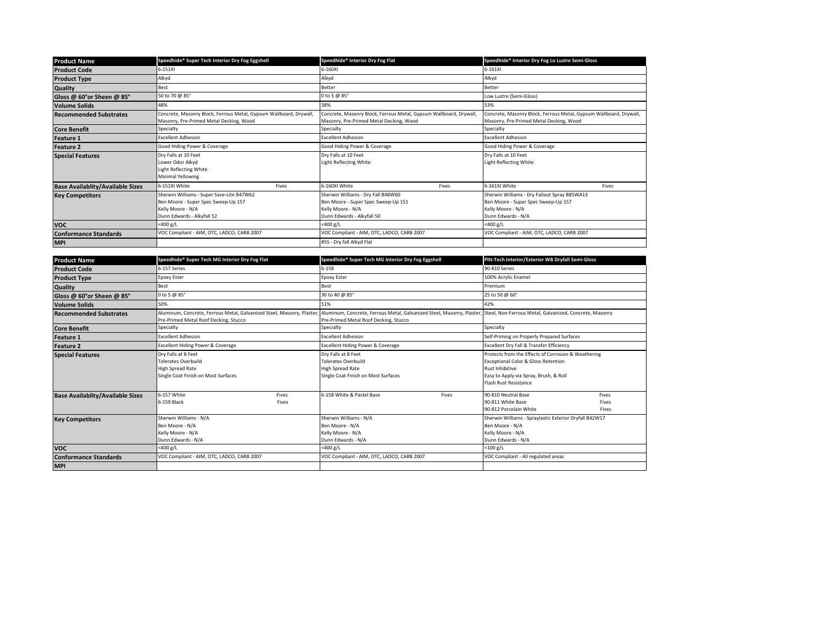| <b>Product Name</b>                     | Speedhide® Super Tech Interior Dry Fog Eggshell                                                                                     | Speedhide® Interior Dry Fog Flat                                                                                             | Speedhide® Interior Dry Fog Lo Lustre Semi-Gloss                                                                               |  |
|-----------------------------------------|-------------------------------------------------------------------------------------------------------------------------------------|------------------------------------------------------------------------------------------------------------------------------|--------------------------------------------------------------------------------------------------------------------------------|--|
| <b>Product Code</b>                     | 6-151XI                                                                                                                             | 6-160XI                                                                                                                      | 6-161XI                                                                                                                        |  |
| <b>Product Type</b>                     | Alkyd                                                                                                                               | Alkyd                                                                                                                        | Alkyd                                                                                                                          |  |
| Quality                                 | Best                                                                                                                                | Better                                                                                                                       | <b>Better</b>                                                                                                                  |  |
| Gloss @ 60°or Sheen @ 85°               | 50 to 70 @ 85°                                                                                                                      | 0 to 5 @ 85°                                                                                                                 | Low Lustre (Semi-Gloss)                                                                                                        |  |
| <b>Volume Solids</b>                    | 48%                                                                                                                                 | 38%                                                                                                                          | 53%                                                                                                                            |  |
| <b>Recommended Substrates</b>           | Concrete, Masonry Block, Ferrous Metal, Gypsum Wallboard, Drywall,<br>Masonry, Pre-Primed Metal Decking, Wood                       | Concrete, Masonry Block, Ferrous Metal, Gypsum Wallboard, Drywall,<br>Masonry, Pre-Primed Metal Decking, Wood                | Concrete, Masonry Block, Ferrous Metal, Gypsum Wallboard, Drywall,<br>Masonry, Pre-Primed Metal Decking, Wood                  |  |
| <b>Core Benefit</b>                     | Specialty                                                                                                                           | Specialty                                                                                                                    | Specialty                                                                                                                      |  |
| <b>Feature 1</b>                        | <b>Excellent Adhesion</b>                                                                                                           | <b>Excellent Adhesion</b>                                                                                                    | <b>Excellent Adhesion</b>                                                                                                      |  |
| <b>Feature 2</b>                        | Good Hiding Power & Coverage                                                                                                        | Good Hiding Power & Coverage                                                                                                 | Good Hiding Power & Coverage                                                                                                   |  |
| <b>Special Features</b>                 | Dry Falls at 10 Feet<br>Lower Odor Alkyd<br>Light Reflecting White<br><b>Minimal Yellowing</b>                                      | Dry Falls at 10 Feet<br><b>Light Reflecting White</b>                                                                        | Dry Falls at 10 Feet<br><b>Light Reflecting White</b>                                                                          |  |
| <b>Base Availablity/Available Sizes</b> | 6-151XI White<br>Fives                                                                                                              | 6-160XI White<br>Fives                                                                                                       | 6-161XI White<br>Fives                                                                                                         |  |
| <b>Key Competitors</b>                  | Sherwin Williams - Super Save-Lite B47W62<br>Ben Moore - Super Spec Sweep-Up 157<br>Kelly Moore - N/A<br>Dunn Edwards - Alkyfall 52 | Sherwin Williams - Dry Fall B48W60<br>Ben Moore - Super Spec Sweep-Up 151<br>Kelly Moore - N/A<br>Dunn Edwards - Alkyfall 50 | Sherwin Williams - Dry Fallout Spray B85WA13<br>Ben Moore - Super Spec Sweep-Up 157<br>Kelly Moore - N/A<br>Dunn Edwards - N/A |  |
| <b>VOC</b>                              | <400 g/L                                                                                                                            | <400 g/L                                                                                                                     | <400 g/L                                                                                                                       |  |
| <b>Conformance Standards</b>            | VOC Compliant - AIM, OTC, LADCO, CARB 2007                                                                                          | VOC Compliant - AIM, OTC, LADCO, CARB 2007                                                                                   | VOC Compliant - AIM, OTC, LADCO, CARB 2007                                                                                     |  |
| <b>MPI</b>                              |                                                                                                                                     | #55 - Dry fall Alkyd Flat                                                                                                    |                                                                                                                                |  |

| <b>Product Name</b>                     | Speedhide® Super Tech MG Interior Dry Fog Flat                                                                 |                | Speedhide® Super Tech MG Interior Dry Fog Eggshell                                                                                                                      |       | Pitt-Tech Interior/Exterior WB Dryfall Semi-Gloss                                                                                                                                           |                         |
|-----------------------------------------|----------------------------------------------------------------------------------------------------------------|----------------|-------------------------------------------------------------------------------------------------------------------------------------------------------------------------|-------|---------------------------------------------------------------------------------------------------------------------------------------------------------------------------------------------|-------------------------|
| <b>Product Code</b>                     | 6-157 Series                                                                                                   |                | 6-158                                                                                                                                                                   |       | 90-810 Series                                                                                                                                                                               |                         |
| <b>Product Type</b>                     | Epoxy Ester                                                                                                    |                | <b>Epoxy Ester</b>                                                                                                                                                      |       | 100% Acrylic Enamel                                                                                                                                                                         |                         |
| <b>Quality</b>                          | Best                                                                                                           |                | Best                                                                                                                                                                    |       | Premium                                                                                                                                                                                     |                         |
| Gloss @ 60°or Sheen @ 85°               | 0 to 5 @ 85°                                                                                                   |                | 30 to 40 @ 85°                                                                                                                                                          |       | 25 to 50 @ 60°                                                                                                                                                                              |                         |
| <b>Volume Solids</b>                    | 50%                                                                                                            |                | 51%                                                                                                                                                                     |       | 42%                                                                                                                                                                                         |                         |
| <b>Recommended Substrates</b>           | Aluminum, Concrete, Ferrous Metal, Galvanized Steel, Masonry, Plaster<br>Pre-Primed Metal Roof Decking, Stucco |                | Aluminum, Concrete, Ferrous Metal, Galvanized Steel, Masonry, Plaster, Steel, Non-Ferrous Metal, Galvanized, Concrete, Masonry<br>Pre-Primed Metal Roof Decking, Stucco |       |                                                                                                                                                                                             |                         |
| <b>Core Benefit</b>                     | Specialty                                                                                                      |                | Specialty                                                                                                                                                               |       | Specialty                                                                                                                                                                                   |                         |
| <b>Feature 1</b>                        | <b>Excellent Adhesion</b>                                                                                      |                | <b>Excellent Adhesion</b>                                                                                                                                               |       | Self-Priming on Properly Prepared Surfaces                                                                                                                                                  |                         |
| <b>Feature 2</b>                        | Excellent Hiding Power & Coverage                                                                              |                | Excellent Hiding Power & Coverage                                                                                                                                       |       | Excellent Dry Fall & Transfer Efficiency                                                                                                                                                    |                         |
| <b>Special Features</b>                 | Drv Falls at 8 Feet<br><b>Tolerates Overbuild</b><br>High Spread Rate<br>Single Coat Finish on Most Surfaces   |                | Dry Falls at 8 Feet<br><b>Tolerates Overbuild</b><br><b>High Spread Rate</b><br>Single Coat Finish on Most Surfaces                                                     |       | Protects from the Effects of Corrosion & Weathering<br><b>Exceptional Color &amp; Gloss Retention</b><br>Rust Inhibitive<br>Easy to Apply via Spray, Brush, & Roll<br>Flash Rust Resistance |                         |
| <b>Base Availablity/Available Sizes</b> | 6-157 White<br>6-159 Black                                                                                     | Fives<br>Fives | 6-158 White & Pastel Base                                                                                                                                               | Fives | 90-810 Neutral Base<br>90-811 White Base<br>90-812 Porcelain White                                                                                                                          | Fives<br>Fives<br>Fives |
| <b>Key Competitors</b>                  | Sherwin Williams - N/A<br>Ben Moore - N/A<br>Kelly Moore - N/A<br>Dunn Edwards - N/A                           |                | Sherwin Williams - N/A<br>Ben Moore - N/A<br>Kelly Moore - N/A<br>Dunn Edwards - N/A                                                                                    |       | Sherwin Williams - Spraylastic Exterior Dryfall B42W17<br>Ben Moore - N/A<br>Kelly Moore - N/A<br>Dunn Edwards - N/A                                                                        |                         |
| <b>VOC</b>                              | $<$ 400 g/L                                                                                                    |                | $<$ 400 g/L                                                                                                                                                             |       | $<$ 100 g/L                                                                                                                                                                                 |                         |
| <b>Conformance Standards</b>            | VOC Compliant - AIM, OTC, LADCO, CARB 2007                                                                     |                | VOC Compliant - AIM, OTC, LADCO, CARB 2007                                                                                                                              |       | VOC Compliant - All regulated areas                                                                                                                                                         |                         |
| <b>MPI</b>                              |                                                                                                                |                |                                                                                                                                                                         |       |                                                                                                                                                                                             |                         |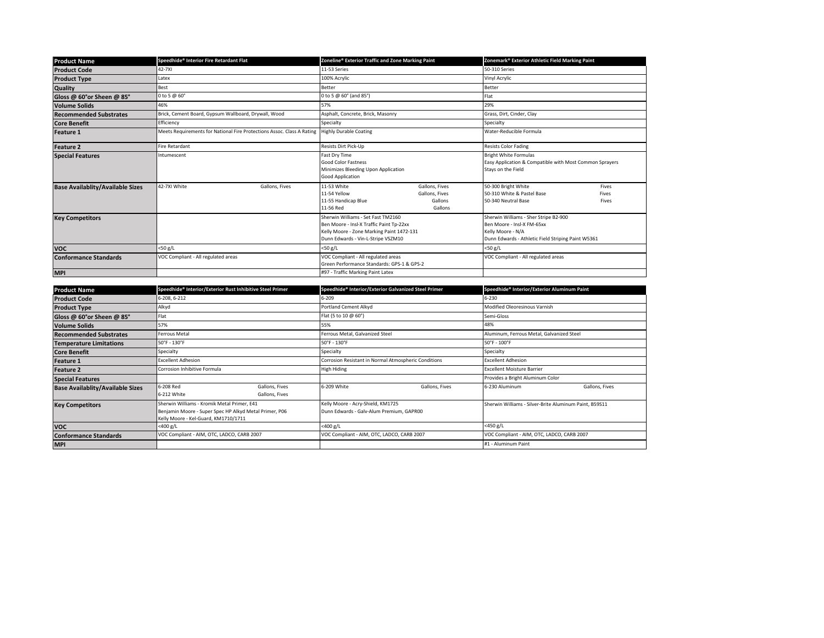| <b>Product Name</b>                     | Speedhide® Interior Fire Retardant Flat                                | Zoneline® Exterior Traffic and Zone Marking Paint                                                                                                                 | Zonemark® Exterior Athletic Field Marking Paint                                                                                                |  |
|-----------------------------------------|------------------------------------------------------------------------|-------------------------------------------------------------------------------------------------------------------------------------------------------------------|------------------------------------------------------------------------------------------------------------------------------------------------|--|
| <b>Product Code</b>                     | 42-7XI                                                                 | 11-53 Series                                                                                                                                                      | 50-310 Series                                                                                                                                  |  |
| <b>Product Type</b>                     | Latex                                                                  | 100% Acrylic                                                                                                                                                      | Vinyl Acrylic                                                                                                                                  |  |
| <b>Quality</b>                          | Best                                                                   | Better                                                                                                                                                            | Better                                                                                                                                         |  |
| Gloss @ 60°or Sheen @ 85°               | 0 to 5 @ 60°                                                           | 0 to 5 @ 60° (and 85°)                                                                                                                                            | Flat                                                                                                                                           |  |
| <b>Volume Solids</b>                    | 46%                                                                    | 57%                                                                                                                                                               | 29%                                                                                                                                            |  |
| <b>Recommended Substrates</b>           | Brick, Cement Board, Gypsum Wallboard, Drywall, Wood                   | Asphalt, Concrete, Brick, Masonry                                                                                                                                 | Grass, Dirt, Cinder, Clay                                                                                                                      |  |
| <b>Core Benefit</b>                     | Efficiency                                                             | Specialty                                                                                                                                                         | Specialty                                                                                                                                      |  |
| <b>Feature 1</b>                        | Meets Requirements for National Fire Protections Assoc. Class A Rating | <b>Highly Durable Coating</b>                                                                                                                                     | Water-Reducible Formula                                                                                                                        |  |
| <b>Feature 2</b>                        | <b>Fire Retardant</b>                                                  | Resists Dirt Pick-Up                                                                                                                                              | <b>Resists Color Fading</b>                                                                                                                    |  |
| <b>Special Features</b>                 | Intumescent                                                            | Fast Dry Time<br>Good Color Fastness<br>Minimizes Bleeding Upon Application<br>Good Application                                                                   | <b>Bright White Formulas</b><br>Easy Application & Compatible with Most Common Sprayers<br>Stays on the Field                                  |  |
| <b>Base Availablity/Available Sizes</b> | 42-7XI White<br>Gallons, Fives                                         | 11-53 White<br>Gallons, Fives<br>11-54 Yellow<br>Gallons, Fives<br>Gallons<br>11-55 Handicap Blue<br>11-56 Red<br>Gallons                                         | 50-300 Bright White<br>Fives<br>50-310 White & Pastel Base<br>Fives<br>50-340 Neutral Base<br>Fives                                            |  |
| <b>Key Competitors</b>                  |                                                                        | Sherwin Williams - Set Fast TM2160<br>Ben Moore - Insl-X Traffic Paint Tp-22xx<br>Kelly Moore - Zone Marking Paint 1472-131<br>Dunn Edwards - Vin-L-Stripe VSZM10 | Sherwin Williams - Sher Stripe B2-900<br>Ben Moore - Insl-X FM-65xx<br>Kelly Moore - N/A<br>Dunn Edwards - Athletic Field Striping Paint W5361 |  |
| <b>VOC</b>                              | $<$ 50 g/L                                                             | $<$ 50 g/L                                                                                                                                                        | $<$ 50 g/L                                                                                                                                     |  |
| <b>Conformance Standards</b>            | VOC Compliant - All regulated areas                                    | VOC Compliant - All regulated areas<br>Green Performance Standards: GPS-1 & GPS-2                                                                                 | VOC Compliant - All regulated areas                                                                                                            |  |
| <b>MPI</b>                              |                                                                        | #97 - Traffic Marking Paint Latex                                                                                                                                 |                                                                                                                                                |  |

| <b>Product Name</b>                     | Speedhide® Interior/Exterior Rust Inhibitive Steel Primer                                                                                     | Speedhide® Interior/Exterior Galvanized Steel Primer                          | Speedhide® Interior/Exterior Aluminum Paint            |  |
|-----------------------------------------|-----------------------------------------------------------------------------------------------------------------------------------------------|-------------------------------------------------------------------------------|--------------------------------------------------------|--|
| <b>Product Code</b>                     | 6-208, 6-212                                                                                                                                  | $6 - 209$                                                                     | $6 - 230$                                              |  |
| <b>Product Type</b>                     | Alkyd                                                                                                                                         | Portland Cement Alkyd                                                         | Modified Oleoresinous Varnish                          |  |
| Gloss @ 60°or Sheen @ 85°               | Flat                                                                                                                                          | Flat (5 to 10 @ 60°)                                                          | Semi-Gloss                                             |  |
| <b>Volume Solids</b>                    | 57%                                                                                                                                           | 55%                                                                           | 48%                                                    |  |
| <b>Recommended Substrates</b>           | Ferrous Metal                                                                                                                                 | Ferrous Metal, Galvanized Steel                                               | Aluminum, Ferrous Metal, Galvanized Steel              |  |
| <b>Temperature Limitations</b>          | 50°F - 130°F                                                                                                                                  | 50°F - 130°F                                                                  | 50°F - 100°F                                           |  |
| <b>Core Benefit</b>                     | Specialty                                                                                                                                     | Specialty                                                                     | Specialty                                              |  |
| <b>Feature 1</b>                        | <b>Excellent Adhesion</b>                                                                                                                     | Corrosion Resistant in Normal Atmospheric Conditions                          | <b>Excellent Adhesion</b>                              |  |
| <b>Feature 2</b>                        | Corrosion Inhibitive Formula                                                                                                                  | <b>High Hiding</b>                                                            | <b>Excellent Moisture Barrier</b>                      |  |
| <b>Special Features</b>                 |                                                                                                                                               |                                                                               | Provides a Bright Aluminum Color                       |  |
| <b>Base Availablity/Available Sizes</b> | 6-208 Red<br>Gallons, Fives<br>6-212 White<br>Gallons, Fives                                                                                  | 6-209 White<br>Gallons, Fives                                                 | 6-230 Aluminum<br>Gallons, Fives                       |  |
| <b>Key Competitors</b>                  | Sherwin Williams - Kromik Metal Primer, E41<br>Benjamin Moore - Super Spec HP Alkyd Metal Primer, P06<br>Kelly Moore - Kel-Guard, KM1710/1711 | Kelly Moore - Acry-Shield, KM1725<br>Dunn Edwards - Galv-Alum Premium, GAPR00 | Sherwin Williams - Silver-Brite Aluminum Paint, B59S11 |  |
| <b>VOC</b>                              | $<$ 400 g/L                                                                                                                                   | <400 g/L                                                                      | <450 g/L                                               |  |
| <b>Conformance Standards</b>            | VOC Compliant - AIM, OTC, LADCO, CARB 2007                                                                                                    | VOC Compliant - AIM, OTC, LADCO, CARB 2007                                    | VOC Compliant - AIM, OTC, LADCO, CARB 2007             |  |
| <b>MPI</b>                              |                                                                                                                                               |                                                                               | #1 - Aluminum Paint                                    |  |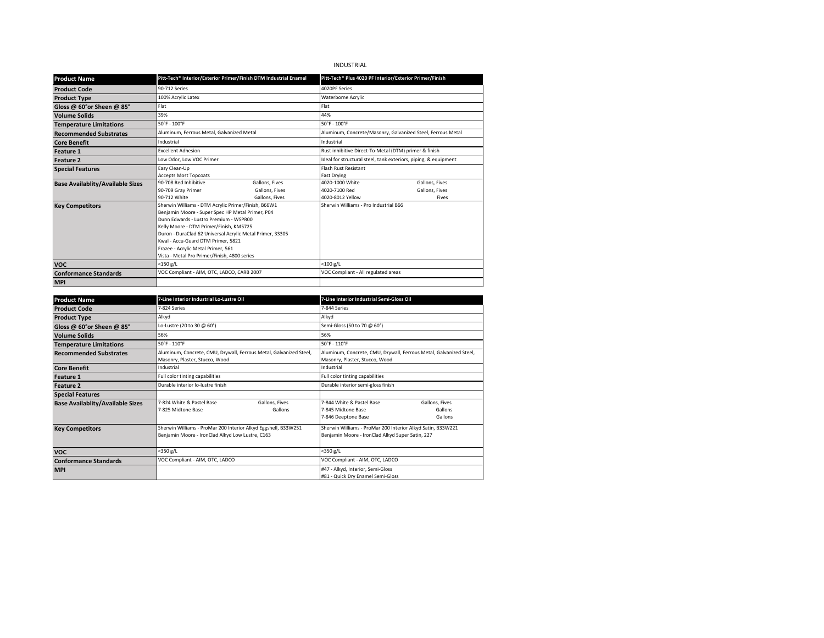# INDUSTRIAL

| <b>Product Name</b>                     |                                                                                                                                                                                                                                                                                                                                                                                       | Pitt-Tech <sup>®</sup> Interior/Exterior Primer/Finish DTM Industrial Enamel | Pitt-Tech <sup>®</sup> Plus 4020 PF Interior/Exterior Primer/Finish |                                                                 |  |
|-----------------------------------------|---------------------------------------------------------------------------------------------------------------------------------------------------------------------------------------------------------------------------------------------------------------------------------------------------------------------------------------------------------------------------------------|------------------------------------------------------------------------------|---------------------------------------------------------------------|-----------------------------------------------------------------|--|
| <b>Product Code</b>                     | 90-712 Series                                                                                                                                                                                                                                                                                                                                                                         |                                                                              | 4020PF Series                                                       |                                                                 |  |
| <b>Product Type</b>                     | 100% Acrylic Latex                                                                                                                                                                                                                                                                                                                                                                    |                                                                              | Waterborne Acrylic                                                  |                                                                 |  |
| Gloss @ 60°or Sheen @ 85°               | Flat                                                                                                                                                                                                                                                                                                                                                                                  |                                                                              | Flat                                                                |                                                                 |  |
| <b>Volume Solids</b>                    | 39%                                                                                                                                                                                                                                                                                                                                                                                   |                                                                              | 44%                                                                 |                                                                 |  |
| <b>Temperature Limitations</b>          | $50^{\circ}$ F - 100°F                                                                                                                                                                                                                                                                                                                                                                |                                                                              | 50°F - 100°F                                                        |                                                                 |  |
| <b>Recommended Substrates</b>           | Aluminum, Ferrous Metal, Galvanized Metal                                                                                                                                                                                                                                                                                                                                             |                                                                              |                                                                     | Aluminum, Concrete/Masonry, Galvanized Steel, Ferrous Metal     |  |
| <b>Core Benefit</b>                     | Industrial                                                                                                                                                                                                                                                                                                                                                                            |                                                                              | Industrial                                                          |                                                                 |  |
| <b>Feature 1</b>                        | <b>Excellent Adhesion</b>                                                                                                                                                                                                                                                                                                                                                             |                                                                              | Rust inhibitive Direct-To-Metal (DTM) primer & finish               |                                                                 |  |
| <b>Feature 2</b>                        | Low Odor, Low VOC Primer                                                                                                                                                                                                                                                                                                                                                              |                                                                              |                                                                     | Ideal for structural steel, tank exteriors, piping, & equipment |  |
| <b>Special Features</b>                 | Easy Clean-Up<br><b>Accepts Most Topcoats</b>                                                                                                                                                                                                                                                                                                                                         |                                                                              | <b>Flash Rust Resistant</b><br><b>Fast Drying</b>                   |                                                                 |  |
| <b>Base Availablity/Available Sizes</b> | 90-708 Red Inhibitive<br>90-709 Gray Primer<br>90-712 White                                                                                                                                                                                                                                                                                                                           | Gallons, Fives<br>Gallons, Fives<br>Gallons, Fives                           | 4020-1000 White<br>4020-7100 Red<br>4020-8012 Yellow                | Gallons, Fives<br>Gallons, Fives<br>Fives                       |  |
| <b>Key Competitors</b>                  | Sherwin Williams - DTM Acrylic Primer/Finish, B66W1<br>Benjamin Moore - Super Spec HP Metal Primer, P04<br>Dunn Edwards - Lustro Premium - WSPR00<br>Kelly Moore - DTM Primer/Finish, KM5725<br>Duron - DuraClad 62 Universal Acrylic Metal Primer, 33305<br>Kwal - Accu-Guard DTM Primer, 5821<br>Frazee - Acrylic Metal Primer, 561<br>Vista - Metal Pro Primer/Finish, 4800 series |                                                                              | Sherwin Williams - Pro Industrial B66                               |                                                                 |  |
| <b>VOC</b>                              | $<$ 150 g/L                                                                                                                                                                                                                                                                                                                                                                           |                                                                              | $<$ 100 g/L                                                         |                                                                 |  |
| <b>Conformance Standards</b>            | VOC Compliant - AIM, OTC, LADCO, CARB 2007                                                                                                                                                                                                                                                                                                                                            |                                                                              | VOC Compliant - All regulated areas                                 |                                                                 |  |
| <b>MPI</b>                              |                                                                                                                                                                                                                                                                                                                                                                                       |                                                                              |                                                                     |                                                                 |  |

| <b>Product Name</b>                     | 7-Line Interior Industrial Lo-Lustre Oil                                                             |                                                                                                                    | 7-Line Interior Industrial Semi-Gloss Oil                                                            |                                                                                                                 |  |
|-----------------------------------------|------------------------------------------------------------------------------------------------------|--------------------------------------------------------------------------------------------------------------------|------------------------------------------------------------------------------------------------------|-----------------------------------------------------------------------------------------------------------------|--|
| <b>Product Code</b>                     | 7-824 Series                                                                                         |                                                                                                                    | 7-844 Series                                                                                         |                                                                                                                 |  |
| <b>Product Type</b>                     | Alkyd                                                                                                |                                                                                                                    | Alkyd                                                                                                |                                                                                                                 |  |
| Gloss @ 60°or Sheen @ 85°               | Lo-Lustre (20 to 30 @ 60°)                                                                           |                                                                                                                    | Semi-Gloss (50 to 70 @ 60°)                                                                          |                                                                                                                 |  |
| <b>Volume Solids</b>                    | 56%                                                                                                  |                                                                                                                    | 56%                                                                                                  |                                                                                                                 |  |
| <b>Temperature Limitations</b>          | 50°F - 110°F                                                                                         |                                                                                                                    | 50°F - 110°F                                                                                         |                                                                                                                 |  |
| <b>Recommended Substrates</b>           | Aluminum, Concrete, CMU, Drywall, Ferrous Metal, Galvanized Steel,<br>Masonry, Plaster, Stucco, Wood |                                                                                                                    | Aluminum, Concrete, CMU, Drywall, Ferrous Metal, Galvanized Steel,<br>Masonry, Plaster, Stucco, Wood |                                                                                                                 |  |
| <b>Core Benefit</b>                     | Industrial                                                                                           |                                                                                                                    | Industrial                                                                                           |                                                                                                                 |  |
| <b>Feature 1</b>                        | Full color tinting capabilities                                                                      |                                                                                                                    | Full color tinting capabilities                                                                      |                                                                                                                 |  |
| <b>Feature 2</b>                        | Durable interior lo-lustre finish                                                                    |                                                                                                                    | Durable interior semi-gloss finish                                                                   |                                                                                                                 |  |
| <b>Special Features</b>                 |                                                                                                      |                                                                                                                    |                                                                                                      |                                                                                                                 |  |
| <b>Base Availablity/Available Sizes</b> | 7-824 White & Pastel Base<br>7-825 Midtone Base                                                      | Gallons, Fives<br>Gallons                                                                                          | 7-844 White & Pastel Base<br>7-845 Midtone Base<br>7-846 Deeptone Base                               | Gallons, Fives<br>Gallons<br>Gallons                                                                            |  |
| <b>Key Competitors</b>                  |                                                                                                      | Sherwin Williams - ProMar 200 Interior Alkyd Eggshell, B33W251<br>Benjamin Moore - IronClad Alkyd Low Lustre, C163 |                                                                                                      | Sherwin Williams - ProMar 200 Interior Alkyd Satin, B33W221<br>Benjamin Moore - IronClad Alkyd Super Satin, 227 |  |
| <b>VOC</b>                              | <350 g/L                                                                                             |                                                                                                                    | $<$ 350 g/L                                                                                          |                                                                                                                 |  |
| <b>Conformance Standards</b>            | VOC Compliant - AIM, OTC, LADCO                                                                      |                                                                                                                    | VOC Compliant - AIM, OTC, LADCO                                                                      |                                                                                                                 |  |
| <b>MPI</b>                              |                                                                                                      |                                                                                                                    | #47 - Alkyd, Interior, Semi-Gloss                                                                    |                                                                                                                 |  |
|                                         |                                                                                                      |                                                                                                                    | #81 - Quick Dry Enamel Semi-Gloss                                                                    |                                                                                                                 |  |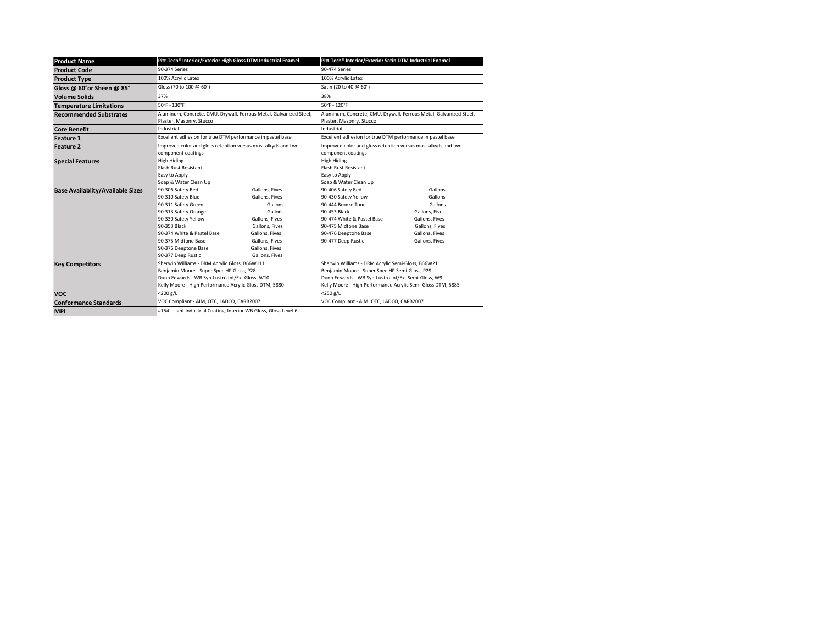| <b>Product Name</b>                     |                                                            | Pitt-Tech <sup>®</sup> Interior/Exterior High Gloss DTM Industrial Enamel | Pitt-Tech <sup>®</sup> Interior/Exterior Satin DTM Industrial Enamel |                                                                    |  |
|-----------------------------------------|------------------------------------------------------------|---------------------------------------------------------------------------|----------------------------------------------------------------------|--------------------------------------------------------------------|--|
| <b>Product Code</b>                     | 90-374 Series                                              |                                                                           | 90-474 Series                                                        |                                                                    |  |
| <b>Product Type</b>                     | 100% Acrylic Latex                                         |                                                                           | 100% Acrylic Latex                                                   |                                                                    |  |
| Gloss @ 60°or Sheen @ 85°               | Gloss (70 to 100 @ 60°)                                    |                                                                           | Satin (20 to 40 @ 60°)                                               |                                                                    |  |
| <b>Volume Solids</b>                    | 37%                                                        |                                                                           | 38%                                                                  |                                                                    |  |
| <b>Temperature Limitations</b>          | 50°F - 130°F                                               |                                                                           | 50°F - 120°F                                                         |                                                                    |  |
| <b>Recommended Substrates</b>           |                                                            | Aluminum, Concrete, CMU, Drywall, Ferrous Metal, Galvanized Steel,        |                                                                      | Aluminum, Concrete, CMU, Drywall, Ferrous Metal, Galvanized Steel, |  |
|                                         | Plaster, Masonry, Stucco                                   |                                                                           | Plaster, Masonry, Stucco                                             |                                                                    |  |
| <b>Core Benefit</b>                     | Industrial                                                 |                                                                           | Industrial                                                           |                                                                    |  |
| <b>Feature 1</b>                        | Excellent adhesion for true DTM performance in pastel base |                                                                           | Excellent adhesion for true DTM performance in pastel base           |                                                                    |  |
| <b>Feature 2</b>                        |                                                            | Improved color and gloss retention versus most alkyds and two             | Improved color and gloss retention versus most alkyds and two        |                                                                    |  |
|                                         | component coatings                                         |                                                                           | component coatings                                                   |                                                                    |  |
| <b>Special Features</b>                 | High Hiding                                                |                                                                           | High Hiding                                                          |                                                                    |  |
|                                         | <b>Flash Rust Resistant</b>                                |                                                                           | <b>Flash Rust Resistant</b>                                          |                                                                    |  |
|                                         | Easy to Apply                                              |                                                                           | Easy to Apply                                                        |                                                                    |  |
|                                         | Soap & Water Clean Up                                      |                                                                           | Soap & Water Clean Up                                                |                                                                    |  |
| <b>Base Availablity/Available Sizes</b> | 90-306 Safety Red                                          | Gallons, Fives                                                            | 90-406 Safety Red                                                    | Gallons                                                            |  |
|                                         | 90-310 Safety Blue                                         | Gallons, Fives                                                            | 90-430 Safety Yellow                                                 | Gallons                                                            |  |
|                                         | 90-311 Safety Green                                        | Gallons                                                                   | 90-444 Bronze Tone                                                   | Gallons                                                            |  |
|                                         | 90-313 Safety Orange                                       | Gallons                                                                   | 90-453 Black                                                         | Gallons, Fives                                                     |  |
|                                         | 90-330 Safety Yellow                                       | Gallons, Fives                                                            | 90-474 White & Pastel Base                                           | Gallons, Fives                                                     |  |
|                                         | 90-353 Black                                               | Gallons, Fives                                                            | 90-475 Midtone Base                                                  | Gallons, Fives                                                     |  |
|                                         | 90-374 White & Pastel Base                                 | Gallons, Fives                                                            | 90-476 Deeptone Base                                                 | Gallons, Fives                                                     |  |
|                                         | 90-375 Midtone Base                                        | Gallons, Fives                                                            | 90-477 Deep Rustic                                                   | Gallons, Fives                                                     |  |
|                                         | 90-376 Deeptone Base                                       | Gallons, Fives                                                            |                                                                      |                                                                    |  |
|                                         | 90-377 Deep Rustic                                         | Gallons, Fives                                                            |                                                                      |                                                                    |  |
| <b>Key Competitors</b>                  | Sherwin Williams - DRM Acrylic Gloss, B66W111              |                                                                           | Sherwin Williams - DRM Acrylic Semi-Gloss, B66W211                   |                                                                    |  |
|                                         | Benjamin Moore - Super Spec HP Gloss, P28                  |                                                                           | Benjamin Moore - Super Spec HP Semi-Gloss, P29                       |                                                                    |  |
|                                         | Dunn Edwards - WB Syn-Lustro Int/Ext Gloss, W10            |                                                                           | Dunn Edwards - WB Syn-Lustro Int/Ext Semi-Gloss, W9                  |                                                                    |  |
|                                         | Kelly Moore - High Performance Acrylic Gloss DTM, 5880     |                                                                           | Kelly Moore - High Performance Acrylic Semi-Gloss DTM, 5885          |                                                                    |  |
| <b>VOC</b>                              | $<$ 200 g/L                                                |                                                                           | $<$ 250 g/L                                                          |                                                                    |  |
| <b>Conformance Standards</b>            | VOC Compliant - AIM, OTC, LADCO, CARB2007                  |                                                                           | VOC Compliant - AIM, OTC, LADCO, CARB2007                            |                                                                    |  |
| <b>MPI</b>                              |                                                            | #154 - Light Industrial Coating, Interior WB Gloss, Gloss Level 6         |                                                                      |                                                                    |  |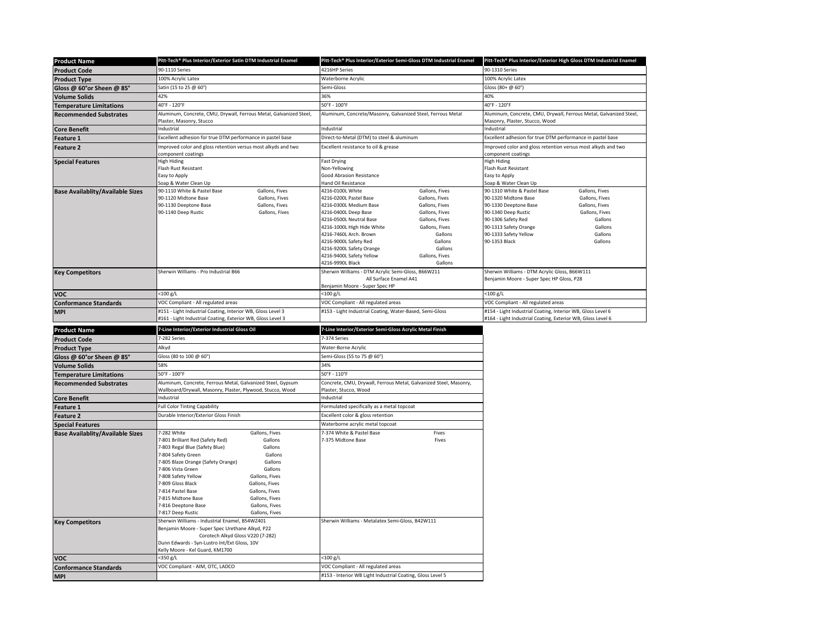| <b>Product Name</b>                     | Pitt-Tech® Plus Interior/Exterior Satin DTM Industrial Enamel                                  |                    | Pitt-Tech® Plus Interior/Exterior Semi-Gloss DTM Industrial Enamel |                           | Pitt-Tech® Plus Interior/Exterior High Gloss DTM Industrial Enamel                                   |                |
|-----------------------------------------|------------------------------------------------------------------------------------------------|--------------------|--------------------------------------------------------------------|---------------------------|------------------------------------------------------------------------------------------------------|----------------|
| <b>Product Code</b>                     | 90-1110 Series                                                                                 |                    | 4216HP Series                                                      |                           | 90-1310 Series                                                                                       |                |
| <b>Product Type</b>                     | 100% Acrylic Latex                                                                             |                    | Waterborne Acrylic                                                 |                           | 100% Acrylic Latex                                                                                   |                |
|                                         | Satin (15 to 25 @ 60°)                                                                         |                    | Semi-Gloss                                                         |                           | Gloss (80+ @ 60°)                                                                                    |                |
| Gloss @ 60°or Sheen @ 85°               | 42%                                                                                            |                    | 36%                                                                |                           | 40%                                                                                                  |                |
| <b>Volume Solids</b>                    | 40°F - 120°F                                                                                   |                    | 50°F - 100°F                                                       |                           | 40°F - 120°F                                                                                         |                |
| <b>Temperature Limitations</b>          |                                                                                                |                    |                                                                    |                           |                                                                                                      |                |
| <b>Recommended Substrates</b>           | Aluminum, Concrete, CMU, Drywall, Ferrous Metal, Galvanized Steel,<br>Plaster, Masonry, Stucco |                    | Aluminum, Concrete/Masonry, Galvanized Steel, Ferrous Metal        |                           | Aluminum, Concrete, CMU, Drywall, Ferrous Metal, Galvanized Steel,<br>Masonry, Plaster, Stucco, Wood |                |
| <b>Core Benefit</b>                     | Industrial                                                                                     |                    | Industrial                                                         |                           | Industrial                                                                                           |                |
| Feature 1                               | Excellent adhesion for true DTM performance in pastel base                                     |                    | Direct-to-Metal (DTM) to steel & aluminum                          |                           | Excellent adhesion for true DTM performance in pastel base                                           |                |
| Feature 2                               | mproved color and gloss retention versus most alkyds and two                                   |                    | Excellent resistance to oil & grease                               |                           | mproved color and gloss retention versus most alkyds and two                                         |                |
|                                         | component coatings                                                                             |                    |                                                                    |                           | component coatings                                                                                   |                |
| <b>Special Features</b>                 | <b>High Hiding</b>                                                                             |                    | <b>Fast Drying</b>                                                 |                           | High Hiding                                                                                          |                |
|                                         | Flash Rust Resistant<br>Easy to Apply                                                          |                    | Non-Yellowing<br>Good Abrasion Resistance                          |                           | Flash Rust Resistant<br>Easy to Apply                                                                |                |
|                                         | Soap & Water Clean Up                                                                          |                    | Hand Oil Resistance                                                |                           | Soap & Water Clean Up                                                                                |                |
| <b>Base Availablity/Available Sizes</b> | 90-1110 White & Pastel Base                                                                    | Gallons, Fives     | 4216-0100L White                                                   | Gallons, Fives            | 90-1310 White & Pastel Base                                                                          | Gallons, Fives |
|                                         | 90-1120 Midtone Base                                                                           | Gallons, Fives     | 4216-0200L Pastel Base                                             | Gallons, Fives            | 90-1320 Midtone Base                                                                                 | Gallons, Fives |
|                                         | 90-1130 Deeptone Base                                                                          | Gallons, Fives     | 4216-0300L Medium Base                                             | Gallons, Fives            | 90-1330 Deeptone Base                                                                                | Gallons, Fives |
|                                         | 90-1140 Deep Rustic                                                                            | Gallons, Fives     | 4216-0400L Deep Base                                               | Gallons, Fives            | 90-1340 Deep Rustic                                                                                  | Gallons, Fives |
|                                         |                                                                                                |                    | 4216-0500L Neutral Base                                            | Gallons, Fives            | 90-1306 Safety Red                                                                                   | Gallons        |
|                                         |                                                                                                |                    | 4216-1000L High Hide White                                         | Gallons, Fives            | 90-1313 Safety Orange                                                                                | Gallons        |
|                                         |                                                                                                |                    | 4216-7460L Arch. Brown                                             | Gallons                   | 90-1333 Safety Yellow                                                                                | Gallons        |
|                                         |                                                                                                |                    | 4216-9000L Safety Red                                              | Gallons<br>Gallons        | 90-1353 Black                                                                                        | Gallons        |
|                                         |                                                                                                |                    | 4216-9200L Safety Orange                                           |                           |                                                                                                      |                |
|                                         |                                                                                                |                    | 4216-9400L Safety Yellow<br>4216-9990L Black                       | Gallons, Fives<br>Gallons |                                                                                                      |                |
|                                         | Sherwin Williams - Pro Industrial B66                                                          |                    | Sherwin Williams - DTM Acrylic Semi-Gloss, B66W211                 |                           | Sherwin Williams - DTM Acrylic Gloss, B66W111                                                        |                |
| <b>Key Competitors</b>                  |                                                                                                |                    | All Surface Enamel A41                                             |                           | Benjamin Moore - Super Spec HP Gloss, P28                                                            |                |
|                                         |                                                                                                |                    | Benjamin Moore - Super Spec HP                                     |                           |                                                                                                      |                |
| <b>VOC</b>                              | $<$ 100 g/L                                                                                    |                    | <100 g/L                                                           |                           | <100 g/L                                                                                             |                |
| <b>Conformance Standards</b>            | VOC Compliant - All regulated areas                                                            |                    | VOC Compliant - All regulated areas                                |                           | VOC Compliant - All regulated areas                                                                  |                |
| <b>MPI</b>                              | #151 - Light Industrial Coating, Interior WB, Gloss Level 3                                    |                    | #153 - Light Industrial Coating, Water-Based, Semi-Gloss           |                           | #154 - Light Industrial Coating, Interior WB, Gloss Level 6                                          |                |
|                                         |                                                                                                |                    |                                                                    |                           |                                                                                                      |                |
|                                         | #161 - Light Industrial Coating, Exterior WB, Gloss Level 3                                    |                    |                                                                    |                           | #164 - Light Industrial Coating, Exterior WB, Gloss Level 6                                          |                |
|                                         |                                                                                                |                    |                                                                    |                           |                                                                                                      |                |
| <b>Product Name</b>                     | 7-Line Interior/Exterior Industrial Gloss Oil                                                  |                    | 7-Line Interior/Exterior Semi-Gloss Acrylic Metal Finish           |                           |                                                                                                      |                |
| <b>Product Code</b>                     | 7-282 Series                                                                                   |                    | 7-374 Series                                                       |                           |                                                                                                      |                |
| <b>Product Type</b>                     | Alkyd                                                                                          |                    | Water-Borne Acrylic                                                |                           |                                                                                                      |                |
| Gloss @ 60°or Sheen @ 85°               | Gloss (80 to 100 @ 60°)                                                                        |                    | Semi-Gloss (55 to 75 @ 60°)                                        |                           |                                                                                                      |                |
| <b>Volume Solids</b>                    | 58%                                                                                            |                    | 34%                                                                |                           |                                                                                                      |                |
| <b>Temperature Limitations</b>          | 50°F - 100°F                                                                                   |                    | 50°F - 110°F                                                       |                           |                                                                                                      |                |
| <b>Recommended Substrates</b>           | Aluminum, Concrete, Ferrous Metal, Galvanized Steel, Gypsum                                    |                    | Concrete, CMU, Drywall, Ferrous Metal, Galvanized Steel, Masonry,  |                           |                                                                                                      |                |
|                                         | Wallboard/Drywall, Masonry, Plaster, Plywood, Stucco, Wood                                     |                    | Plaster, Stucco, Wood                                              |                           |                                                                                                      |                |
| <b>Core Benefit</b>                     | Industrial                                                                                     |                    | Industrial                                                         |                           |                                                                                                      |                |
| Feature 1                               | <b>Full Color Tinting Capability</b>                                                           |                    | Formulated specifically as a metal topcoat                         |                           |                                                                                                      |                |
| Feature 2                               | Durable Interior/Exterior Gloss Finish                                                         |                    | Excellent color & gloss retention                                  |                           |                                                                                                      |                |
| <b>Special Features</b>                 |                                                                                                |                    | Waterborne acrylic metal topcoat                                   |                           |                                                                                                      |                |
| <b>Base Availablity/Available Sizes</b> | 7-282 White                                                                                    | Gallons, Fives     | 7-374 White & Pastel Base                                          | Fives                     |                                                                                                      |                |
|                                         | 7-801 Brilliant Red (Safety Red)                                                               | Gallons            | 7-375 Midtone Base                                                 | Fives                     |                                                                                                      |                |
|                                         | 7-803 Regal Blue (Safety Blue)                                                                 | Gallons            |                                                                    |                           |                                                                                                      |                |
|                                         | 7-804 Safety Green<br>7-805 Blaze Orange (Safety Orange)                                       | Gallons<br>Gallons |                                                                    |                           |                                                                                                      |                |
|                                         | 7-806 Vista Green                                                                              | Gallons            |                                                                    |                           |                                                                                                      |                |
|                                         | 7-808 Safety Yellow                                                                            | Gallons, Fives     |                                                                    |                           |                                                                                                      |                |
|                                         | 7-809 Gloss Black<br>Gallons, Fives                                                            |                    |                                                                    |                           |                                                                                                      |                |
|                                         | 7-814 Pastel Base<br>Gallons, Fives                                                            |                    |                                                                    |                           |                                                                                                      |                |
|                                         | 7-815 Midtone Base                                                                             | Gallons, Fives     |                                                                    |                           |                                                                                                      |                |
|                                         | 7-816 Deeptone Base                                                                            | Gallons, Fives     |                                                                    |                           |                                                                                                      |                |
|                                         | 7-817 Deep Rustic                                                                              | Gallons, Fives     |                                                                    |                           |                                                                                                      |                |
| <b>Key Competitors</b>                  | Sherwin Williams - Industrial Enamel, B54WZ401                                                 |                    | Sherwin Williams - Metalatex Semi-Gloss, B42W111                   |                           |                                                                                                      |                |
|                                         | Benjamin Moore - Super Spec Urethane Alkyd, P22                                                |                    |                                                                    |                           |                                                                                                      |                |
|                                         | Corotech Alkyd Gloss V220 (7-282)                                                              |                    |                                                                    |                           |                                                                                                      |                |
|                                         | Dunn Edwards - Syn-Lustro Int/Ext Gloss, 10V<br>Kelly Moore - Kel Guard, KM1700                |                    |                                                                    |                           |                                                                                                      |                |
| <b>VOC</b>                              | <350 g/L                                                                                       |                    | $<$ 100 $g/L$                                                      |                           |                                                                                                      |                |
| <b>Conformance Standards</b>            | VOC Compliant - AIM, OTC, LADCO                                                                |                    | VOC Compliant - All regulated areas                                |                           |                                                                                                      |                |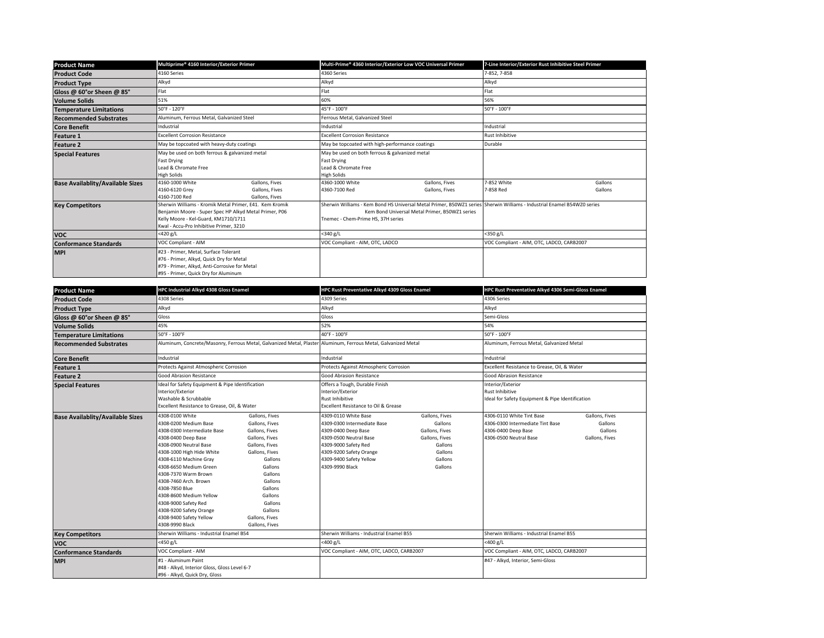| <b>Product Name</b>                     | Multiprime® 4160 Interior/Exterior Primer                                                                                                                                                            |                                                    | Multi-Prime® 4360 Interior/Exterior Low VOC Universal Primer                                                                                                                                                    |                                  | 7-Line Interior/Exterior Rust Inhibitive Steel Primer |                    |  |
|-----------------------------------------|------------------------------------------------------------------------------------------------------------------------------------------------------------------------------------------------------|----------------------------------------------------|-----------------------------------------------------------------------------------------------------------------------------------------------------------------------------------------------------------------|----------------------------------|-------------------------------------------------------|--------------------|--|
| <b>Product Code</b>                     | 4160 Series                                                                                                                                                                                          |                                                    | 4360 Series                                                                                                                                                                                                     |                                  |                                                       | 7-852, 7-858       |  |
| <b>Product Type</b>                     | Alkyd                                                                                                                                                                                                |                                                    | Alkyd                                                                                                                                                                                                           |                                  | Alkyd                                                 |                    |  |
| Gloss @ 60°or Sheen @ 85°               | Flat                                                                                                                                                                                                 |                                                    | Flat                                                                                                                                                                                                            |                                  | Flat                                                  |                    |  |
| <b>Volume Solids</b>                    | 51%                                                                                                                                                                                                  |                                                    | 60%                                                                                                                                                                                                             |                                  | 56%                                                   |                    |  |
| <b>Temperature Limitations</b>          | 50°F - 120°F                                                                                                                                                                                         |                                                    | 45°F - 100°F                                                                                                                                                                                                    |                                  | 50°F - 100°F                                          |                    |  |
| <b>Recommended Substrates</b>           | Aluminum, Ferrous Metal, Galvanized Steel                                                                                                                                                            |                                                    | Ferrous Metal, Galvanized Steel                                                                                                                                                                                 |                                  |                                                       |                    |  |
| <b>Core Benefit</b>                     | Industrial                                                                                                                                                                                           |                                                    | Industrial                                                                                                                                                                                                      |                                  | Industrial                                            |                    |  |
| <b>Feature 1</b>                        | <b>Excellent Corrosion Resistance</b>                                                                                                                                                                |                                                    | <b>Excellent Corrosion Resistance</b>                                                                                                                                                                           |                                  | <b>Rust Inhibitive</b>                                |                    |  |
| <b>Feature 2</b>                        | May be topcoated with heavy-duty coatings                                                                                                                                                            |                                                    | May be topcoated with high-performance coatings                                                                                                                                                                 |                                  | Durable                                               |                    |  |
| <b>Special Features</b>                 | May be used on both ferrous & galvanized metal<br><b>Fast Drying</b><br>Lead & Chromate Free<br><b>High Solids</b>                                                                                   |                                                    | May be used on both ferrous & galvanized metal<br><b>Fast Drying</b><br>Lead & Chromate Free<br><b>High Solids</b>                                                                                              |                                  |                                                       |                    |  |
| <b>Base Availablity/Available Sizes</b> | 4160-1000 White<br>4160-6120 Grev<br>4160-7100 Red                                                                                                                                                   | Gallons, Fives<br>Gallons, Fives<br>Gallons, Fives | 4360-1000 White<br>4360-7100 Red                                                                                                                                                                                | Gallons, Fives<br>Gallons, Fives | 7-852 White<br>7-858 Red                              | Gallons<br>Gallons |  |
| <b>Key Competitors</b>                  | Sherwin Williams - Kromik Metal Primer, E41. Kem Kromik<br>Benjamin Moore - Super Spec HP Alkyd Metal Primer, P06<br>Kelly Moore - Kel-Guard, KM1710/1711<br>Kwal - Accu-Pro Inhibitive Primer, 3210 |                                                    | Sherwin Williams - Kem Bond HS Universal Metal Primer, B50WZ1 series Sherwin Williams - Industrial Enamel B54WZ0 series<br>Kem Bond Universal Metal Primer, B50WZ1 series<br>Tnemec - Chem-Prime HS, 37H series |                                  |                                                       |                    |  |
| <b>VOC</b>                              | <420 g/L                                                                                                                                                                                             |                                                    | <340 g/L                                                                                                                                                                                                        |                                  | <350 g/L                                              |                    |  |
| <b>Conformance Standards</b>            | VOC Compliant - AIM                                                                                                                                                                                  |                                                    | VOC Compliant - AIM, OTC, LADCO                                                                                                                                                                                 |                                  | VOC Compliant - AIM, OTC, LADCO, CARB2007             |                    |  |
| <b>MPI</b>                              | #23 - Primer, Metal, Surface Tolerant<br>#76 - Primer, Alkyd, Quick Dry for Metal<br>#79 - Primer, Alkyd, Anti-Corrosive for Metal<br>#95 - Primer, Quick Dry for Aluminum                           |                                                    |                                                                                                                                                                                                                 |                                  |                                                       |                    |  |

| <b>Product Name</b>                     | HPC Industrial Alkyd 4308 Gloss Enamel                                                                                                                                                                                                                                                                                                                                                                   |                                                                                                                                                                                                                                      | HPC Rust Preventative Alkyd 4309 Gloss Enamel                                                                                                                                                         |                                                                                                           | HPC Rust Preventative Alkyd 4306 Semi-Gloss Enamel                                                             |                                                                                          |  |
|-----------------------------------------|----------------------------------------------------------------------------------------------------------------------------------------------------------------------------------------------------------------------------------------------------------------------------------------------------------------------------------------------------------------------------------------------------------|--------------------------------------------------------------------------------------------------------------------------------------------------------------------------------------------------------------------------------------|-------------------------------------------------------------------------------------------------------------------------------------------------------------------------------------------------------|-----------------------------------------------------------------------------------------------------------|----------------------------------------------------------------------------------------------------------------|------------------------------------------------------------------------------------------|--|
| <b>Product Code</b>                     | 4308 Series                                                                                                                                                                                                                                                                                                                                                                                              |                                                                                                                                                                                                                                      |                                                                                                                                                                                                       | 4309 Series                                                                                               |                                                                                                                | 4306 Series                                                                              |  |
| <b>Product Type</b>                     | Alkyd                                                                                                                                                                                                                                                                                                                                                                                                    |                                                                                                                                                                                                                                      | Alkyd                                                                                                                                                                                                 |                                                                                                           | Alkyd                                                                                                          |                                                                                          |  |
| Gloss @ 60°or Sheen @ 85°               | Gloss                                                                                                                                                                                                                                                                                                                                                                                                    |                                                                                                                                                                                                                                      | Gloss                                                                                                                                                                                                 |                                                                                                           | Semi-Gloss                                                                                                     |                                                                                          |  |
| <b>Volume Solids</b>                    | 45%                                                                                                                                                                                                                                                                                                                                                                                                      |                                                                                                                                                                                                                                      | 52%                                                                                                                                                                                                   |                                                                                                           | 54%                                                                                                            |                                                                                          |  |
| <b>Temperature Limitations</b>          | 50°F - 100°F                                                                                                                                                                                                                                                                                                                                                                                             |                                                                                                                                                                                                                                      | 40°F - 100°F                                                                                                                                                                                          |                                                                                                           | 50°F - 100°F                                                                                                   |                                                                                          |  |
| <b>Recommended Substrates</b>           |                                                                                                                                                                                                                                                                                                                                                                                                          | Aluminum, Concrete/Masonry, Ferrous Metal, Galvanized Metal, Plaster Aluminum, Ferrous Metal, Galvanized Metal                                                                                                                       |                                                                                                                                                                                                       |                                                                                                           | Aluminum, Ferrous Metal, Galvanized Metal                                                                      |                                                                                          |  |
| <b>Core Benefit</b>                     | Industrial                                                                                                                                                                                                                                                                                                                                                                                               |                                                                                                                                                                                                                                      | Industrial                                                                                                                                                                                            |                                                                                                           | Industrial                                                                                                     |                                                                                          |  |
| <b>Feature 1</b>                        | Protects Against Atmospheric Corrosion                                                                                                                                                                                                                                                                                                                                                                   |                                                                                                                                                                                                                                      | Protects Against Atmospheric Corrosion                                                                                                                                                                |                                                                                                           | Excellent Resistance to Grease, Oil, & Water                                                                   |                                                                                          |  |
| <b>Feature 2</b>                        | Good Abrasion Resistance                                                                                                                                                                                                                                                                                                                                                                                 |                                                                                                                                                                                                                                      | Good Abrasion Resistance                                                                                                                                                                              |                                                                                                           | Good Abrasion Resistance                                                                                       |                                                                                          |  |
| <b>Special Features</b>                 | Ideal for Safety Equipment & Pipe Identification<br>Interior/Exterior<br>Washable & Scrubbable<br>Excellent Resistance to Grease, Oil, & Water                                                                                                                                                                                                                                                           |                                                                                                                                                                                                                                      | Offers a Tough, Durable Finish<br>Interior/Exterior<br>Rust Inhibitive<br>Excellent Resistance to Oil & Grease                                                                                        |                                                                                                           |                                                                                                                | Interior/Exterior<br>Rust Inhibitive<br>Ideal for Safety Equipment & Pipe Identification |  |
| <b>Base Availablity/Available Sizes</b> | 4308-0100 White<br>4308-0200 Medium Base<br>4308-0300 Intermediate Base<br>4308-0400 Deep Base<br>4308-0900 Neutral Base<br>4308-1000 High Hide White<br>4308-6110 Machine Gray<br>4308-6650 Medium Green<br>4308-7370 Warm Brown<br>4308-7460 Arch, Brown<br>4308-7850 Blue<br>4308-8600 Medium Yellow<br>4308-9000 Safety Red<br>4308-9200 Safety Orange<br>4308-9400 Safety Yellow<br>1308-9990 Black | Gallons, Fives<br>Gallons, Fives<br>Gallons, Fives<br>Gallons, Fives<br>Gallons, Fives<br>Gallons, Fives<br>Gallons<br>Gallons<br>Gallons<br>Gallons<br>Gallons<br>Gallons<br>Gallons<br>Gallons<br>Gallons, Fives<br>Gallons, Fives | 4309-0110 White Base<br>4309-0300 Intermediate Base<br>4309-0400 Deep Base<br>4309-0500 Neutral Base<br>4309-9000 Safety Red<br>4309-9200 Safety Orange<br>4309-9400 Safety Yellow<br>4309-9990 Black | Gallons, Fives<br>Gallons<br>Gallons, Fives<br>Gallons, Fives<br>Gallons<br>Gallons<br>Gallons<br>Gallons | 4306-0110 White Tint Base<br>4306-0300 Intermediate Tint Base<br>4306-0400 Deep Base<br>4306-0500 Neutral Base | Gallons, Fives<br>Gallons<br>Gallons<br>Gallons, Fives                                   |  |
| <b>Key Competitors</b>                  | Sherwin Williams - Industrial Enamel B54                                                                                                                                                                                                                                                                                                                                                                 |                                                                                                                                                                                                                                      | Sherwin Williams - Industrial Enamel B55                                                                                                                                                              |                                                                                                           | Sherwin Williams - Industrial Enamel B55                                                                       |                                                                                          |  |
| <b>VOC</b>                              | <450 g/L                                                                                                                                                                                                                                                                                                                                                                                                 |                                                                                                                                                                                                                                      | $<$ 400 g/L                                                                                                                                                                                           |                                                                                                           | <400 g/L                                                                                                       |                                                                                          |  |
| <b>Conformance Standards</b>            | VOC Compliant - AIM                                                                                                                                                                                                                                                                                                                                                                                      |                                                                                                                                                                                                                                      | VOC Compliant - AIM, OTC, LADCO, CARB2007                                                                                                                                                             |                                                                                                           | VOC Compliant - AIM, OTC, LADCO, CARB2007                                                                      |                                                                                          |  |
| <b>MPI</b>                              | #1 - Aluminum Paint<br>#48 - Alkyd, Interior Gloss, Gloss Level 6-7<br>#96 - Alkyd, Quick Dry, Gloss                                                                                                                                                                                                                                                                                                     |                                                                                                                                                                                                                                      |                                                                                                                                                                                                       |                                                                                                           | #47 - Alkyd, Interior, Semi-Gloss                                                                              |                                                                                          |  |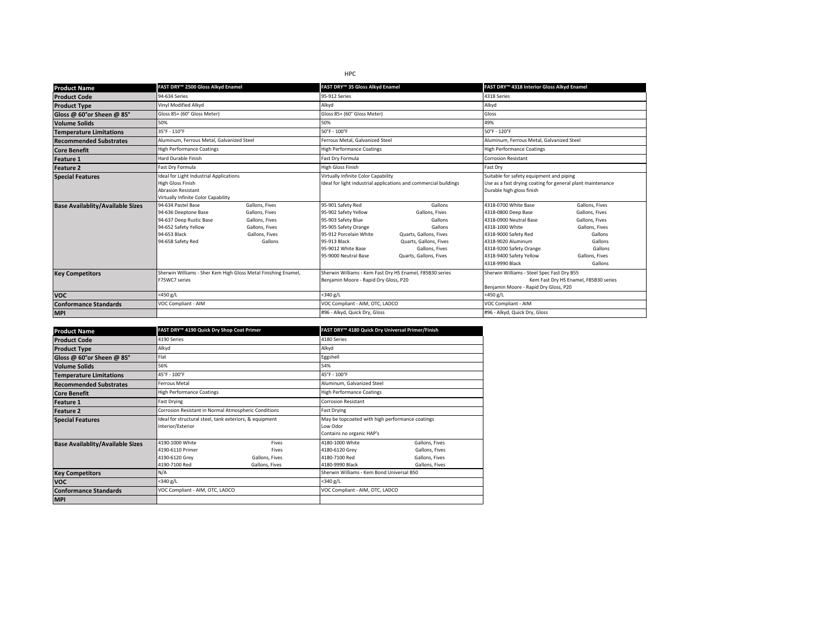| <b>Product Name</b>                                                | FAST DRY™ 2500 Gloss Alkyd Enamel                                                                                                                                                                                                                                      |                                                                                                   |                                                                                                                                                                                                                        | FAST DRY™ 35 Gloss Alkyd Enamel                                                                                                                                                                                     |                                                                                                                                                                                                                                                                                                                                                        | FAST DRY™ 4318 Interior Gloss Alkyd Enamel                                                                                         |  |
|--------------------------------------------------------------------|------------------------------------------------------------------------------------------------------------------------------------------------------------------------------------------------------------------------------------------------------------------------|---------------------------------------------------------------------------------------------------|------------------------------------------------------------------------------------------------------------------------------------------------------------------------------------------------------------------------|---------------------------------------------------------------------------------------------------------------------------------------------------------------------------------------------------------------------|--------------------------------------------------------------------------------------------------------------------------------------------------------------------------------------------------------------------------------------------------------------------------------------------------------------------------------------------------------|------------------------------------------------------------------------------------------------------------------------------------|--|
| <b>Product Code</b>                                                | 94-634 Series                                                                                                                                                                                                                                                          |                                                                                                   | 95-912 Series                                                                                                                                                                                                          |                                                                                                                                                                                                                     |                                                                                                                                                                                                                                                                                                                                                        | 4318 Series                                                                                                                        |  |
| <b>Product Type</b>                                                | Vinyl Modified Alkyd                                                                                                                                                                                                                                                   |                                                                                                   |                                                                                                                                                                                                                        | Alkyd                                                                                                                                                                                                               |                                                                                                                                                                                                                                                                                                                                                        |                                                                                                                                    |  |
| Gloss @ 60°or Sheen @ 85°                                          | Gloss 85+ (60° Gloss Meter)                                                                                                                                                                                                                                            |                                                                                                   | Gloss 85+ (60° Gloss Meter)                                                                                                                                                                                            |                                                                                                                                                                                                                     | Gloss                                                                                                                                                                                                                                                                                                                                                  |                                                                                                                                    |  |
| <b>Volume Solids</b>                                               | 50%                                                                                                                                                                                                                                                                    |                                                                                                   | 50%                                                                                                                                                                                                                    |                                                                                                                                                                                                                     | 49%                                                                                                                                                                                                                                                                                                                                                    |                                                                                                                                    |  |
| <b>Temperature Limitations</b>                                     | 35°F - 110°F                                                                                                                                                                                                                                                           |                                                                                                   | 50°F - 100°F                                                                                                                                                                                                           |                                                                                                                                                                                                                     | 50°F - 120°F                                                                                                                                                                                                                                                                                                                                           |                                                                                                                                    |  |
| <b>Recommended Substrates</b>                                      | Aluminum, Ferrous Metal, Galvanized Steel                                                                                                                                                                                                                              |                                                                                                   | Ferrous Metal, Galvanized Steel                                                                                                                                                                                        |                                                                                                                                                                                                                     | Aluminum, Ferrous Metal, Galvanized Steel                                                                                                                                                                                                                                                                                                              |                                                                                                                                    |  |
| <b>Core Benefit</b>                                                | <b>High Performance Coatings</b>                                                                                                                                                                                                                                       |                                                                                                   | <b>High Performance Coatings</b>                                                                                                                                                                                       |                                                                                                                                                                                                                     | <b>High Performance Coatings</b>                                                                                                                                                                                                                                                                                                                       |                                                                                                                                    |  |
| <b>Feature 1</b>                                                   | <b>Hard Durable Finish</b>                                                                                                                                                                                                                                             |                                                                                                   | Fast Dry Formula                                                                                                                                                                                                       |                                                                                                                                                                                                                     | <b>Corrosion Resistant</b>                                                                                                                                                                                                                                                                                                                             |                                                                                                                                    |  |
| <b>Feature 2</b>                                                   | Fast Dry Formula                                                                                                                                                                                                                                                       | High Gloss Finish                                                                                 |                                                                                                                                                                                                                        |                                                                                                                                                                                                                     | Fast Dry                                                                                                                                                                                                                                                                                                                                               |                                                                                                                                    |  |
| <b>Special Features</b><br><b>Base Availablity/Available Sizes</b> | Ideal for Light Industrial Applications<br>High Gloss Finish<br><b>Abrasion Resistant</b><br>Virtually Infinite Color Capability<br>94-634 Pastel Base<br>94-636 Deeptone Base<br>94-637 Deep Rustic Base<br>94-652 Safety Yellow<br>94-653 Black<br>94-658 Safety Red | Gallons, Fives<br>Gallons, Fives<br>Gallons, Fives<br>Gallons, Fives<br>Gallons, Fives<br>Gallons | Virtually Infinite Color Capability<br>95-901 Safety Red<br>95-902 Safety Yellow<br>95-903 Safety Blue<br>95-905 Safety Orange<br>95-912 Porcelain White<br>95-913 Black<br>95-9012 White Base<br>95-9000 Neutral Base | Ideal for light industrial applications and commercial buildings<br>Gallons<br>Gallons, Fives<br>Gallons<br>Gallons<br>Quarts, Gallons, Fives<br>Quarts, Gallons, Fives<br>Gallons, Fives<br>Quarts, Gallons, Fives | Suitable for safety equipment and piping<br>Use as a fast drying coating for general plant maintenance<br>Durable high gloss finish<br>4318-0700 White Base<br>4318-0800 Deep Base<br>4318-0900 Neutral Base<br>4318-1000 White<br>4318-9000 Safety Red<br>4318-9020 Aluminum<br>4318-9200 Safety Orange<br>4318-9400 Safety Yellow<br>4318-9990 Black | Gallons, Fives<br>Gallons, Fives<br>Gallons, Fives<br>Gallons, Fives<br>Gallons<br>Gallons<br>Gallons<br>Gallons, Fives<br>Gallons |  |
| <b>Key Competitors</b>                                             | F75WC7 series                                                                                                                                                                                                                                                          | Sherwin Williams - Sher Kem High Gloss Metal Finishing Enamel,                                    |                                                                                                                                                                                                                        | Sherwin Williams - Kem Fast Dry HS Enamel, F85B30 series<br>Benjamin Moore - Rapid Dry Gloss, P20                                                                                                                   |                                                                                                                                                                                                                                                                                                                                                        | Sherwin Williams - Steel Spec Fast Dry B55<br>Kem Fast Dry HS Enamel, F85B30 series<br>Benjamin Moore - Rapid Dry Gloss, P20       |  |
| <b>VOC</b>                                                         | $<$ 450 g/L                                                                                                                                                                                                                                                            |                                                                                                   | $<$ 340 g/L                                                                                                                                                                                                            |                                                                                                                                                                                                                     | <450 $g/L$                                                                                                                                                                                                                                                                                                                                             |                                                                                                                                    |  |
| <b>Conformance Standards</b>                                       | VOC Compliant - AIM                                                                                                                                                                                                                                                    |                                                                                                   | VOC Compliant - AIM, OTC, LADCO                                                                                                                                                                                        |                                                                                                                                                                                                                     | VOC Compliant - AIM                                                                                                                                                                                                                                                                                                                                    |                                                                                                                                    |  |
| <b>MPI</b>                                                         |                                                                                                                                                                                                                                                                        |                                                                                                   |                                                                                                                                                                                                                        | #96 - Alkyd, Quick Dry, Gloss                                                                                                                                                                                       |                                                                                                                                                                                                                                                                                                                                                        | #96 - Alkyd, Quick Dry, Gloss                                                                                                      |  |

| <b>Product Name</b>                     | FAST DRY™ 4190 Quick Dry Shop Coat Primer                              |                                                         | FAST DRY™ 4180 Quick Dry Universal Primer/Finish                      |                                                                      |  |
|-----------------------------------------|------------------------------------------------------------------------|---------------------------------------------------------|-----------------------------------------------------------------------|----------------------------------------------------------------------|--|
| <b>Product Code</b>                     | 4190 Series                                                            |                                                         | 4180 Series                                                           |                                                                      |  |
| <b>Product Type</b>                     | Alkyd                                                                  |                                                         | Alkyd                                                                 |                                                                      |  |
| Gloss @ 60°or Sheen @ 85°               | Flat                                                                   |                                                         | Eggshell                                                              |                                                                      |  |
| <b>Volume Solids</b>                    | 56%                                                                    |                                                         | 54%                                                                   |                                                                      |  |
| <b>Temperature Limitations</b>          | 45°F - 100°F                                                           |                                                         | 45°F - 100°F                                                          |                                                                      |  |
| <b>Recommended Substrates</b>           | Ferrous Metal                                                          |                                                         | Aluminum, Galvanized Steel                                            |                                                                      |  |
| <b>Core Benefit</b>                     | <b>High Performance Coatings</b>                                       |                                                         | <b>High Performance Coatings</b>                                      |                                                                      |  |
| <b>Feature 1</b>                        | Fast Drying                                                            |                                                         | <b>Corrosion Resistant</b>                                            |                                                                      |  |
| <b>Feature 2</b>                        | Corrosion Resistant in Normal Atmospheric Conditions                   |                                                         | <b>Fast Drying</b>                                                    |                                                                      |  |
| <b>Special Features</b>                 | Interior/Exterior                                                      | Ideal for structural steel, tank exteriors, & equipment |                                                                       | May be topcoated with high performance coatings                      |  |
| <b>Base Availablity/Available Sizes</b> | 4190-1000 White<br>4190-6110 Primer<br>4190-6120 Grev<br>4190-7100 Red | Fives<br>Fives<br>Gallons, Fives<br>Gallons, Fives      | 4180-1000 White<br>4180-6120 Grev<br>4180-7100 Red<br>4180-9990 Black | Gallons, Fives<br>Gallons, Fives<br>Gallons, Fives<br>Gallons, Fives |  |
| <b>Key Competitors</b>                  | N/A                                                                    |                                                         | Sherwin Williams - Kem Bond Universal B50                             |                                                                      |  |
| <b>VOC</b>                              | <340 g/L                                                               |                                                         | $<$ 340 g/L                                                           |                                                                      |  |
| <b>Conformance Standards</b>            |                                                                        | VOC Compliant - AIM, OTC, LADCO                         |                                                                       | VOC Compliant - AIM, OTC, LADCO                                      |  |
| <b>MPI</b>                              |                                                                        |                                                         |                                                                       |                                                                      |  |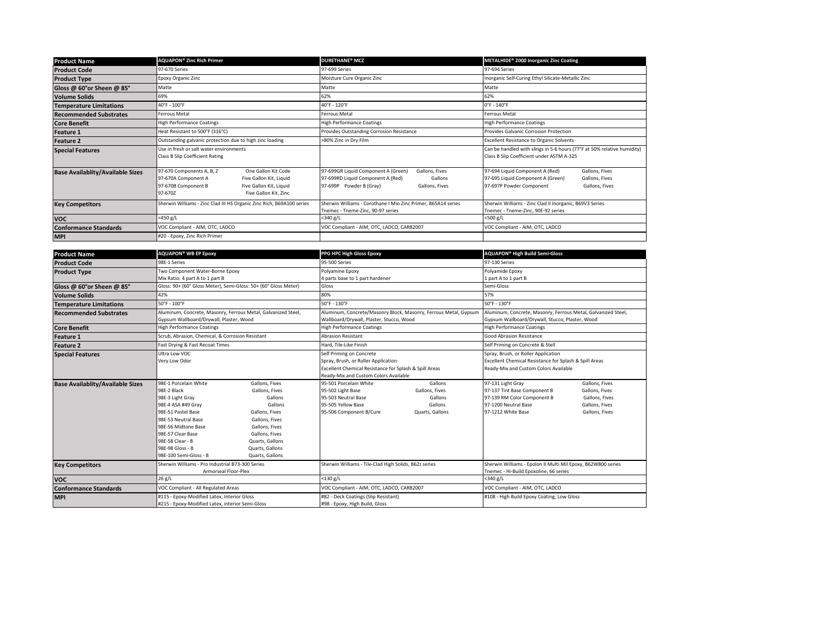| <b>Product Name</b>                     | <b>AQUAPON® Zinc Rich Primer</b>                                                                                                                                                         | <b>DURETHANE<sup>®</sup> MCZ</b>                                                                                                                   | METALHIDE® 2000 Inorganic Zinc Coating                                                                                                                 |
|-----------------------------------------|------------------------------------------------------------------------------------------------------------------------------------------------------------------------------------------|----------------------------------------------------------------------------------------------------------------------------------------------------|--------------------------------------------------------------------------------------------------------------------------------------------------------|
| <b>Product Code</b>                     | 97-670 Series                                                                                                                                                                            | 97-699 Series                                                                                                                                      | 97-694 Series                                                                                                                                          |
| <b>Product Type</b>                     | Epoxy Organic Zinc                                                                                                                                                                       | Moisture Cure Organic Zinc                                                                                                                         | Inorganic Self-Curing Ethyl Silicate-Metallic Zinc                                                                                                     |
| Gloss @ 60°or Sheen @ 85°               | Matte                                                                                                                                                                                    | Matte                                                                                                                                              | Matte                                                                                                                                                  |
| <b>Volume Solids</b>                    | 69%                                                                                                                                                                                      | 62%                                                                                                                                                | 62%                                                                                                                                                    |
| <b>Temperature Limitations</b>          | 40°F - 100°F                                                                                                                                                                             | 40°F - 120°F                                                                                                                                       | $0^{\circ}$ F - 140°F                                                                                                                                  |
| <b>Recommended Substrates</b>           | Ferrous Metal                                                                                                                                                                            | Ferrous Metal                                                                                                                                      | Ferrous Metal                                                                                                                                          |
| <b>Core Benefit</b>                     | <b>High Performance Coatings</b>                                                                                                                                                         | <b>High Performance Coatings</b>                                                                                                                   | <b>High Performance Coatings</b>                                                                                                                       |
| <b>Feature 1</b>                        | Heat Resistant to 500°F (316°C)                                                                                                                                                          | Provides Outstanding Corrosion Resistance                                                                                                          | Provides Galvanic Corrosion Protection                                                                                                                 |
| <b>Feature 2</b>                        | Outstanding galvanic protection due to high zinc loading                                                                                                                                 | >80% Zinc in Dry Film                                                                                                                              | <b>Excellent Resistance to Organic Solvents</b>                                                                                                        |
| <b>Special Features</b>                 | Use in fresh or salt water environments<br>Class B Slip Coefficient Rating                                                                                                               |                                                                                                                                                    | Can be handled with slings in 5-6 hours (77°F at 50% relative humidity)<br>Class B Slip Coefficient under ASTM A-325                                   |
| <b>Base Availablity/Available Sizes</b> | 97-670 Components A, B, Z<br>One Gallon Kit Code<br>97-670A Component A<br>Five Gallon Kit, Liquid<br>97-670B Component B<br>Five Gallon Kit, Liquid<br>97-670Z<br>Five Gallon Kit, Zinc | 97-699GR Liquid Component A (Green)<br>Gallons, Fives<br>97-699RD Liquid Component A (Red)<br>Gallons<br>97-699P Powder B (Gray)<br>Gallons, Fives | 97-694 Liquid Component A (Red)<br>Gallons, Fives<br>97-695 Liquid Component A (Green)<br>Gallons, Fives<br>97-697P Powder Component<br>Gallons, Fives |
| <b>Key Competitors</b>                  | Sherwin Williams - Zinc Clad III HS Organic Zinc Rich, B69A100 series                                                                                                                    | Sherwin Williams - Corothane I Mio Zinc Primer, B65A14 series<br>Tnemec - Tneme-Zinc, 90-97 series                                                 | Sherwin Williams - Zinc Clad II Inorganic, B69V3 Series<br>Tnemec - Tneme-Zinc, 90E-92 series                                                          |
| <b>VOC</b>                              | <450 g/L                                                                                                                                                                                 | $<$ 340 g/L                                                                                                                                        | $<$ 500 g/L                                                                                                                                            |
| <b>Conformance Standards</b>            | VOC Compliant - AIM, OTC, LADCO                                                                                                                                                          | VOC Compliant - AIM, OTC, LADCO, CARB2007                                                                                                          | VOC Compliant - AIM, OTC, LADCO                                                                                                                        |
| <b>MPI</b>                              | #20 - Epoxy, Zinc Rich Primer                                                                                                                                                            |                                                                                                                                                    |                                                                                                                                                        |

| <b>Product Name</b>                     | <b>AQUAPON® WB EP Epoxy</b>                                                                                                                                                                                                               |                                                                                                                                                                                         | PPG HPC High Gloss Epoxy                                                                                                                                           |                                                                    | AQUAPON <sup>®</sup> High Build Semi-Gloss                                                                                             |                                                                                        |  |
|-----------------------------------------|-------------------------------------------------------------------------------------------------------------------------------------------------------------------------------------------------------------------------------------------|-----------------------------------------------------------------------------------------------------------------------------------------------------------------------------------------|--------------------------------------------------------------------------------------------------------------------------------------------------------------------|--------------------------------------------------------------------|----------------------------------------------------------------------------------------------------------------------------------------|----------------------------------------------------------------------------------------|--|
| <b>Product Code</b>                     | 98E-1 Series                                                                                                                                                                                                                              |                                                                                                                                                                                         | 95-500 Series                                                                                                                                                      |                                                                    |                                                                                                                                        | 97-130 Series                                                                          |  |
| <b>Product Type</b>                     | Two Component Water-Borne Epoxy<br>Mix Ratio: 4 part A to 1 part B                                                                                                                                                                        |                                                                                                                                                                                         | Polyamine Epoxy<br>4 parts base to 1 part hardener                                                                                                                 |                                                                    |                                                                                                                                        | Polyamide Epoxy<br>I part A to 1 part B                                                |  |
| Gloss @ 60°or Sheen @ 85°               | Gloss: 90+ (60° Gloss Meter), Semi-Gloss: 50+ (60° Gloss Meter)                                                                                                                                                                           |                                                                                                                                                                                         | Gloss                                                                                                                                                              |                                                                    | Semi-Gloss                                                                                                                             |                                                                                        |  |
| <b>Volume Solids</b>                    | 42%                                                                                                                                                                                                                                       |                                                                                                                                                                                         | 80%                                                                                                                                                                |                                                                    | 57%                                                                                                                                    |                                                                                        |  |
| <b>Temperature Limitations</b>          | 50°F - 100°F                                                                                                                                                                                                                              |                                                                                                                                                                                         | 50°F - 130°F                                                                                                                                                       |                                                                    | 50°F - 130°F                                                                                                                           |                                                                                        |  |
| <b>Recommended Substrates</b>           | Aluminum, Concrete, Masonry, Ferrous Metal, Galvanized Steel,<br>Gypsum Wallboard/Drywall, Plaster, Wood                                                                                                                                  |                                                                                                                                                                                         | Wallboard/Drywall, Plaster, Stucco, Wood                                                                                                                           | Aluminum, Concrete/Masonry Block, Masonry, Ferrous Metal, Gypsum   | Aluminum, Concrete, Masonry, Ferrous Metal, Galvanized Steel,<br>Gypsum Wallboard/Drywall, Stucco, Plaster, Wood                       |                                                                                        |  |
| <b>Core Benefit</b>                     | <b>High Performance Coatings</b>                                                                                                                                                                                                          |                                                                                                                                                                                         | <b>High Performance Coatings</b>                                                                                                                                   |                                                                    | <b>High Performance Coatings</b>                                                                                                       |                                                                                        |  |
| <b>Feature 1</b>                        | Scrub, Abrasion, Chemical, & Corrosion Resistant                                                                                                                                                                                          |                                                                                                                                                                                         | <b>Abrasion Resistant</b>                                                                                                                                          |                                                                    | Good Abrasion Resistance                                                                                                               |                                                                                        |  |
| <b>Feature 2</b>                        | Fast Drying & Fast Recoat Times                                                                                                                                                                                                           |                                                                                                                                                                                         | Hard, Tile-Like Finish                                                                                                                                             |                                                                    | Self Priming on Concrete & Stell                                                                                                       |                                                                                        |  |
| <b>Special Features</b>                 | Ultra Low VOC<br>Very Low Odor                                                                                                                                                                                                            |                                                                                                                                                                                         | Self Priming on Concrete<br>Spray, Brush, or Roller Application<br>Excellent Chemical Resistance for Splash & Spill Areas<br>Ready-Mix and Custom Colors Available |                                                                    | Spray, Brush, or Roller Application<br>Excellent Chemical Resistance for Splash & Spill Areas<br>Ready-Mix and Custom Colors Available |                                                                                        |  |
| <b>Base Availablity/Available Sizes</b> | 98E-1 Porcelain White<br>98F-2 Black<br>98E-3 Light Gray<br>98E-4 ASA #49 Gray<br>98E-51 Pastel Base<br>98E-53 Neutral Base<br>98E-56 Midtone Base<br>98E-57 Clear Base<br>98E-58 Clear - B<br>98E-98 Gloss - B<br>98E-100 Semi-Gloss - B | Gallons, Fives<br>Gallons, Fives<br>Gallons<br>Gallons<br>Gallons, Fives<br>Gallons, Fives<br>Gallons, Fives<br>Gallons, Fives<br>Quarts, Gallons<br>Quarts, Gallons<br>Quarts, Gallons | 95-501 Porcelain White<br>95-502 Light Base<br>95-503 Neutral Base<br>95-505 Yellow Base<br>95-506 Component B/Cure                                                | Gallons<br>Gallons, Fives<br>Gallons<br>Gallons<br>Quarts, Gallons | 97-131 Light Gray<br>97-137 Tint Base Component B<br>97-139 RM Color Component B<br>97-1200 Neutral Base<br>97-1212 White Base         | Gallons, Fives<br>Gallons, Fives<br>Gallons, Fives<br>Gallons, Fives<br>Gallons, Fives |  |
| <b>Key Competitors</b>                  | Sherwin Williams - Pro Industrial B73-300 Series<br>Armorseal Floor-Plex                                                                                                                                                                  |                                                                                                                                                                                         | Sherwin Williams - Tile-Clad High Solids, B62z series                                                                                                              |                                                                    | Sherwin Williams - Epolon II Multi Mil Epoxy, B62W800 series<br>Tnemec - Hi-Build Epoxoline, 66 series                                 |                                                                                        |  |
| <b>VOC</b>                              | 26 g/L                                                                                                                                                                                                                                    |                                                                                                                                                                                         | $<$ 130 g/L                                                                                                                                                        |                                                                    | <340 g/L                                                                                                                               |                                                                                        |  |
| <b>Conformance Standards</b>            | VOC Compliant - All Regulated Areas                                                                                                                                                                                                       |                                                                                                                                                                                         | VOC Compliant - AIM, OTC, LADCO, CARB2007                                                                                                                          |                                                                    | VOC Compliant - AIM, OTC, LADCO                                                                                                        |                                                                                        |  |
| <b>MPI</b>                              | #115 - Epoxy-Modified Latex, Interior Gloss<br>#215 - Epoxy-Modified Latex, interior Semi-Gloss                                                                                                                                           |                                                                                                                                                                                         | #82 - Deck Coatings (Slip Resistant)<br>#98 - Epoxy, High Build, Gloss                                                                                             |                                                                    | #108 - High Build Epoxy Coating, Low Gloss                                                                                             |                                                                                        |  |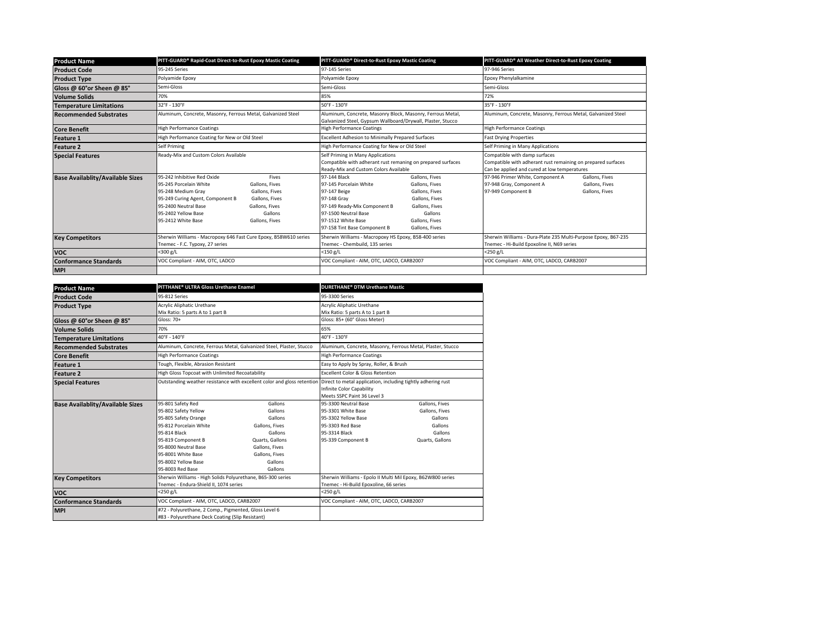| <b>Product Name</b>                     | PITT-GUARD® Rapid-Coat Direct-to-Rust Epoxy Mastic Coating                                                                                                                                                                                                                                         | PITT-GUARD® Direct-to-Rust Epoxy Mastic Coating                                                                                                                                                                                                                                                                              | PITT-GUARD® All Weather Direct-to-Rust Epoxy Coating                                                                                          |  |
|-----------------------------------------|----------------------------------------------------------------------------------------------------------------------------------------------------------------------------------------------------------------------------------------------------------------------------------------------------|------------------------------------------------------------------------------------------------------------------------------------------------------------------------------------------------------------------------------------------------------------------------------------------------------------------------------|-----------------------------------------------------------------------------------------------------------------------------------------------|--|
| <b>Product Code</b>                     | 95-245 Series                                                                                                                                                                                                                                                                                      | 97-145 Series                                                                                                                                                                                                                                                                                                                | 97-946 Series                                                                                                                                 |  |
| <b>Product Type</b>                     | Polyamide Epoxy                                                                                                                                                                                                                                                                                    | Polyamide Epoxy                                                                                                                                                                                                                                                                                                              | Epoxy Phenylalkamine                                                                                                                          |  |
| Gloss @ 60°or Sheen @ 85°               | Semi-Gloss                                                                                                                                                                                                                                                                                         | Semi-Gloss                                                                                                                                                                                                                                                                                                                   | Semi-Gloss                                                                                                                                    |  |
| <b>Volume Solids</b>                    | 70%                                                                                                                                                                                                                                                                                                | 85%                                                                                                                                                                                                                                                                                                                          | 72%                                                                                                                                           |  |
| <b>Temperature Limitations</b>          | 32°F - 130°F                                                                                                                                                                                                                                                                                       | 50°F - 130°F                                                                                                                                                                                                                                                                                                                 | 35°F - 130°F                                                                                                                                  |  |
| <b>Recommended Substrates</b>           | Aluminum, Concrete, Masonry, Ferrous Metal, Galvanized Steel                                                                                                                                                                                                                                       | Aluminum, Concrete, Masonry Block, Masonry, Ferrous Metal,<br>Galvanized Steel, Gypsum Wallboard/Drywall, Plaster, Stucco                                                                                                                                                                                                    | Aluminum, Concrete, Masonry, Ferrous Metal, Galvanized Steel                                                                                  |  |
| <b>Core Benefit</b>                     | <b>High Performance Coatings</b>                                                                                                                                                                                                                                                                   | <b>High Performance Coatings</b>                                                                                                                                                                                                                                                                                             | <b>High Performance Coatings</b>                                                                                                              |  |
| <b>Feature 1</b>                        | High Performance Coating for New or Old Steel                                                                                                                                                                                                                                                      | Excellent Adhesion to Minimally Prepared Surfaces                                                                                                                                                                                                                                                                            | <b>Fast Drying Properties</b>                                                                                                                 |  |
| <b>Feature 2</b>                        | Self Priming                                                                                                                                                                                                                                                                                       | High Performance Coating for New or Old Steel                                                                                                                                                                                                                                                                                | Self Priming in Many Applications                                                                                                             |  |
| <b>Special Features</b>                 | Ready-Mix and Custom Colors Available                                                                                                                                                                                                                                                              | Self Priming in Many Applications<br>Compatible with adherant rust remaning on prepared surfaces<br>Ready-Mix and Custom Colors Available                                                                                                                                                                                    | Compatible with damp surfaces<br>Compatible with adherant rust remaining on prepared surfaces<br>Can be applied and cured at low temperatures |  |
| <b>Base Availablity/Available Sizes</b> | 95-242 Inhibitive Red Oxide<br>Fives<br>95-245 Porcelain White<br>Gallons, Fives<br>95-248 Medium Grav<br>Gallons, Fives<br>95-249 Curing Agent, Component B<br>Gallons, Fives<br>95-2400 Neutral Base<br>Gallons, Fives<br>95-2402 Yellow Base<br>Gallons<br>95-2412 White Base<br>Gallons, Fives | 97-144 Black<br>Gallons, Fives<br>97-145 Porcelain White<br>Gallons, Fives<br>97-147 Beige<br>Gallons, Fives<br>97-148 Grav<br>Gallons, Fives<br>97-149 Ready-Mix Component B<br>Gallons, Fives<br>97-1500 Neutral Base<br>Gallons<br>97-1512 White Base<br>Gallons, Fives<br>97-158 Tint Base Component B<br>Gallons, Fives | 97-946 Primer White, Component A<br>Gallons, Fives<br>97-948 Gray, Component A<br>Gallons, Fives<br>97-949 Component B<br>Gallons, Fives      |  |
| <b>Key Competitors</b>                  | Sherwin Williams - Macropoxy 646 Fast Cure Epoxy, B58W610 series<br>Tnemec - F.C. Typoxy, 27 series                                                                                                                                                                                                | Sherwin Williams - Macropoxy HS Epoxy, B58-400 series<br>Tnemec - Chembuild, 135 series                                                                                                                                                                                                                                      | Sherwin Williams - Dura-Plate 235 Multi-Purpose Epoxy, B67-235<br>Tnemec - Hi-Build Epoxoline II, N69 series                                  |  |
| <b>VOC</b>                              | <300 g/L                                                                                                                                                                                                                                                                                           | $<$ 150 g/L                                                                                                                                                                                                                                                                                                                  | $<$ 250 g/L                                                                                                                                   |  |
| <b>Conformance Standards</b>            | VOC Compliant - AIM, OTC, LADCO                                                                                                                                                                                                                                                                    | VOC Compliant - AIM, OTC, LADCO, CARB2007                                                                                                                                                                                                                                                                                    | VOC Compliant - AIM, OTC, LADCO, CARB2007                                                                                                     |  |
| <b>MPI</b>                              |                                                                                                                                                                                                                                                                                                    |                                                                                                                                                                                                                                                                                                                              |                                                                                                                                               |  |

| <b>Product Name</b>                     | PITTHANE <sup>®</sup> ULTRA Gloss Urethane Enamel                                                                                                                                                                          |                                                                                                                                         | <b>DURETHANE<sup>®</sup> DTM Urethane Mastic</b>                                                                             |                                                                                      |
|-----------------------------------------|----------------------------------------------------------------------------------------------------------------------------------------------------------------------------------------------------------------------------|-----------------------------------------------------------------------------------------------------------------------------------------|------------------------------------------------------------------------------------------------------------------------------|--------------------------------------------------------------------------------------|
| <b>Product Code</b>                     | 95-812 Series                                                                                                                                                                                                              |                                                                                                                                         | 95-3300 Series                                                                                                               |                                                                                      |
| <b>Product Type</b>                     | Acrylic Aliphatic Urethane<br>Mix Ratio: 5 parts A to 1 part B                                                                                                                                                             |                                                                                                                                         | Acrylic Aliphatic Urethane<br>Mix Ratio: 5 parts A to 1 part B                                                               |                                                                                      |
| Gloss @ 60°or Sheen @ 85°               | <b>Gloss: 70+</b>                                                                                                                                                                                                          |                                                                                                                                         | Gloss: 85+ (60° Gloss Meter)                                                                                                 |                                                                                      |
| <b>Volume Solids</b>                    | 70%                                                                                                                                                                                                                        |                                                                                                                                         | 65%                                                                                                                          |                                                                                      |
| <b>Temperature Limitations</b>          | 40°F - 140°F                                                                                                                                                                                                               |                                                                                                                                         | 40°F - 130°F                                                                                                                 |                                                                                      |
| <b>Recommended Substrates</b>           |                                                                                                                                                                                                                            | Aluminum, Concrete, Ferrous Metal, Galvanized Steel, Plaster, Stucco                                                                    | Aluminum, Concrete, Masonry, Ferrous Metal, Plaster, Stucco                                                                  |                                                                                      |
| <b>Core Benefit</b>                     | <b>High Performance Coatings</b>                                                                                                                                                                                           |                                                                                                                                         | <b>High Performance Coatings</b>                                                                                             |                                                                                      |
| <b>Feature 1</b>                        | Tough, Flexible, Abrasion Resistant                                                                                                                                                                                        |                                                                                                                                         | Easy to Apply by Spray, Roller, & Brush                                                                                      |                                                                                      |
| <b>Feature 2</b>                        | High Gloss Topcoat with Unlimited Recoatability                                                                                                                                                                            |                                                                                                                                         | <b>Excellent Color &amp; Gloss Retention</b>                                                                                 |                                                                                      |
| <b>Special Features</b>                 |                                                                                                                                                                                                                            | Outstanding weather resistance with excellent color and gloss retention                                                                 | Direct to metal application, including tightly adhering rust<br>Infinite Color Capability<br>Meets SSPC Paint 36 Level 3     |                                                                                      |
| <b>Base Availablity/Available Sizes</b> | 95-801 Safety Red<br>95-802 Safety Yellow<br>95-805 Safety Orange<br>95-812 Porcelain White<br>95-814 Black<br>95-819 Component B<br>95-8000 Neutral Base<br>95-8001 White Base<br>95-8002 Yellow Base<br>95-8003 Red Base | Gallons<br>Gallons<br>Gallons<br>Gallons, Fives<br>Gallons<br>Quarts, Gallons<br>Gallons, Fives<br>Gallons, Fives<br>Gallons<br>Gallons | 95-3300 Neutral Base<br>95-3301 White Base<br>95-3302 Yellow Base<br>95-3303 Red Base<br>95-3314 Black<br>95-339 Component B | Gallons, Fives<br>Gallons, Fives<br>Gallons<br>Gallons<br>Gallons<br>Quarts, Gallons |
| <b>Key Competitors</b>                  | Sherwin Williams - High Solids Polyurethane, B65-300 series<br>Tnemec - Endura-Shield II, 1074 series                                                                                                                      |                                                                                                                                         | Sherwin Williams - Epolo II Multi Mil Epoxy, B62W800 series<br>Tnemec - Hi-Build Epoxoline, 66 series                        |                                                                                      |
| <b>VOC</b>                              | <250 g/L                                                                                                                                                                                                                   |                                                                                                                                         | $<$ 250 g/L                                                                                                                  |                                                                                      |
| <b>Conformance Standards</b>            | VOC Compliant - AIM, OTC, LADCO, CARB2007                                                                                                                                                                                  |                                                                                                                                         | VOC Compliant - AIM, OTC, LADCO, CARB2007                                                                                    |                                                                                      |
| <b>MPI</b>                              | #72 - Polyurethane, 2 Comp., Pigmented, Gloss Level 6<br>#83 - Polvurethane Deck Coating (Slip Resistant)                                                                                                                  |                                                                                                                                         |                                                                                                                              |                                                                                      |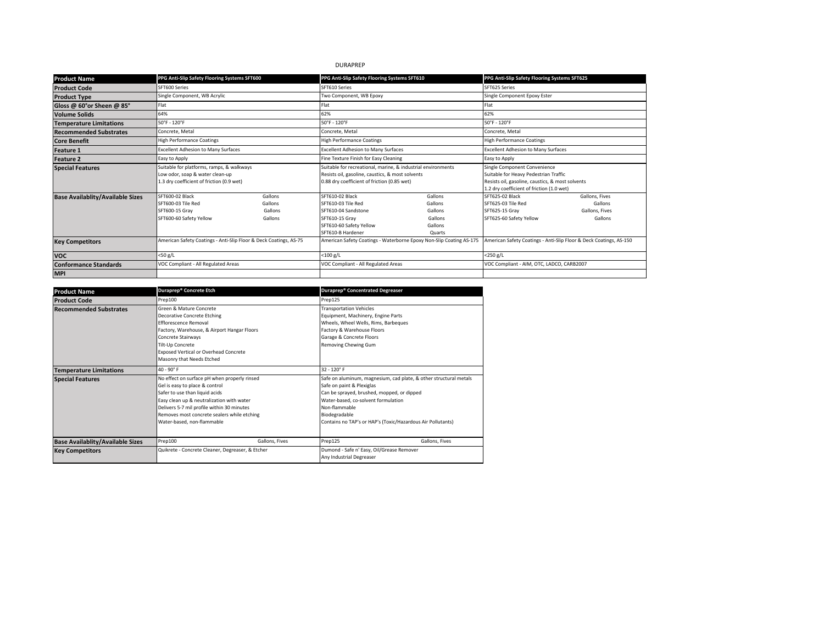# DURAPREP

| <b>Product Name</b>                     | PPG Anti-Slip Safety Flooring Systems SFT600                                                                              |                                          | PPG Anti-Slip Safety Flooring Systems SFT610                                                                                                                    |                                                               | PPG Anti-Slip Safety Flooring Systems SFT625                                                                                                                           |                                                                    |  |
|-----------------------------------------|---------------------------------------------------------------------------------------------------------------------------|------------------------------------------|-----------------------------------------------------------------------------------------------------------------------------------------------------------------|---------------------------------------------------------------|------------------------------------------------------------------------------------------------------------------------------------------------------------------------|--------------------------------------------------------------------|--|
| <b>Product Code</b>                     |                                                                                                                           | SFT600 Series                            |                                                                                                                                                                 | SFT610 Series                                                 |                                                                                                                                                                        | SFT625 Series                                                      |  |
| <b>Product Type</b>                     | Single Component, WB Acrylic                                                                                              |                                          | Two Component, WB Epoxy                                                                                                                                         |                                                               | Single Component Epoxy Ester                                                                                                                                           |                                                                    |  |
| Gloss @ 60°or Sheen @ 85°               | Flat                                                                                                                      |                                          | Flat                                                                                                                                                            |                                                               | Flat                                                                                                                                                                   |                                                                    |  |
| <b>Volume Solids</b>                    | 64%                                                                                                                       |                                          | 62%                                                                                                                                                             |                                                               | 62%                                                                                                                                                                    |                                                                    |  |
| <b>Temperature Limitations</b>          | 50°F - 120°F                                                                                                              |                                          | 50°F - 120°F                                                                                                                                                    |                                                               | 50°F - 120°F                                                                                                                                                           |                                                                    |  |
| <b>Recommended Substrates</b>           | Concrete, Metal                                                                                                           |                                          | Concrete, Metal                                                                                                                                                 |                                                               | Concrete, Metal                                                                                                                                                        |                                                                    |  |
| <b>Core Benefit</b>                     | <b>High Performance Coatings</b>                                                                                          |                                          | <b>High Performance Coatings</b>                                                                                                                                |                                                               | <b>High Performance Coatings</b>                                                                                                                                       |                                                                    |  |
| <b>Feature 1</b>                        | <b>Excellent Adhesion to Many Surfaces</b>                                                                                |                                          |                                                                                                                                                                 | <b>Excellent Adhesion to Many Surfaces</b>                    |                                                                                                                                                                        | <b>Excellent Adhesion to Many Surfaces</b>                         |  |
| <b>Feature 2</b>                        | Easy to Apply                                                                                                             |                                          | Fine Texture Finish for Easy Cleaning                                                                                                                           |                                                               | Easy to Apply                                                                                                                                                          |                                                                    |  |
| <b>Special Features</b>                 | Suitable for platforms, ramps, & walkways<br>Low odor, soap & water clean-up<br>1.3 dry coefficient of friction (0.9 wet) |                                          | Suitable for recreational, marine, & industrial environments<br>Resists oil, gasoline, caustics, & most solvents<br>0.88 dry coefficient of friction (0.85 wet) |                                                               | Single Component Convenience<br>Suitable for Heavy Pedestrian Traffic<br>Resists oil, gasoline, caustics, & most solvents<br>1.2 dry coefficient of friction (1.0 wet) |                                                                    |  |
| <b>Base Availablity/Available Sizes</b> | SFT600-02 Black<br>SFT600-03 Tile Red<br>SFT600-15 Grav<br>SFT600-60 Safety Yellow                                        | Gallons<br>Gallons<br>Gallons<br>Gallons | SFT610-02 Black<br>SFT610-03 Tile Red<br>SFT610-04 Sandstone<br>SFT610-15 Grav<br>SFT610-60 Safety Yellow<br>SFT610-B Hardener                                  | Gallons<br>Gallons<br>Gallons<br>Gallons<br>Gallons<br>Quarts | SFT625-02 Black<br>SFT625-03 Tile Red<br>SFT625-15 Grav<br>SFT625-60 Safety Yellow                                                                                     | Gallons, Fives<br>Gallons<br>Gallons, Fives<br>Gallons             |  |
| <b>Key Competitors</b>                  | American Safety Coatings - Anti-Slip Floor & Deck Coatings, AS-75                                                         |                                          | American Safety Coatings - Waterborne Epoxy Non-Slip Coating AS-175                                                                                             |                                                               |                                                                                                                                                                        | American Safety Coatings - Anti-Slip Floor & Deck Coatings, AS-150 |  |
| <b>VOC</b>                              | <50 g/L                                                                                                                   |                                          | $<$ 100 g/L                                                                                                                                                     |                                                               | <250 g/L                                                                                                                                                               |                                                                    |  |
| <b>Conformance Standards</b>            | VOC Compliant - All Regulated Areas                                                                                       |                                          | VOC Compliant - All Regulated Areas                                                                                                                             |                                                               | VOC Compliant - AIM, OTC, LADCO, CARB2007                                                                                                                              |                                                                    |  |
| <b>MPI</b>                              |                                                                                                                           |                                          |                                                                                                                                                                 |                                                               |                                                                                                                                                                        |                                                                    |  |

| <b>Product Name</b>                     | Duraprep <sup>®</sup> Concrete Etch                                                                                                                                                                                                                                                      | Duraprep® Concentrated Degreaser                                                                                                                                                                                                                                                     |  |
|-----------------------------------------|------------------------------------------------------------------------------------------------------------------------------------------------------------------------------------------------------------------------------------------------------------------------------------------|--------------------------------------------------------------------------------------------------------------------------------------------------------------------------------------------------------------------------------------------------------------------------------------|--|
| <b>Product Code</b>                     | Prep100                                                                                                                                                                                                                                                                                  | Prep125                                                                                                                                                                                                                                                                              |  |
| <b>Recommended Substrates</b>           | Green & Mature Concrete<br>Decorative Concrete Etching<br><b>Efflorescence Removal</b><br>Factory, Warehouse, & Airport Hangar Floors<br>Concrete Stairways<br>Tilt-Up Concrete<br><b>Exposed Vertical or Overhead Concrete</b><br>Masonry that Needs Etched                             | <b>Transportation Vehicles</b><br>Equipment, Machinery, Engine Parts<br>Wheels, Wheel Wells, Rims, Barbeques<br>Factory & Warehouse Floors<br>Garage & Concrete Floors<br>Removing Chewing Gum                                                                                       |  |
| <b>Temperature Limitations</b>          | $40 - 90^\circ$ F                                                                                                                                                                                                                                                                        | $32 - 120^\circ F$                                                                                                                                                                                                                                                                   |  |
| <b>Special Features</b>                 | No effect on surface pH when properly rinsed<br>Gel is easy to place & control<br>Safer to use than liquid acids<br>Easy clean up & neutralization with water<br>Delivers 5-7 mil profile within 30 minutes<br>Removes most concrete sealers while etching<br>Water-based, non-flammable | Safe on aluminum, magnesium, cad plate, & other structural metals<br>Safe on paint & Plexiglas<br>Can be sprayed, brushed, mopped, or dipped<br>Water-based, co-solvent formulation<br>Non-flammable<br>Biodegradable<br>Contains no TAP's or HAP's (Toxic/Hazardous Air Pollutants) |  |
| <b>Base Availablity/Available Sizes</b> | Prep100<br>Gallons, Fives                                                                                                                                                                                                                                                                | Gallons, Fives<br>Prep125                                                                                                                                                                                                                                                            |  |
| <b>Key Competitors</b>                  | Quikrete - Concrete Cleaner, Degreaser, & Etcher                                                                                                                                                                                                                                         | Dumond - Safe n' Easy, Oil/Grease Remover<br>Any Industrial Degreaser                                                                                                                                                                                                                |  |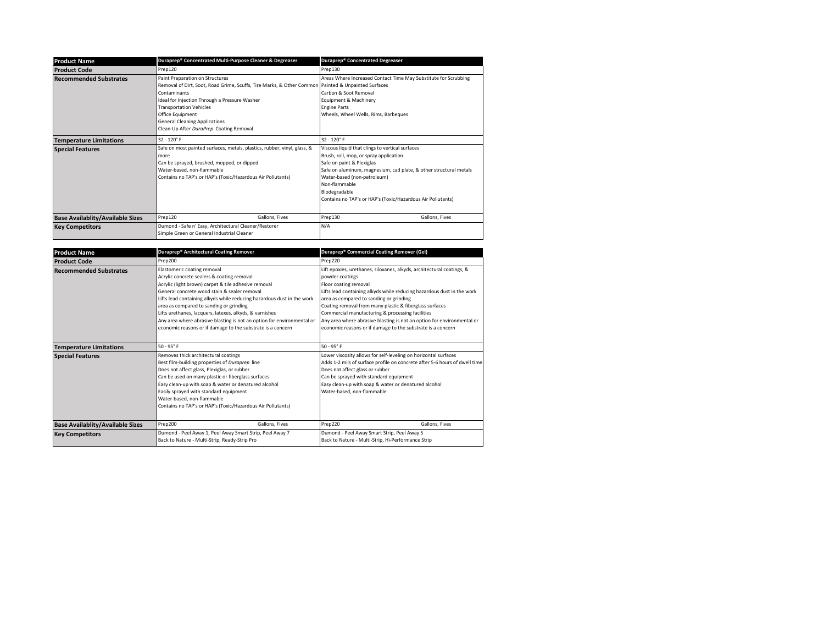| <b>Product Name</b>                     | Duraprep® Concentrated Multi-Purpose Cleaner & Degreaser                                                                                                                                                                                                                                                                                        | Duraprep® Concentrated Degreaser                                                                                                                                                                                                                                                                                            |
|-----------------------------------------|-------------------------------------------------------------------------------------------------------------------------------------------------------------------------------------------------------------------------------------------------------------------------------------------------------------------------------------------------|-----------------------------------------------------------------------------------------------------------------------------------------------------------------------------------------------------------------------------------------------------------------------------------------------------------------------------|
| <b>Product Code</b>                     | Prep120                                                                                                                                                                                                                                                                                                                                         | Prep130                                                                                                                                                                                                                                                                                                                     |
| <b>Recommended Substrates</b>           | Paint Preparation on Structures<br>Removal of Dirt, Soot, Road Grime, Scuffs, Tire Marks, & Other Common Painted & Unpainted Surfaces<br>Contaminants<br>Ideal for Injection Through a Pressure Washer<br><b>Transportation Vehicles</b><br>Office Equipment<br><b>General Cleaning Applications</b><br>Clean-Up After DuraPrep Coating Removal | Areas Where Increased Contact Time May Substitute for Scrubbing<br>Carbon & Soot Removal<br>Equipment & Machinery<br><b>Engine Parts</b><br>Wheels, Wheel Wells, Rims, Barbeques                                                                                                                                            |
| <b>Temperature Limitations</b>          | 32 - 120° F                                                                                                                                                                                                                                                                                                                                     | $32 - 120^\circ F$                                                                                                                                                                                                                                                                                                          |
| <b>Special Features</b>                 | Safe on most painted surfaces, metals, plastics, rubber, vinyl, glass, &<br>more<br>Can be sprayed, brushed, mopped, or dipped<br>Water-based, non-flammable<br>Contains no TAP's or HAP's (Toxic/Hazardous Air Pollutants)                                                                                                                     | Viscous liquid that clings to vertical surfaces<br>Brush, roll, mop, or spray application<br>Safe on paint & Plexiglas<br>Safe on aluminum, magnesium, cad plate, & other structural metals<br>Water-based (non-petroleum)<br>Non-flammable<br>Biodegradable<br>Contains no TAP's or HAP's (Toxic/Hazardous Air Pollutants) |
| <b>Base Availablity/Available Sizes</b> | Gallons, Fives<br>Prep120                                                                                                                                                                                                                                                                                                                       | Gallons, Fives<br>Prep130                                                                                                                                                                                                                                                                                                   |
| <b>Key Competitors</b>                  | Dumond - Safe n' Easy, Architectural Cleaner/Restorer<br>Simple Green or General Industrial Cleaner                                                                                                                                                                                                                                             | N/A                                                                                                                                                                                                                                                                                                                         |

| <b>Product Name</b>                     | Duraprep® Architectural Coating Remover                                                                                                                                                                                                                                                                                                                                                                                                                                                                    | Duraprep® Commercial Coating Remover (Gel)                                                                                                                                                                                                                                                                                                                                                                                                                                                     |
|-----------------------------------------|------------------------------------------------------------------------------------------------------------------------------------------------------------------------------------------------------------------------------------------------------------------------------------------------------------------------------------------------------------------------------------------------------------------------------------------------------------------------------------------------------------|------------------------------------------------------------------------------------------------------------------------------------------------------------------------------------------------------------------------------------------------------------------------------------------------------------------------------------------------------------------------------------------------------------------------------------------------------------------------------------------------|
| <b>Product Code</b>                     | Prep200                                                                                                                                                                                                                                                                                                                                                                                                                                                                                                    | Prep220                                                                                                                                                                                                                                                                                                                                                                                                                                                                                        |
| <b>Recommended Substrates</b>           | Elastomeric coating removal<br>Acrylic concrete sealers & coating removal<br>Acrylic (light brown) carpet & tile adhesive removal<br>General concrete wood stain & sealer removal<br>Lifts lead containing alkyds while reducing hazardous dust in the work<br>area as compared to sanding or grinding<br>Lifts urethanes, lacquers, latexes, alkyds, & varnishes<br>Any area where abrasive blasting is not an option for environmental or<br>economic reasons or if damage to the substrate is a concern | Lift epoxies, urethanes, siloxanes, alkyds, architectural coatings, &<br>powder coatings<br>Floor coating removal<br>Lifts lead containing alkyds while reducing hazardous dust in the work<br>area as compared to sanding or grinding<br>Coating removal from many plastic & fiberglass surfaces<br>Commercial manufacturing & processing facilities<br>Any area where abrasive blasting is not an option for environmental or<br>economic reasons or if damage to the substrate is a concern |
| <b>Temperature Limitations</b>          | $50 - 95^{\circ}$ F                                                                                                                                                                                                                                                                                                                                                                                                                                                                                        | $50 - 95^{\circ}$ F                                                                                                                                                                                                                                                                                                                                                                                                                                                                            |
| <b>Special Features</b>                 | Removes thick architectural coatings<br>Best film-building properties of Duraprep line<br>Does not affect glass, Plexiglas, or rubber<br>Can be used on many plastic or fiberglass surfaces<br>Easy clean-up with soap & water or denatured alcohol<br>Easily sprayed with standard equipment<br>Water-based, non-flammable<br>Contains no TAP's or HAP's (Toxic/Hazardous Air Pollutants)                                                                                                                 | Lower viscosity allows for self-leveling on horizontal surfaces<br>Adds 1-2 mils of surface profile on concrete after 5-6 hours of dwell time<br>Does not affect glass or rubber<br>Can be sprayed with standard equipment<br>Easy clean-up with soap & water or denatured alcohol<br>Water-based, non-flammable                                                                                                                                                                               |
| <b>Base Availablity/Available Sizes</b> | Prep200<br>Gallons, Fives                                                                                                                                                                                                                                                                                                                                                                                                                                                                                  | Prep220<br>Gallons, Fives                                                                                                                                                                                                                                                                                                                                                                                                                                                                      |
| <b>Key Competitors</b>                  | Dumond - Peel Away 1, Peel Away Smart Strip, Peel Away 7<br>Back to Nature - Multi-Strip, Ready-Strip Pro                                                                                                                                                                                                                                                                                                                                                                                                  | Dumond - Peel Away Smart Strip, Peel Away 5<br>Back to Nature - Multi-Strip, Hi-Performance Strip                                                                                                                                                                                                                                                                                                                                                                                              |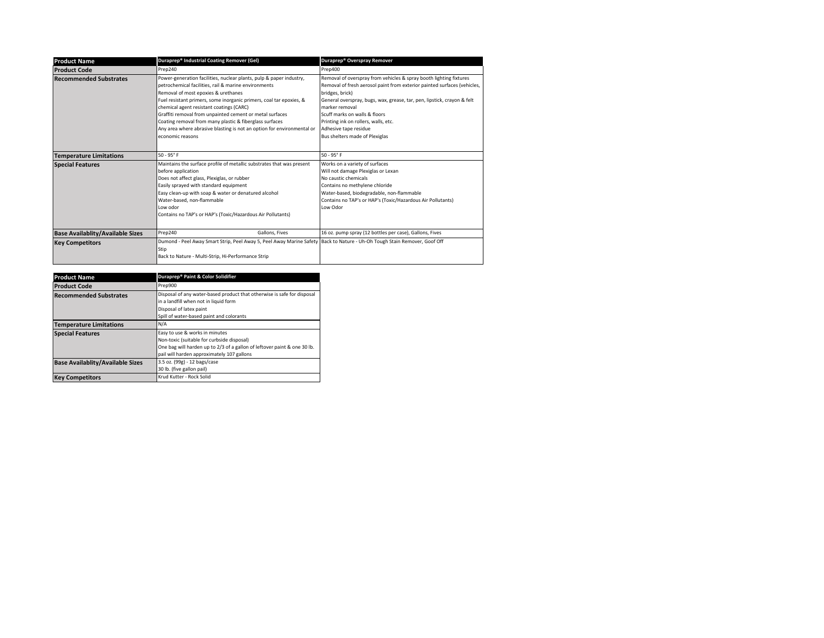| <b>Product Name</b>                     | Duraprep® Industrial Coating Remover (Gel)                                                                                                                                                                                                                                                                                                                                                                                                                                                                 | Duraprep® Overspray Remover                                                                                                                                                                                                                                                                                                                                                                        |
|-----------------------------------------|------------------------------------------------------------------------------------------------------------------------------------------------------------------------------------------------------------------------------------------------------------------------------------------------------------------------------------------------------------------------------------------------------------------------------------------------------------------------------------------------------------|----------------------------------------------------------------------------------------------------------------------------------------------------------------------------------------------------------------------------------------------------------------------------------------------------------------------------------------------------------------------------------------------------|
| <b>Product Code</b>                     | Prep240                                                                                                                                                                                                                                                                                                                                                                                                                                                                                                    | Prep400                                                                                                                                                                                                                                                                                                                                                                                            |
| <b>Recommended Substrates</b>           | Power-generation facilities, nuclear plants, pulp & paper industry,<br>petrochemical facilities, rail & marine environments<br>Removal of most epoxies & urethanes<br>Fuel resistant primers, some inorganic primers, coal tar epoxies, &<br>chemical agent resistant coatings (CARC)<br>Graffiti removal from unpainted cement or metal surfaces<br>Coating removal from many plastic & fiberglass surfaces<br>Any area where abrasive blasting is not an option for environmental or<br>economic reasons | Removal of overspray from vehicles & spray booth lighting fixtures<br>Removal of fresh aerosol paint from exterior painted surfaces (vehicles,<br>bridges, brick)<br>General overspray, bugs, wax, grease, tar, pen, lipstick, crayon & felt<br>marker removal<br>Scuff marks on walls & floors<br>Printing ink on rollers, walls, etc.<br>Adhesive tape residue<br>Bus shelters made of Plexiglas |
| <b>Temperature Limitations</b>          | $50 - 95^{\circ}$ F                                                                                                                                                                                                                                                                                                                                                                                                                                                                                        | $50 - 95^{\circ}$ F                                                                                                                                                                                                                                                                                                                                                                                |
| <b>Special Features</b>                 | Maintains the surface profile of metallic substrates that was present<br>before application<br>Does not affect glass, Plexiglas, or rubber<br>Easily sprayed with standard equipment<br>Easy clean-up with soap & water or denatured alcohol<br>Water-based, non-flammable<br>l ow odor<br>Contains no TAP's or HAP's (Toxic/Hazardous Air Pollutants)                                                                                                                                                     | Works on a variety of surfaces<br>Will not damage Plexiglas or Lexan<br>No caustic chemicals<br>Contains no methylene chloride<br>Water-based, biodegradable, non-flammable<br>Contains no TAP's or HAP's (Toxic/Hazardous Air Pollutants)<br>Low Odor                                                                                                                                             |
| <b>Base Availablity/Available Sizes</b> | Prep240<br>Gallons, Fives                                                                                                                                                                                                                                                                                                                                                                                                                                                                                  | 16 oz. pump spray (12 bottles per case), Gallons, Fives                                                                                                                                                                                                                                                                                                                                            |
| <b>Key Competitors</b>                  | Dumond - Peel Away Smart Strip, Peel Away 5, Peel Away Marine Safety Back to Nature - Uh-Oh Tough Stain Remover, Goof Off<br>Stip<br>Back to Nature - Multi-Strip, Hi-Performance Strip                                                                                                                                                                                                                                                                                                                    |                                                                                                                                                                                                                                                                                                                                                                                                    |

| <b>Product Name</b>                     | Duraprep® Paint & Color Solidifier                                                                                                                                                                     |
|-----------------------------------------|--------------------------------------------------------------------------------------------------------------------------------------------------------------------------------------------------------|
| <b>Product Code</b>                     | Prep900                                                                                                                                                                                                |
| <b>Recommended Substrates</b>           | Disposal of any water-based product that otherwise is safe for disposal<br>in a landfill when not in liquid form<br>Disposal of latex paint<br>Spill of water-based paint and colorants                |
| <b>Temperature Limitations</b>          | N/A                                                                                                                                                                                                    |
| <b>Special Features</b>                 | Easy to use & works in minutes<br>Non-toxic (suitable for curbside disposal)<br>One bag will harden up to 2/3 of a gallon of leftover paint & one 30 lb.<br>pail will harden approximately 107 gallons |
| <b>Base Availablity/Available Sizes</b> | 3.5 oz. (99g) - 12 bags/case<br>30 lb. (five gallon pail)                                                                                                                                              |
| <b>Key Competitors</b>                  | Krud Kutter - Rock Solid                                                                                                                                                                               |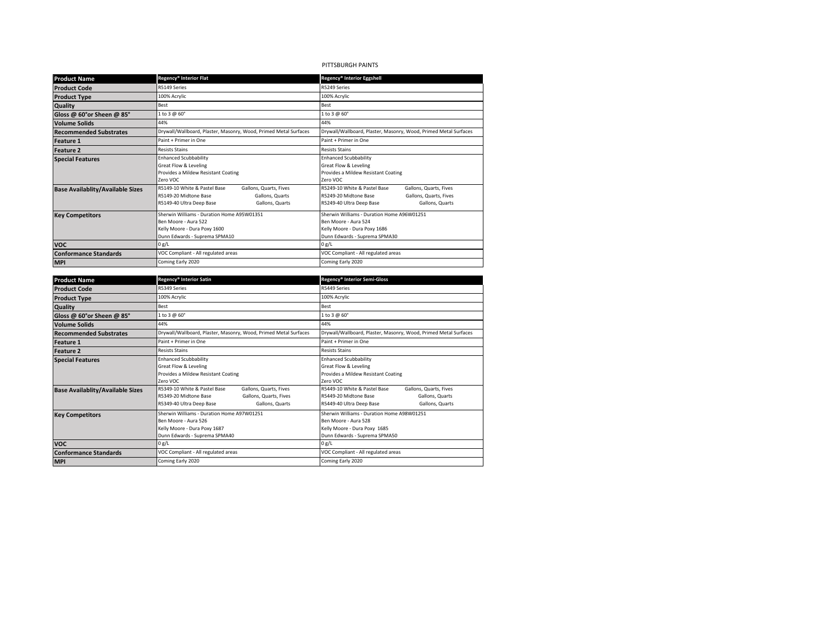# PITTSBURGH PAINTS

| <b>Product Name</b>                     | Regency® Interior Flat                                                                                                                            | Regency® Interior Eggshell                                                                                                                               |  |
|-----------------------------------------|---------------------------------------------------------------------------------------------------------------------------------------------------|----------------------------------------------------------------------------------------------------------------------------------------------------------|--|
| <b>Product Code</b>                     | R5149 Series                                                                                                                                      | R5249 Series                                                                                                                                             |  |
| <b>Product Type</b>                     | 100% Acrylic                                                                                                                                      | 100% Acrylic                                                                                                                                             |  |
| Quality                                 | Best                                                                                                                                              | Best                                                                                                                                                     |  |
| Gloss @ 60°or Sheen @ 85°               | 1 to 3 @ 60°                                                                                                                                      | 1 to 3 @ 60°                                                                                                                                             |  |
| <b>Volume Solids</b>                    | 44%                                                                                                                                               | 44%                                                                                                                                                      |  |
| <b>Recommended Substrates</b>           | Drywall/Wallboard, Plaster, Masonry, Wood, Primed Metal Surfaces                                                                                  | Drywall/Wallboard, Plaster, Masonry, Wood, Primed Metal Surfaces                                                                                         |  |
| <b>Feature 1</b>                        | Paint + Primer in One                                                                                                                             | Paint + Primer in One                                                                                                                                    |  |
| <b>Feature 2</b>                        | <b>Resists Stains</b>                                                                                                                             | <b>Resists Stains</b>                                                                                                                                    |  |
| <b>Special Features</b>                 | <b>Enhanced Scubbability</b><br>Great Flow & Leveling<br>Provides a Mildew Resistant Coating<br>Zero VOC                                          | <b>Enhanced Scubbability</b><br>Great Flow & Leveling<br>Provides a Mildew Resistant Coating<br>Zero VOC                                                 |  |
| <b>Base Availablity/Available Sizes</b> | R5149-10 White & Pastel Base<br>Gallons, Quarts, Fives<br>R5149-20 Midtone Base<br>Gallons, Quarts<br>R5149-40 Ultra Deep Base<br>Gallons, Quarts | R5249-10 White & Pastel Base<br>Gallons, Quarts, Fives<br>R5249-20 Midtone Base<br>Gallons, Quarts, Fives<br>R5249-40 Ultra Deep Base<br>Gallons, Quarts |  |
| <b>Key Competitors</b>                  | Sherwin Williams - Duration Home A95W01351<br>Ben Moore - Aura 522<br>Kelly Moore - Dura Poxy 1600<br>Dunn Edwards - Suprema SPMA10               | Sherwin Williams - Duration Home A96W01251<br>Ben Moore - Aura 524<br>Kelly Moore - Dura Poxy 1686<br>Dunn Edwards - Suprema SPMA30                      |  |
| <b>VOC</b>                              | 0 g/L                                                                                                                                             | 0 g/L                                                                                                                                                    |  |
| <b>Conformance Standards</b>            | VOC Compliant - All regulated areas                                                                                                               | VOC Compliant - All regulated areas                                                                                                                      |  |
| <b>MPI</b>                              | Coming Early 2020                                                                                                                                 | Coming Early 2020                                                                                                                                        |  |

| <b>Product Name</b>                     | Regency® Interior Satin                                                                                                                                  | Regency® Interior Semi-Gloss                                                                                                                      |  |
|-----------------------------------------|----------------------------------------------------------------------------------------------------------------------------------------------------------|---------------------------------------------------------------------------------------------------------------------------------------------------|--|
| <b>Product Code</b>                     | R5349 Series                                                                                                                                             | R5449 Series                                                                                                                                      |  |
| <b>Product Type</b>                     | 100% Acrylic                                                                                                                                             | 100% Acrylic                                                                                                                                      |  |
| <b>Quality</b>                          | Best                                                                                                                                                     | Best                                                                                                                                              |  |
| Gloss @ 60°or Sheen @ 85°               | 1 to 3 @ 60°                                                                                                                                             | 1 to 3 @ 60°                                                                                                                                      |  |
| <b>Volume Solids</b>                    | 44%                                                                                                                                                      | 44%                                                                                                                                               |  |
| <b>Recommended Substrates</b>           | Drywall/Wallboard, Plaster, Masonry, Wood, Primed Metal Surfaces                                                                                         | Drywall/Wallboard, Plaster, Masonry, Wood, Primed Metal Surfaces                                                                                  |  |
| <b>Feature 1</b>                        | Paint + Primer in One                                                                                                                                    | Paint + Primer in One                                                                                                                             |  |
| <b>Feature 2</b>                        | <b>Resists Stains</b>                                                                                                                                    | <b>Resists Stains</b>                                                                                                                             |  |
| <b>Special Features</b>                 | <b>Enhanced Scubbability</b><br>Great Flow & Leveling<br>Provides a Mildew Resistant Coating<br>Zero VOC                                                 | <b>Enhanced Scubbability</b><br>Great Flow & Leveling<br>Provides a Mildew Resistant Coating<br>Zero VOC                                          |  |
| <b>Base Availablity/Available Sizes</b> | R5349-10 White & Pastel Base<br>Gallons, Quarts, Fives<br>R5349-20 Midtone Base<br>Gallons, Quarts, Fives<br>R5349-40 Ultra Deep Base<br>Gallons, Quarts | R5449-10 White & Pastel Base<br>Gallons, Quarts, Fives<br>R5449-20 Midtone Base<br>Gallons, Quarts<br>R5449-40 Ultra Deep Base<br>Gallons, Quarts |  |
| <b>Key Competitors</b>                  | Sherwin Williams - Duration Home A97W01251<br>Ben Moore - Aura 526<br>Kelly Moore - Dura Poxy 1687<br>Dunn Edwards - Suprema SPMA40                      | Sherwin Williams - Duration Home A98W01251<br>Ben Moore - Aura 528<br>Kelly Moore - Dura Poxy 1685<br>Dunn Edwards - Suprema SPMA50               |  |
| <b>VOC</b>                              | 0 g/L                                                                                                                                                    | 0 g/L                                                                                                                                             |  |
| <b>Conformance Standards</b>            | VOC Compliant - All regulated areas                                                                                                                      | VOC Compliant - All regulated areas                                                                                                               |  |
| <b>MPI</b>                              | Coming Early 2020                                                                                                                                        | Coming Early 2020                                                                                                                                 |  |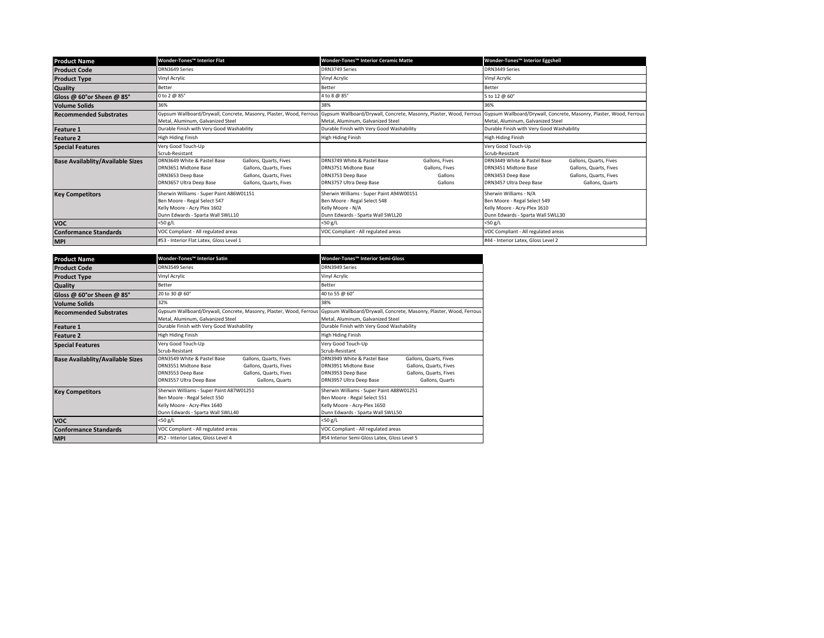| <b>Product Name</b>                     | Wonder-Tones™ Interior Flat                                                                                                                   |                                                                                                      | Wonder-Tones™ Interior Ceramic Matte                                                                                                                                         |                                                        | Wonder-Tones™ Interior Eggshell                                                                                             |                                                                                               |
|-----------------------------------------|-----------------------------------------------------------------------------------------------------------------------------------------------|------------------------------------------------------------------------------------------------------|------------------------------------------------------------------------------------------------------------------------------------------------------------------------------|--------------------------------------------------------|-----------------------------------------------------------------------------------------------------------------------------|-----------------------------------------------------------------------------------------------|
| <b>Product Code</b>                     | DRN3649 Series                                                                                                                                |                                                                                                      | DRN3749 Series                                                                                                                                                               |                                                        | DRN3449 Series                                                                                                              |                                                                                               |
| <b>Product Type</b>                     | Vinyl Acrylic                                                                                                                                 |                                                                                                      | Vinyl Acrylic                                                                                                                                                                |                                                        | Vinyl Acrylic                                                                                                               |                                                                                               |
| Quality                                 | Better                                                                                                                                        |                                                                                                      | Better                                                                                                                                                                       |                                                        | Better                                                                                                                      |                                                                                               |
| Gloss @ 60°or Sheen @ 85°               | 0 to 2 @ 85°                                                                                                                                  |                                                                                                      | 4 to 8 @ 85°                                                                                                                                                                 |                                                        | 5 to 12 @ 60°                                                                                                               |                                                                                               |
| <b>Volume Solids</b>                    | 36%                                                                                                                                           |                                                                                                      | 38%                                                                                                                                                                          |                                                        | 36%                                                                                                                         |                                                                                               |
| <b>Recommended Substrates</b>           | Metal, Aluminum, Galvanized Steel                                                                                                             |                                                                                                      | Gypsum Wallboard/Drywall, Concrete, Masonry, Plaster, Wood, Ferrous Gypsum Wallboard/Drywall, Concrete, Masonry, Plaster, Wood, Ferrous<br>Metal, Aluminum, Galvanized Steel |                                                        | Gypsum Wallboard/Drywall, Concrete, Masonry, Plaster, Wood, Ferrous<br>Metal, Aluminum, Galvanized Steel                    |                                                                                               |
| <b>Feature 1</b>                        | Durable Finish with Very Good Washability                                                                                                     |                                                                                                      | Durable Finish with Very Good Washability                                                                                                                                    |                                                        | Durable Finish with Very Good Washability                                                                                   |                                                                                               |
| <b>Feature 2</b>                        | High Hiding Finish                                                                                                                            |                                                                                                      | High Hiding Finish                                                                                                                                                           |                                                        | High Hiding Finish                                                                                                          |                                                                                               |
| <b>Special Features</b>                 | Very Good Touch-Up<br>Scrub-Resistant                                                                                                         |                                                                                                      |                                                                                                                                                                              |                                                        | Very Good Touch-Up<br>Scrub-Resistant                                                                                       |                                                                                               |
| <b>Base Availablity/Available Sizes</b> | DRN3649 White & Pastel Base<br>DRN3651 Midtone Base<br>DRN3653 Deep Base<br>DRN3657 Ultra Deep Base                                           | Gallons, Quarts, Fives<br>Gallons, Quarts, Fives<br>Gallons, Quarts, Fives<br>Gallons, Quarts, Fives | DRN3749 White & Pastel Base<br>DRN3751 Midtone Base<br>DRN3753 Deep Base<br>DRN3757 Ultra Deep Base                                                                          | Gallons, Fives<br>Gallons, Fives<br>Gallons<br>Gallons | DRN3449 White & Pastel Base<br>DRN3451 Midtone Base<br>DRN3453 Deep Base<br>DRN3457 Ultra Deep Base                         | Gallons, Quarts, Fives<br>Gallons, Quarts, Fives<br>Gallons, Quarts, Fives<br>Gallons, Quarts |
| <b>Key Competitors</b>                  | Sherwin Williams - Super Paint A86W01151<br>Ben Moore - Regal Select 547<br>Kelly Moore - Acry Plex 1602<br>Dunn Edwards - Sparta Wall SWLL10 |                                                                                                      | Sherwin Williams - Super Paint A94W00151<br>Ben Moore - Regal Select 548<br>Kelly Moore - N/A<br>Dunn Edwards - Sparta Wall SWLL20                                           |                                                        | Sherwin Williams - N/A<br>Ben Moore - Regal Select 549<br>Kelly Moore - Acry-Plex 1610<br>Dunn Edwards - Sparta Wall SWLL30 |                                                                                               |
| <b>VOC</b>                              | $<$ 50 g/L                                                                                                                                    |                                                                                                      | $<$ 50 g/L                                                                                                                                                                   |                                                        | $<$ 50 g/L                                                                                                                  |                                                                                               |
| <b>Conformance Standards</b>            | VOC Compliant - All regulated areas                                                                                                           |                                                                                                      | VOC Compliant - All regulated areas                                                                                                                                          |                                                        | VOC Compliant - All regulated areas                                                                                         |                                                                                               |
| <b>MPI</b>                              | #53 - Interior Flat Latex, Gloss Level 1                                                                                                      |                                                                                                      |                                                                                                                                                                              |                                                        | #44 - Interior Latex, Gloss Level 2                                                                                         |                                                                                               |

| <b>Product Name</b>                     | Wonder-Tones™ Interior Satin                                                                                                                  |                                                                                               | Wonder-Tones™ Interior Semi-Gloss                                                                                                                                            |                                                                                               |  |
|-----------------------------------------|-----------------------------------------------------------------------------------------------------------------------------------------------|-----------------------------------------------------------------------------------------------|------------------------------------------------------------------------------------------------------------------------------------------------------------------------------|-----------------------------------------------------------------------------------------------|--|
| <b>Product Code</b>                     | DRN3549 Series                                                                                                                                |                                                                                               | DRN3949 Series                                                                                                                                                               |                                                                                               |  |
| <b>Product Type</b>                     | Vinyl Acrylic                                                                                                                                 |                                                                                               | Vinyl Acrylic                                                                                                                                                                |                                                                                               |  |
| <b>Quality</b>                          | <b>Better</b>                                                                                                                                 |                                                                                               | <b>Better</b>                                                                                                                                                                |                                                                                               |  |
| Gloss @ 60°or Sheen @ 85°               | 20 to 30 @ 60°                                                                                                                                |                                                                                               | 40 to 55 @ 60°                                                                                                                                                               |                                                                                               |  |
| <b>Volume Solids</b>                    | 32%                                                                                                                                           |                                                                                               | 38%                                                                                                                                                                          |                                                                                               |  |
| <b>Recommended Substrates</b>           | Metal, Aluminum, Galvanized Steel                                                                                                             |                                                                                               | Gypsum Wallboard/Drywall, Concrete, Masonry, Plaster, Wood, Ferrous Gypsum Wallboard/Drywall, Concrete, Masonry, Plaster, Wood, Ferrous<br>Metal, Aluminum, Galvanized Steel |                                                                                               |  |
| <b>Feature 1</b>                        | Durable Finish with Very Good Washability                                                                                                     |                                                                                               | Durable Finish with Very Good Washability                                                                                                                                    |                                                                                               |  |
| <b>Feature 2</b>                        | High Hiding Finish                                                                                                                            |                                                                                               | High Hiding Finish                                                                                                                                                           |                                                                                               |  |
| <b>Special Features</b>                 | Very Good Touch-Up<br>Scrub-Resistant                                                                                                         |                                                                                               | Very Good Touch-Up<br>Scrub-Resistant                                                                                                                                        |                                                                                               |  |
| <b>Base Availablity/Available Sizes</b> | DRN3549 White & Pastel Base<br>DRN3551 Midtone Base<br>DRN3553 Deep Base<br>DRN3557 Ultra Deep Base                                           | Gallons, Quarts, Fives<br>Gallons, Quarts, Fives<br>Gallons, Quarts, Fives<br>Gallons, Quarts | DRN3949 White & Pastel Base<br>DRN3951 Midtone Base<br>DRN3953 Deep Base<br>DRN3957 Ultra Deep Base                                                                          | Gallons, Quarts, Fives<br>Gallons, Quarts, Fives<br>Gallons, Quarts, Fives<br>Gallons, Quarts |  |
| <b>Key Competitors</b>                  | Sherwin Williams - Super Paint A87W01251<br>Ben Moore - Regal Select 550<br>Kelly Moore - Acry-Plex 1640<br>Dunn Edwards - Sparta Wall SWLL40 |                                                                                               | Sherwin Williams - Super Paint A88W01251<br>Ben Moore - Regal Select 551<br>Kelly Moore - Acry-Plex 1650<br>Dunn Edwards - Sparta Wall SWLL50                                |                                                                                               |  |
| <b>VOC</b>                              | <50 g/L                                                                                                                                       |                                                                                               | $<$ 50 g/L                                                                                                                                                                   |                                                                                               |  |
| <b>Conformance Standards</b>            | VOC Compliant - All regulated areas                                                                                                           |                                                                                               | VOC Compliant - All regulated areas                                                                                                                                          |                                                                                               |  |
| <b>MPI</b>                              | #52 - Interior Latex, Gloss Level 4                                                                                                           |                                                                                               | #54 Interior Semi-Gloss Latex, Gloss Level 5                                                                                                                                 |                                                                                               |  |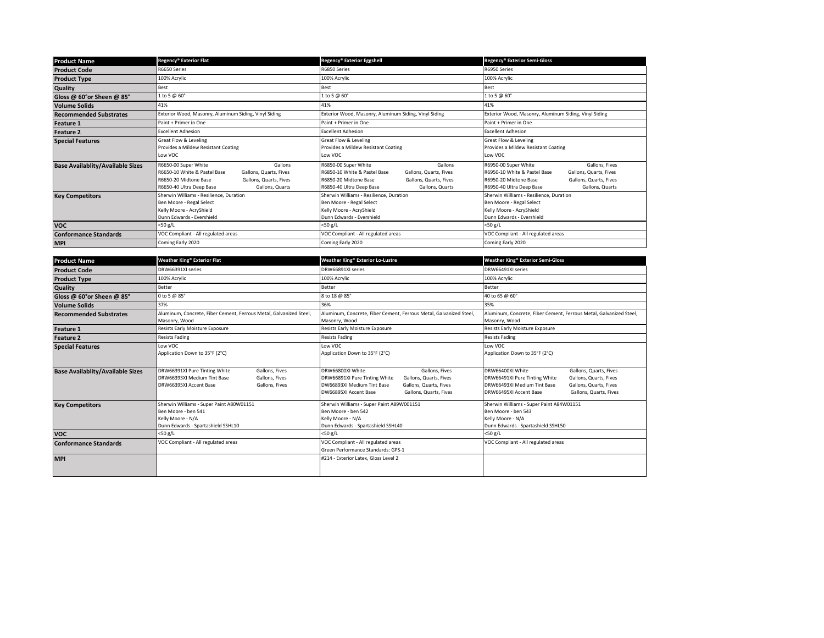| <b>Product Name</b>                     | Regency® Exterior Flat                                                                                                                                                                      | Regency® Exterior Eggshell                                                                                                                                                                  | Regency® Exterior Semi-Gloss                                                                                                                                                                       |  |
|-----------------------------------------|---------------------------------------------------------------------------------------------------------------------------------------------------------------------------------------------|---------------------------------------------------------------------------------------------------------------------------------------------------------------------------------------------|----------------------------------------------------------------------------------------------------------------------------------------------------------------------------------------------------|--|
| <b>Product Code</b>                     | R6650 Series                                                                                                                                                                                | R6850 Series                                                                                                                                                                                | R6950 Series                                                                                                                                                                                       |  |
| <b>Product Type</b>                     | 100% Acrylic                                                                                                                                                                                | 100% Acrylic                                                                                                                                                                                | 100% Acrylic                                                                                                                                                                                       |  |
| Quality                                 | Best                                                                                                                                                                                        | <b>Best</b>                                                                                                                                                                                 | Best                                                                                                                                                                                               |  |
| Gloss @ 60°or Sheen @ 85°               | 1 to 5 @ 60 $^{\circ}$                                                                                                                                                                      | 1 to 5 @ 60°                                                                                                                                                                                | 1 to 5 @ 60°                                                                                                                                                                                       |  |
| <b>Volume Solids</b>                    | 41%                                                                                                                                                                                         | 41%                                                                                                                                                                                         | 41%                                                                                                                                                                                                |  |
| <b>Recommended Substrates</b>           | Exterior Wood, Masonry, Aluminum Siding, Vinyl Siding                                                                                                                                       | Exterior Wood, Masonry, Aluminum Siding, Vinyl Siding                                                                                                                                       | Exterior Wood, Masonry, Aluminum Siding, Vinyl Siding                                                                                                                                              |  |
| <b>Feature 1</b>                        | Paint + Primer in One                                                                                                                                                                       | Paint + Primer in One                                                                                                                                                                       | Paint + Primer in One                                                                                                                                                                              |  |
| <b>Feature 2</b>                        | <b>Excellent Adhesion</b>                                                                                                                                                                   | <b>Excellent Adhesion</b>                                                                                                                                                                   | <b>Excellent Adhesion</b>                                                                                                                                                                          |  |
| <b>Special Features</b>                 | Great Flow & Leveling<br>Provides a Mildew Resistant Coating<br>Low VOC                                                                                                                     | Great Flow & Leveling<br>Provides a Mildew Resistant Coating<br>Low VOC                                                                                                                     | Great Flow & Leveling<br>Provides a Mildew Resistant Coating<br>Low VOC                                                                                                                            |  |
| <b>Base Availablity/Available Sizes</b> | R6650-00 Super White<br>Gallons<br>R6650-10 White & Pastel Base<br>Gallons, Quarts, Fives<br>R6650-20 Midtone Base<br>Gallons, Quarts, Fives<br>Gallons, Quarts<br>R6650-40 Ultra Deep Base | R6850-00 Super White<br>Gallons<br>R6850-10 White & Pastel Base<br>Gallons, Quarts, Fives<br>R6850-20 Midtone Base<br>Gallons, Quarts, Fives<br>R6850-40 Ultra Deep Base<br>Gallons, Quarts | R6950-00 Super White<br>Gallons, Fives<br>R6950-10 White & Pastel Base<br>Gallons, Quarts, Fives<br>R6950-20 Midtone Base<br>Gallons, Quarts, Fives<br>Gallons, Quarts<br>R6950-40 Ultra Deep Base |  |
| <b>Key Competitors</b>                  | Sherwin Williams - Resilience, Duration<br>Ben Moore - Regal Select<br>Kelly Moore - AcryShield<br>Dunn Edwards - Evershield                                                                | Sherwin Williams - Resilience, Duration<br>Ben Moore - Regal Select<br>Kelly Moore - AcryShield<br>Dunn Edwards - Evershield                                                                | Sherwin Williams - Resilience, Duration<br>Ben Moore - Regal Select<br>Kelly Moore - AcryShield<br>Dunn Edwards - Evershield                                                                       |  |
| <b>VOC</b>                              | <50 g/L                                                                                                                                                                                     | $<$ 50 g/L                                                                                                                                                                                  | $<$ 50 g/L                                                                                                                                                                                         |  |
| <b>Conformance Standards</b>            | VOC Compliant - All regulated areas                                                                                                                                                         | VOC Compliant - All regulated areas                                                                                                                                                         | VOC Compliant - All regulated areas                                                                                                                                                                |  |
| <b>MPI</b>                              | Coming Early 2020                                                                                                                                                                           | Coming Early 2020                                                                                                                                                                           | Coming Early 2020                                                                                                                                                                                  |  |

| <b>Product Name</b>                     | Weather King® Exterior Flat                                                                                                                  | Weather King® Exterior Lo-Lustre                                                                                                                                                                         | Weather King® Exterior Semi-Gloss                                                                                                                                                                                  |  |
|-----------------------------------------|----------------------------------------------------------------------------------------------------------------------------------------------|----------------------------------------------------------------------------------------------------------------------------------------------------------------------------------------------------------|--------------------------------------------------------------------------------------------------------------------------------------------------------------------------------------------------------------------|--|
| <b>Product Code</b>                     | DRW66391XI series                                                                                                                            | DRW66891XI series                                                                                                                                                                                        | DRW66491XI series                                                                                                                                                                                                  |  |
| <b>Product Type</b>                     | 100% Acrylic                                                                                                                                 | 100% Acrylic                                                                                                                                                                                             | 100% Acrylic                                                                                                                                                                                                       |  |
| Quality                                 | Better                                                                                                                                       | Better                                                                                                                                                                                                   | Better                                                                                                                                                                                                             |  |
| Gloss @ 60°or Sheen @ 85°               | 0 to 5 @ 85°                                                                                                                                 | 8 to 18 @ 85°                                                                                                                                                                                            | 40 to 65 @ 60°                                                                                                                                                                                                     |  |
| <b>Volume Solids</b>                    | 37%                                                                                                                                          | 36%                                                                                                                                                                                                      | 35%                                                                                                                                                                                                                |  |
| <b>Recommended Substrates</b>           | Aluminum, Concrete, Fiber Cement, Ferrous Metal, Galvanized Steel,<br>Masonry, Wood                                                          | Aluminum, Concrete, Fiber Cement, Ferrous Metal, Galvanized Steel,<br>Masonry, Wood                                                                                                                      | Aluminum, Concrete, Fiber Cement, Ferrous Metal, Galvanized Steel,<br>Masonry, Wood                                                                                                                                |  |
| Feature 1                               | Resists Early Moisture Exposure                                                                                                              | Resists Early Moisture Exposure                                                                                                                                                                          | Resists Early Moisture Exposure                                                                                                                                                                                    |  |
| <b>Feature 2</b>                        | <b>Resists Fading</b>                                                                                                                        | <b>Resists Fading</b>                                                                                                                                                                                    | <b>Resists Fading</b>                                                                                                                                                                                              |  |
| <b>Special Features</b>                 | Low VOC<br>Application Down to 35°F (2°C)                                                                                                    | Low VOC<br>Application Down to 35°F (2°C)                                                                                                                                                                | Low VOC<br>Application Down to 35°F (2°C)                                                                                                                                                                          |  |
| <b>Base Availablity/Available Sizes</b> | Gallons, Fives<br>DRW66391XI Pure Tinting White<br>DRW66393XI Medium Tint Base<br>Gallons, Fives<br>DRW66395XI Accent Base<br>Gallons, Fives | DRW66800XI White<br>Gallons, Fives<br>DRW66891XI Pure Tinting White<br>Gallons, Quarts, Fives<br>DW66893XI Medium Tint Base<br>Gallons, Quarts, Fives<br>DW66895XI Accent Base<br>Gallons, Quarts, Fives | DRW66400XI White<br>Gallons, Quarts, Fives<br>DRW66491XI Pure Tinting White<br>Gallons, Quarts, Fives<br>DRW66493XI Medium Tint Base<br>Gallons, Quarts, Fives<br>DRW66495XI Accent Base<br>Gallons, Quarts, Fives |  |
| <b>Key Competitors</b>                  | Sherwin Williams - Super Paint A80W01151<br>Ben Moore - ben 541<br>Kelly Moore - N/A<br>Dunn Edwards - Spartashield SSHL10                   | Sherwin Williams - Super Paint A89W001151<br>Ben Moore - ben 542<br>Kelly Moore - N/A<br>Dunn Edwards - Spartashield SSHL40                                                                              | Sherwin Williams - Super Paint A84W01151<br>Ben Moore - ben 543<br>Kelly Moore - N/A<br>Dunn Edwards - Spartashield SSHL50                                                                                         |  |
| <b>VOC</b>                              | <50 g/L                                                                                                                                      | $<$ 50 g/L                                                                                                                                                                                               | <50 g/L                                                                                                                                                                                                            |  |
| <b>Conformance Standards</b>            | VOC Compliant - All regulated areas                                                                                                          | VOC Compliant - All regulated areas<br>Green Performance Standards: GPS-1                                                                                                                                | VOC Compliant - All regulated areas                                                                                                                                                                                |  |
| <b>MPI</b>                              |                                                                                                                                              | #214 - Exterior Latex, Gloss Level 2                                                                                                                                                                     |                                                                                                                                                                                                                    |  |